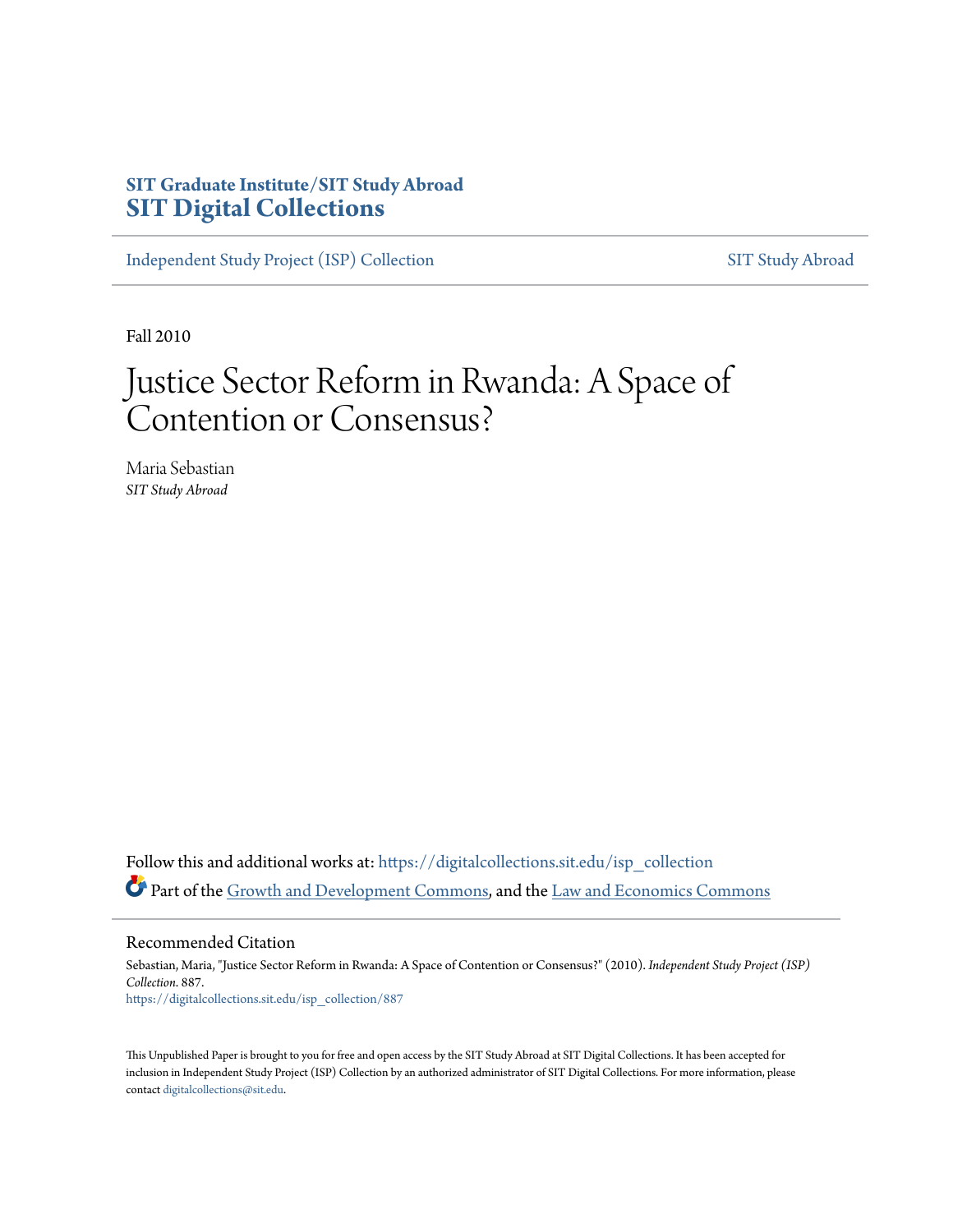## **SIT Graduate Institute/SIT Study Abroad [SIT Digital Collections](https://digitalcollections.sit.edu?utm_source=digitalcollections.sit.edu%2Fisp_collection%2F887&utm_medium=PDF&utm_campaign=PDFCoverPages)**

[Independent Study Project \(ISP\) Collection](https://digitalcollections.sit.edu/isp_collection?utm_source=digitalcollections.sit.edu%2Fisp_collection%2F887&utm_medium=PDF&utm_campaign=PDFCoverPages) [SIT Study Abroad](https://digitalcollections.sit.edu/study_abroad?utm_source=digitalcollections.sit.edu%2Fisp_collection%2F887&utm_medium=PDF&utm_campaign=PDFCoverPages)

Fall 2010

# Justice Sector Reform in Rwanda: A Space of Contention or Consensus?

Maria Sebastian *SIT Study Abroad*

Follow this and additional works at: [https://digitalcollections.sit.edu/isp\\_collection](https://digitalcollections.sit.edu/isp_collection?utm_source=digitalcollections.sit.edu%2Fisp_collection%2F887&utm_medium=PDF&utm_campaign=PDFCoverPages) Part of the [Growth and Development Commons,](http://network.bepress.com/hgg/discipline/346?utm_source=digitalcollections.sit.edu%2Fisp_collection%2F887&utm_medium=PDF&utm_campaign=PDFCoverPages) and the [Law and Economics Commons](http://network.bepress.com/hgg/discipline/612?utm_source=digitalcollections.sit.edu%2Fisp_collection%2F887&utm_medium=PDF&utm_campaign=PDFCoverPages)

Recommended Citation

Sebastian, Maria, "Justice Sector Reform in Rwanda: A Space of Contention or Consensus?" (2010). *Independent Study Project (ISP) Collection*. 887. [https://digitalcollections.sit.edu/isp\\_collection/887](https://digitalcollections.sit.edu/isp_collection/887?utm_source=digitalcollections.sit.edu%2Fisp_collection%2F887&utm_medium=PDF&utm_campaign=PDFCoverPages)

This Unpublished Paper is brought to you for free and open access by the SIT Study Abroad at SIT Digital Collections. It has been accepted for inclusion in Independent Study Project (ISP) Collection by an authorized administrator of SIT Digital Collections. For more information, please contact [digitalcollections@sit.edu](mailto:digitalcollections@sit.edu).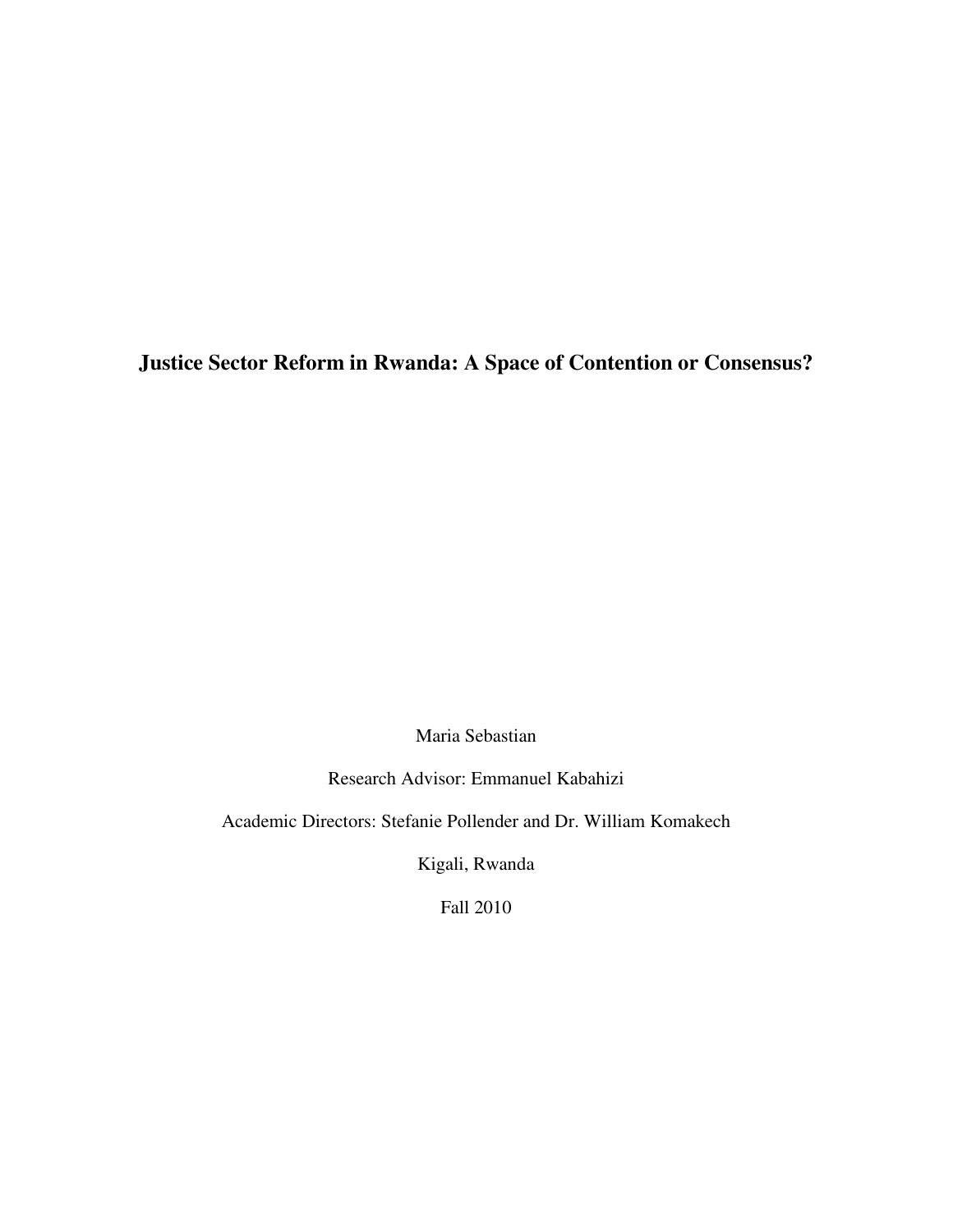## **Justice Sector Reform in Rwanda: A Space of Contention or Consensus?**

Maria Sebastian

Research Advisor: Emmanuel Kabahizi

Academic Directors: Stefanie Pollender and Dr. William Komakech

Kigali, Rwanda

Fall 2010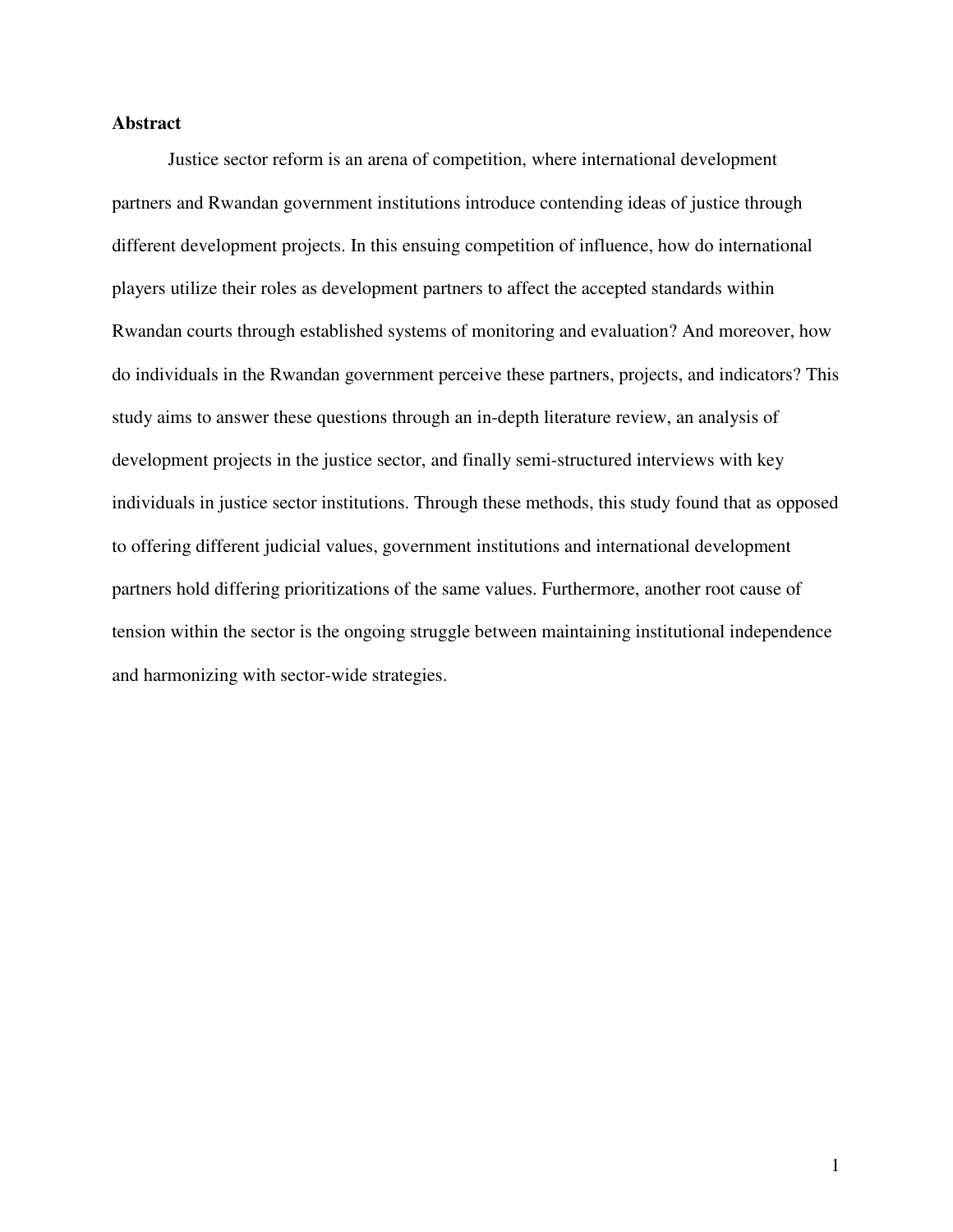#### **Abstract**

 Justice sector reform is an arena of competition, where international development partners and Rwandan government institutions introduce contending ideas of justice through different development projects. In this ensuing competition of influence, how do international players utilize their roles as development partners to affect the accepted standards within Rwandan courts through established systems of monitoring and evaluation? And moreover, how do individuals in the Rwandan government perceive these partners, projects, and indicators? This study aims to answer these questions through an in-depth literature review, an analysis of development projects in the justice sector, and finally semi-structured interviews with key individuals in justice sector institutions. Through these methods, this study found that as opposed to offering different judicial values, government institutions and international development partners hold differing prioritizations of the same values. Furthermore, another root cause of tension within the sector is the ongoing struggle between maintaining institutional independence and harmonizing with sector-wide strategies.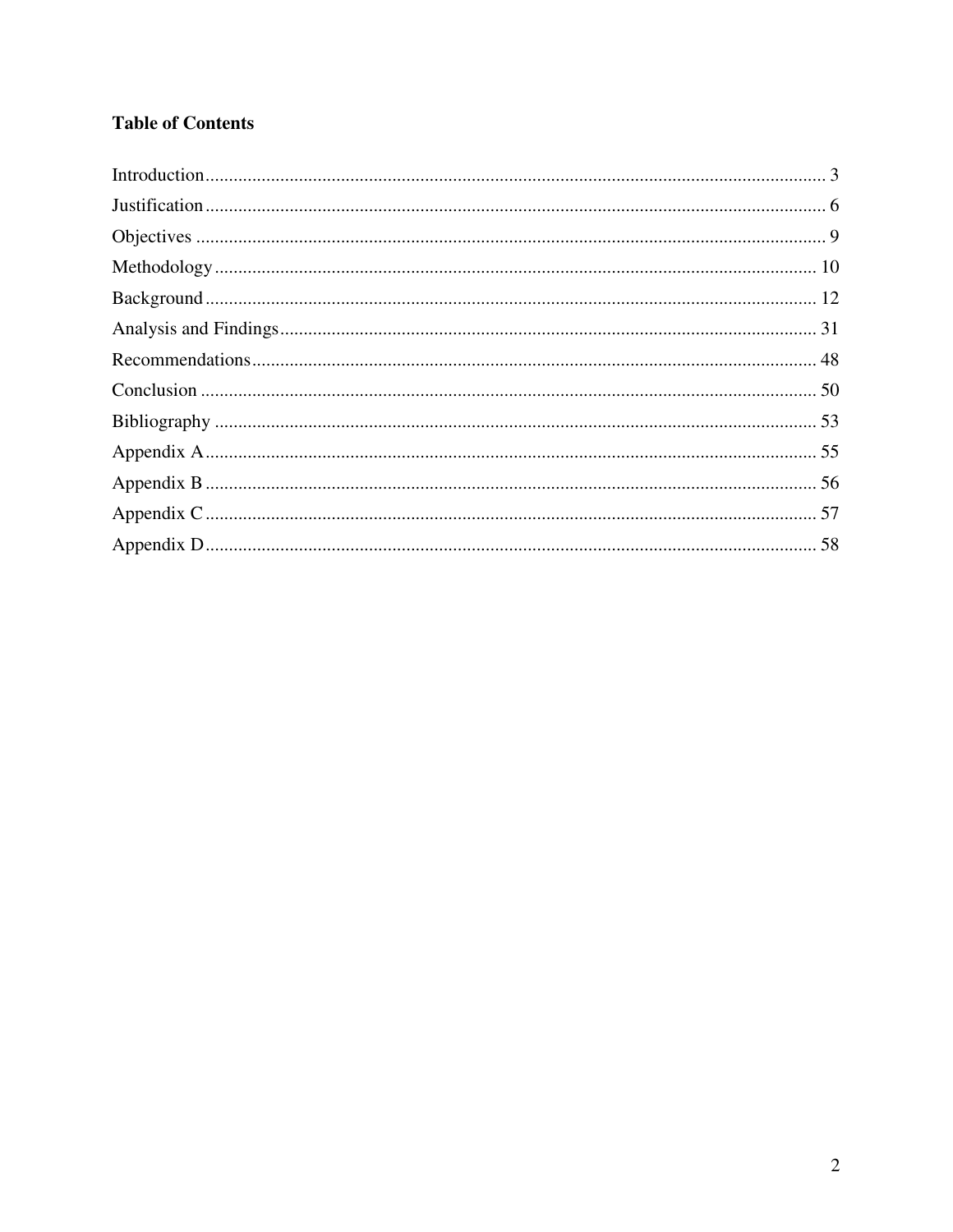## **Table of Contents**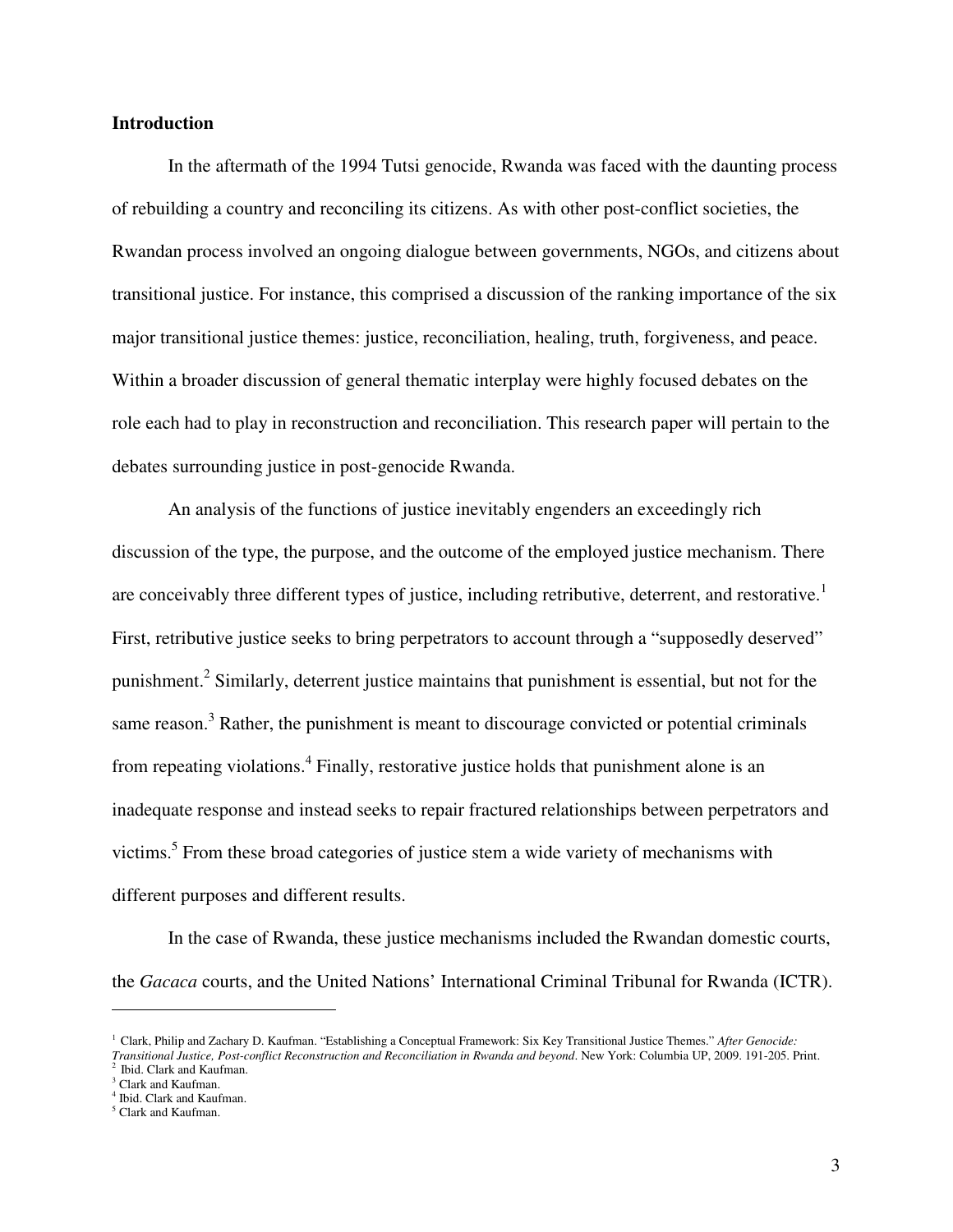#### **Introduction**

In the aftermath of the 1994 Tutsi genocide, Rwanda was faced with the daunting process of rebuilding a country and reconciling its citizens. As with other post-conflict societies, the Rwandan process involved an ongoing dialogue between governments, NGOs, and citizens about transitional justice. For instance, this comprised a discussion of the ranking importance of the six major transitional justice themes: justice, reconciliation, healing, truth, forgiveness, and peace. Within a broader discussion of general thematic interplay were highly focused debates on the role each had to play in reconstruction and reconciliation. This research paper will pertain to the debates surrounding justice in post-genocide Rwanda.

An analysis of the functions of justice inevitably engenders an exceedingly rich discussion of the type, the purpose, and the outcome of the employed justice mechanism. There are conceivably three different types of justice, including retributive, deterrent, and restorative.<sup>1</sup> First, retributive justice seeks to bring perpetrators to account through a "supposedly deserved" punishment.<sup>2</sup> Similarly, deterrent justice maintains that punishment is essential, but not for the same reason.<sup>3</sup> Rather, the punishment is meant to discourage convicted or potential criminals from repeating violations.<sup>4</sup> Finally, restorative justice holds that punishment alone is an inadequate response and instead seeks to repair fractured relationships between perpetrators and victims.<sup>5</sup> From these broad categories of justice stem a wide variety of mechanisms with different purposes and different results.

In the case of Rwanda, these justice mechanisms included the Rwandan domestic courts, the *Gacaca* courts, and the United Nations' International Criminal Tribunal for Rwanda (ICTR).

*Transitional Justice, Post-conflict Reconstruction and Reconciliation in Rwanda and beyond*. New York: Columbia UP, 2009. 191-205. Print. 2 Ibid. Clark and Kaufman.

<sup>1</sup> Clark, Philip and Zachary D. Kaufman. "Establishing a Conceptual Framework: Six Key Transitional Justice Themes." *After Genocide:* 

<sup>&</sup>lt;sup>3</sup> Clark and Kaufman.

<sup>4</sup> Ibid. Clark and Kaufman.

<sup>5</sup> Clark and Kaufman.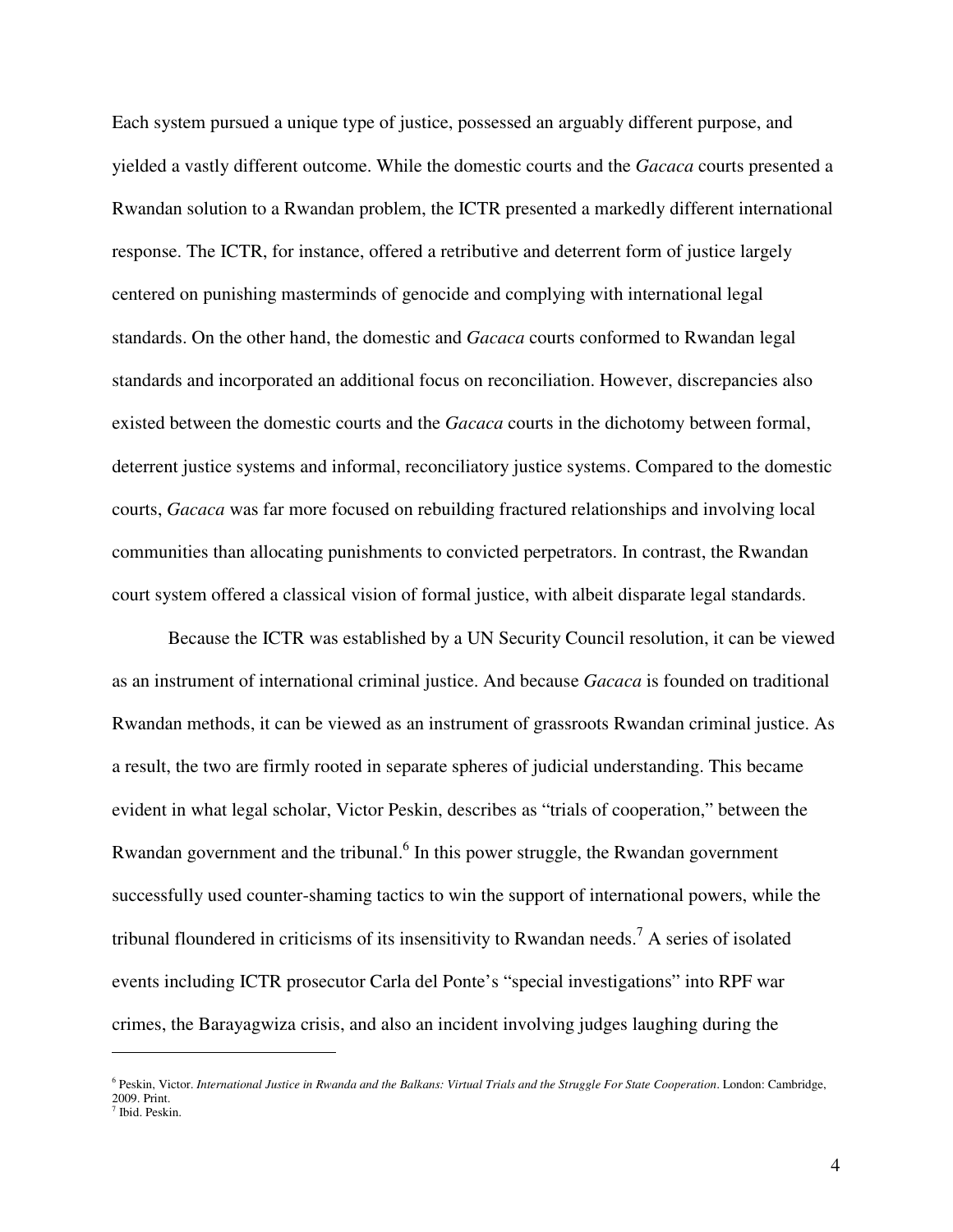Each system pursued a unique type of justice, possessed an arguably different purpose, and yielded a vastly different outcome. While the domestic courts and the *Gacaca* courts presented a Rwandan solution to a Rwandan problem, the ICTR presented a markedly different international response. The ICTR, for instance, offered a retributive and deterrent form of justice largely centered on punishing masterminds of genocide and complying with international legal standards. On the other hand, the domestic and *Gacaca* courts conformed to Rwandan legal standards and incorporated an additional focus on reconciliation. However, discrepancies also existed between the domestic courts and the *Gacaca* courts in the dichotomy between formal, deterrent justice systems and informal, reconciliatory justice systems. Compared to the domestic courts, *Gacaca* was far more focused on rebuilding fractured relationships and involving local communities than allocating punishments to convicted perpetrators. In contrast, the Rwandan court system offered a classical vision of formal justice, with albeit disparate legal standards.

Because the ICTR was established by a UN Security Council resolution, it can be viewed as an instrument of international criminal justice. And because *Gacaca* is founded on traditional Rwandan methods, it can be viewed as an instrument of grassroots Rwandan criminal justice. As a result, the two are firmly rooted in separate spheres of judicial understanding. This became evident in what legal scholar, Victor Peskin, describes as "trials of cooperation," between the Rwandan government and the tribunal.<sup>6</sup> In this power struggle, the Rwandan government successfully used counter-shaming tactics to win the support of international powers, while the tribunal floundered in criticisms of its insensitivity to Rwandan needs.<sup>7</sup> A series of isolated events including ICTR prosecutor Carla del Ponte's "special investigations" into RPF war crimes, the Barayagwiza crisis, and also an incident involving judges laughing during the

<u>.</u>

<sup>&</sup>lt;sup>6</sup> Peskin, Victor. *International Justice in Rwanda and the Balkans: Virtual Trials and the Struggle For State Cooperation. London: Cambridge,* 2009. Print.

<sup>7</sup> Ibid. Peskin.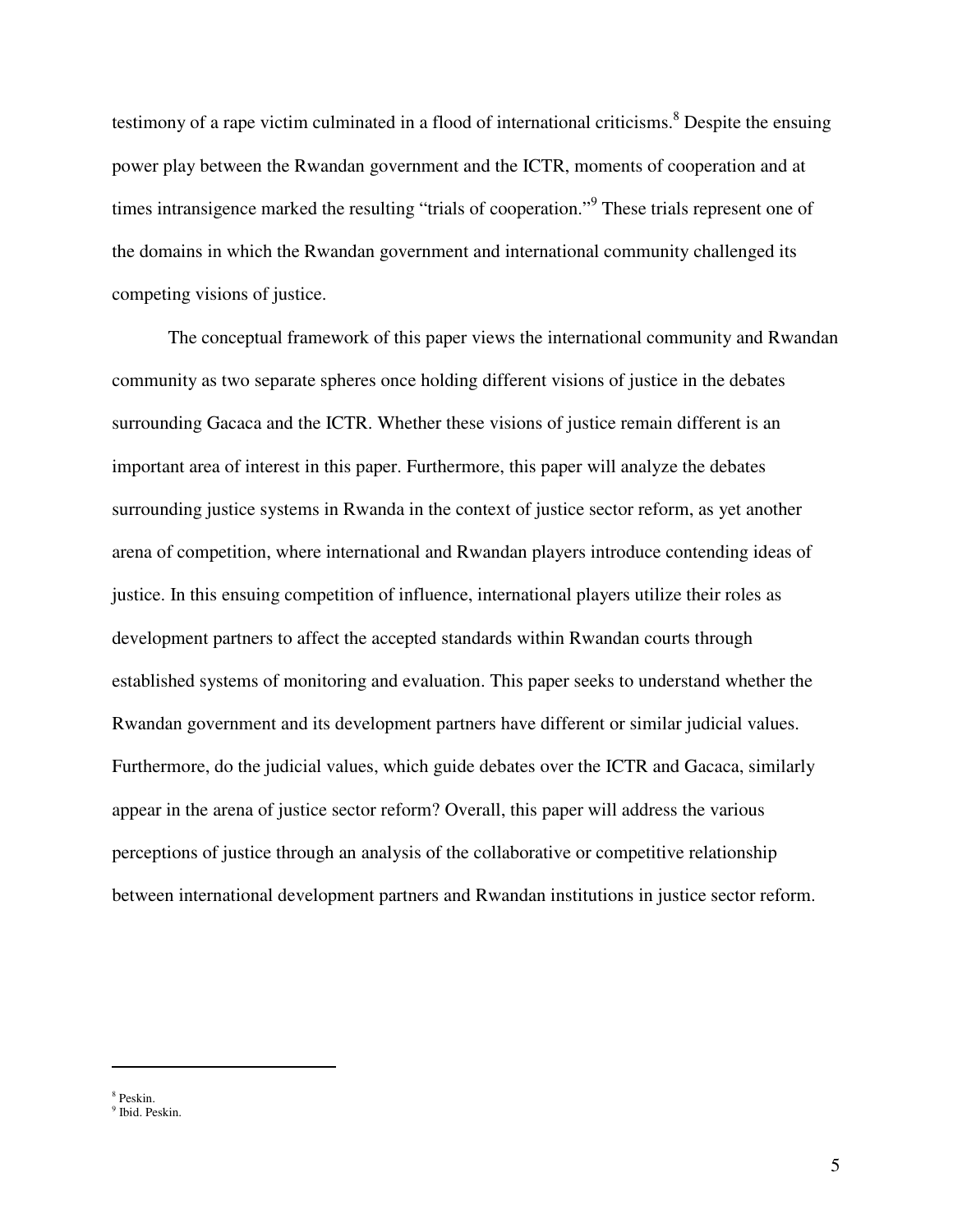testimony of a rape victim culminated in a flood of international criticisms.<sup>8</sup> Despite the ensuing power play between the Rwandan government and the ICTR, moments of cooperation and at times intransigence marked the resulting "trials of cooperation."<sup>9</sup> These trials represent one of the domains in which the Rwandan government and international community challenged its competing visions of justice.

The conceptual framework of this paper views the international community and Rwandan community as two separate spheres once holding different visions of justice in the debates surrounding Gacaca and the ICTR. Whether these visions of justice remain different is an important area of interest in this paper. Furthermore, this paper will analyze the debates surrounding justice systems in Rwanda in the context of justice sector reform, as yet another arena of competition, where international and Rwandan players introduce contending ideas of justice. In this ensuing competition of influence, international players utilize their roles as development partners to affect the accepted standards within Rwandan courts through established systems of monitoring and evaluation. This paper seeks to understand whether the Rwandan government and its development partners have different or similar judicial values. Furthermore, do the judicial values, which guide debates over the ICTR and Gacaca, similarly appear in the arena of justice sector reform? Overall, this paper will address the various perceptions of justice through an analysis of the collaborative or competitive relationship between international development partners and Rwandan institutions in justice sector reform.

<sup>8</sup> Peskin.

<sup>9</sup> Ibid. Peskin.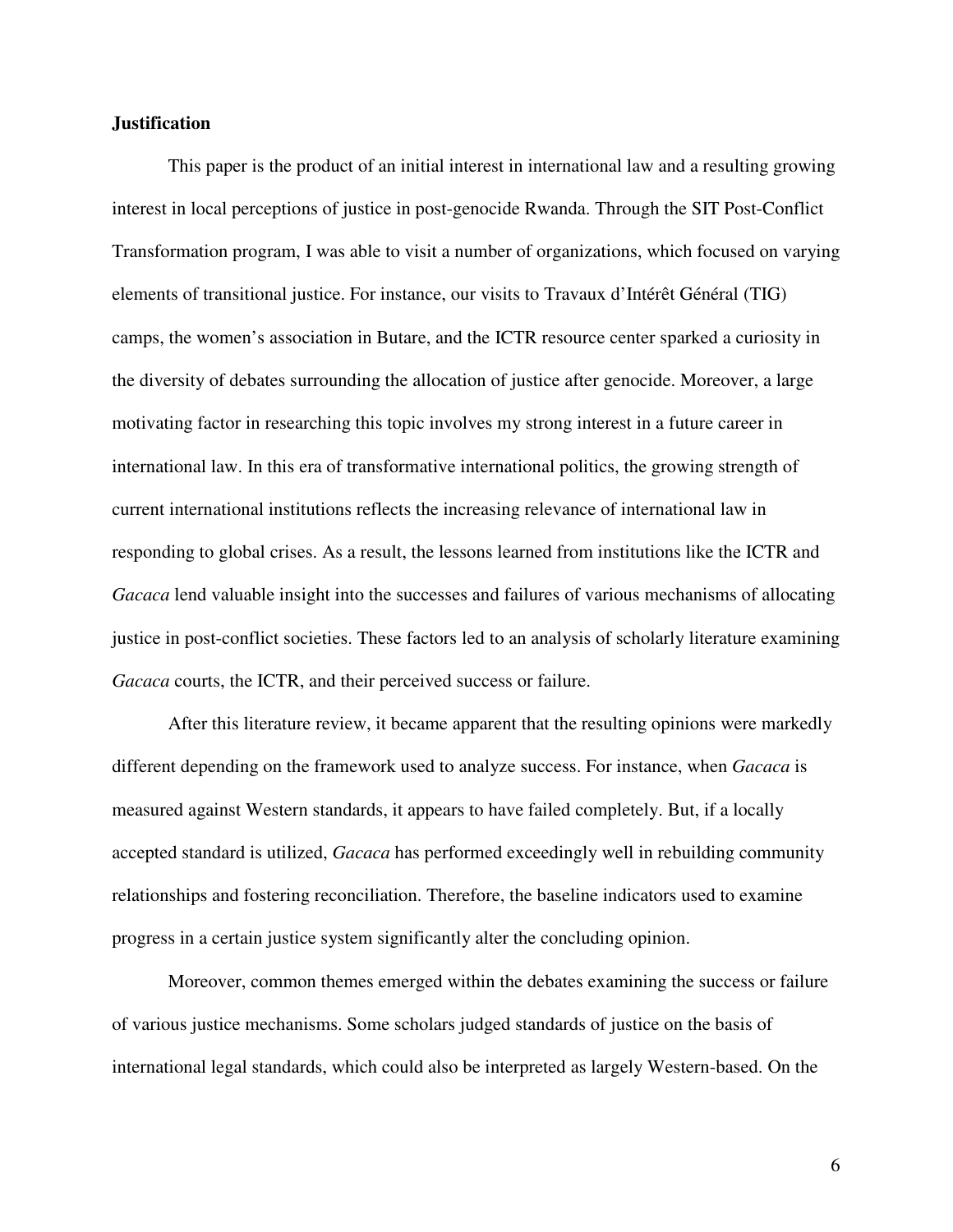#### **Justification**

 This paper is the product of an initial interest in international law and a resulting growing interest in local perceptions of justice in post-genocide Rwanda. Through the SIT Post-Conflict Transformation program, I was able to visit a number of organizations, which focused on varying elements of transitional justice. For instance, our visits to Travaux d'Intérêt Général (TIG) camps, the women's association in Butare, and the ICTR resource center sparked a curiosity in the diversity of debates surrounding the allocation of justice after genocide. Moreover, a large motivating factor in researching this topic involves my strong interest in a future career in international law. In this era of transformative international politics, the growing strength of current international institutions reflects the increasing relevance of international law in responding to global crises. As a result, the lessons learned from institutions like the ICTR and *Gacaca* lend valuable insight into the successes and failures of various mechanisms of allocating justice in post-conflict societies. These factors led to an analysis of scholarly literature examining *Gacaca* courts, the ICTR, and their perceived success or failure.

 After this literature review, it became apparent that the resulting opinions were markedly different depending on the framework used to analyze success. For instance, when *Gacaca* is measured against Western standards, it appears to have failed completely. But, if a locally accepted standard is utilized, *Gacaca* has performed exceedingly well in rebuilding community relationships and fostering reconciliation. Therefore, the baseline indicators used to examine progress in a certain justice system significantly alter the concluding opinion.

Moreover, common themes emerged within the debates examining the success or failure of various justice mechanisms. Some scholars judged standards of justice on the basis of international legal standards, which could also be interpreted as largely Western-based. On the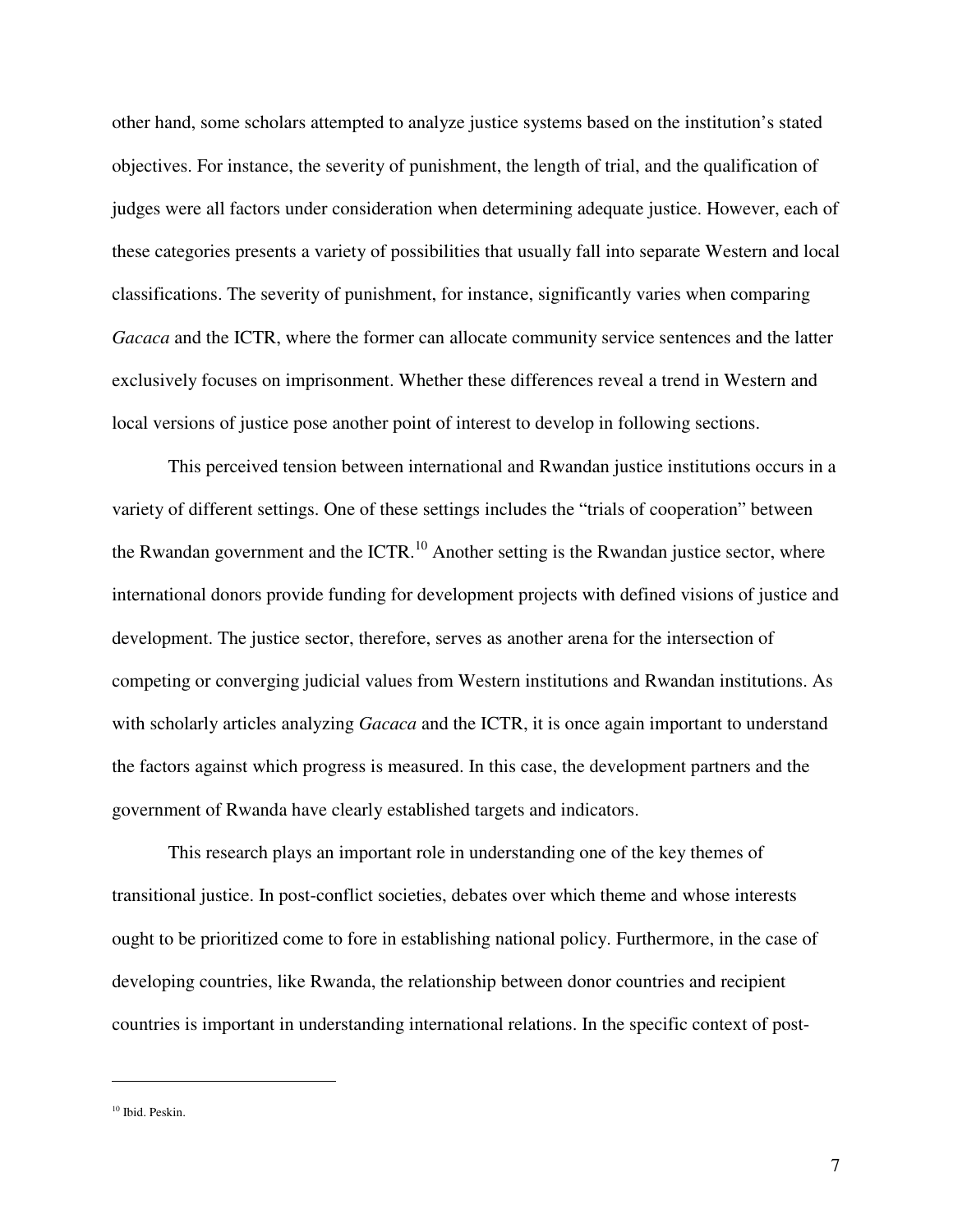other hand, some scholars attempted to analyze justice systems based on the institution's stated objectives. For instance, the severity of punishment, the length of trial, and the qualification of judges were all factors under consideration when determining adequate justice. However, each of these categories presents a variety of possibilities that usually fall into separate Western and local classifications. The severity of punishment, for instance, significantly varies when comparing *Gacaca* and the ICTR, where the former can allocate community service sentences and the latter exclusively focuses on imprisonment. Whether these differences reveal a trend in Western and local versions of justice pose another point of interest to develop in following sections.

This perceived tension between international and Rwandan justice institutions occurs in a variety of different settings. One of these settings includes the "trials of cooperation" between the Rwandan government and the ICTR.<sup>10</sup> Another setting is the Rwandan justice sector, where international donors provide funding for development projects with defined visions of justice and development. The justice sector, therefore, serves as another arena for the intersection of competing or converging judicial values from Western institutions and Rwandan institutions. As with scholarly articles analyzing *Gacaca* and the ICTR, it is once again important to understand the factors against which progress is measured. In this case, the development partners and the government of Rwanda have clearly established targets and indicators.

This research plays an important role in understanding one of the key themes of transitional justice. In post-conflict societies, debates over which theme and whose interests ought to be prioritized come to fore in establishing national policy. Furthermore, in the case of developing countries, like Rwanda, the relationship between donor countries and recipient countries is important in understanding international relations. In the specific context of post-

<sup>&</sup>lt;sup>10</sup> Ibid. Peskin.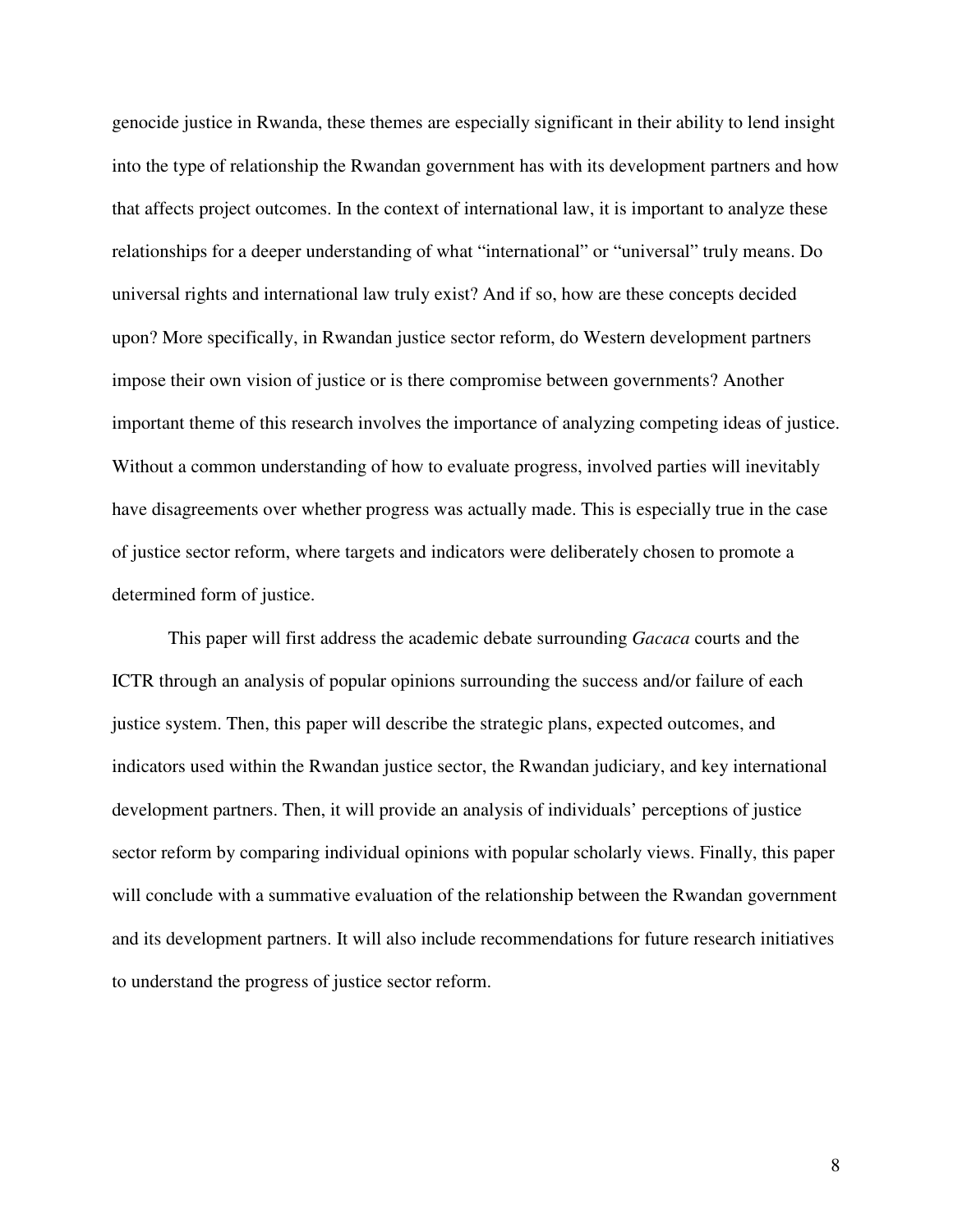genocide justice in Rwanda, these themes are especially significant in their ability to lend insight into the type of relationship the Rwandan government has with its development partners and how that affects project outcomes. In the context of international law, it is important to analyze these relationships for a deeper understanding of what "international" or "universal" truly means. Do universal rights and international law truly exist? And if so, how are these concepts decided upon? More specifically, in Rwandan justice sector reform, do Western development partners impose their own vision of justice or is there compromise between governments? Another important theme of this research involves the importance of analyzing competing ideas of justice. Without a common understanding of how to evaluate progress, involved parties will inevitably have disagreements over whether progress was actually made. This is especially true in the case of justice sector reform, where targets and indicators were deliberately chosen to promote a determined form of justice.

This paper will first address the academic debate surrounding *Gacaca* courts and the ICTR through an analysis of popular opinions surrounding the success and/or failure of each justice system. Then, this paper will describe the strategic plans, expected outcomes, and indicators used within the Rwandan justice sector, the Rwandan judiciary, and key international development partners. Then, it will provide an analysis of individuals' perceptions of justice sector reform by comparing individual opinions with popular scholarly views. Finally, this paper will conclude with a summative evaluation of the relationship between the Rwandan government and its development partners. It will also include recommendations for future research initiatives to understand the progress of justice sector reform.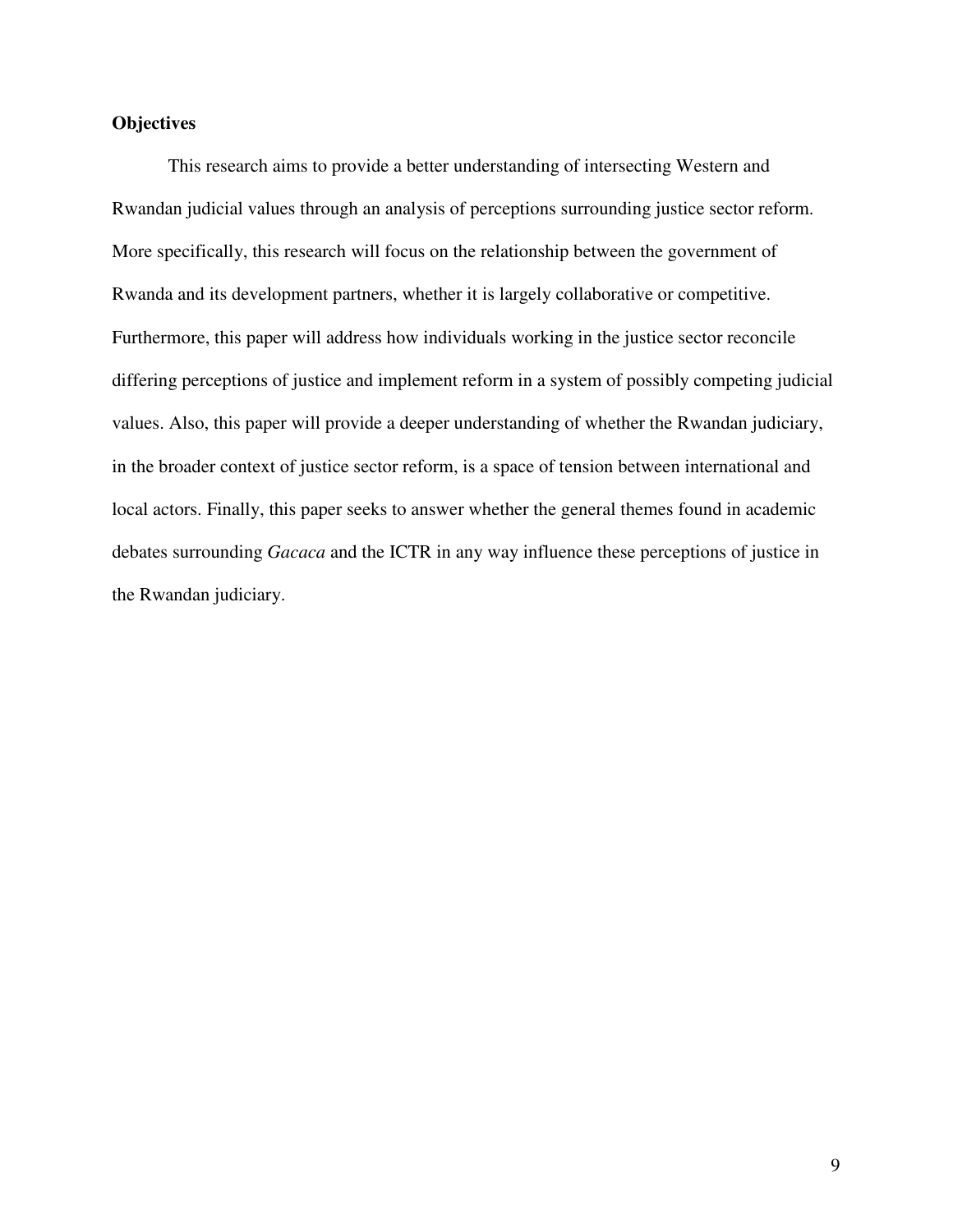#### **Objectives**

This research aims to provide a better understanding of intersecting Western and Rwandan judicial values through an analysis of perceptions surrounding justice sector reform. More specifically, this research will focus on the relationship between the government of Rwanda and its development partners, whether it is largely collaborative or competitive. Furthermore, this paper will address how individuals working in the justice sector reconcile differing perceptions of justice and implement reform in a system of possibly competing judicial values. Also, this paper will provide a deeper understanding of whether the Rwandan judiciary, in the broader context of justice sector reform, is a space of tension between international and local actors. Finally, this paper seeks to answer whether the general themes found in academic debates surrounding *Gacaca* and the ICTR in any way influence these perceptions of justice in the Rwandan judiciary.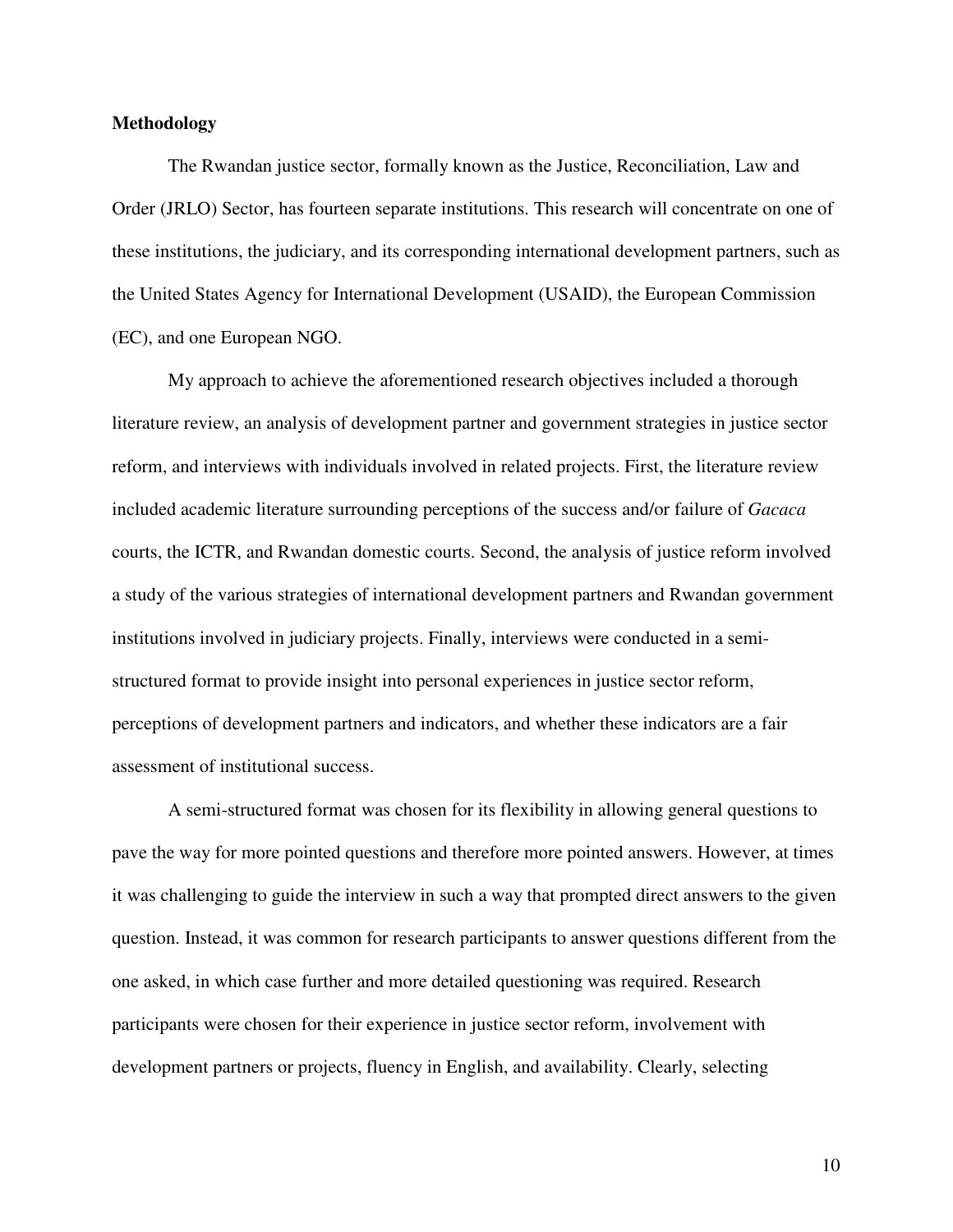#### **Methodology**

The Rwandan justice sector, formally known as the Justice, Reconciliation, Law and Order (JRLO) Sector, has fourteen separate institutions. This research will concentrate on one of these institutions, the judiciary, and its corresponding international development partners, such as the United States Agency for International Development (USAID), the European Commission (EC), and one European NGO.

My approach to achieve the aforementioned research objectives included a thorough literature review, an analysis of development partner and government strategies in justice sector reform, and interviews with individuals involved in related projects. First, the literature review included academic literature surrounding perceptions of the success and/or failure of *Gacaca* courts, the ICTR, and Rwandan domestic courts. Second, the analysis of justice reform involved a study of the various strategies of international development partners and Rwandan government institutions involved in judiciary projects. Finally, interviews were conducted in a semistructured format to provide insight into personal experiences in justice sector reform, perceptions of development partners and indicators, and whether these indicators are a fair assessment of institutional success.

A semi-structured format was chosen for its flexibility in allowing general questions to pave the way for more pointed questions and therefore more pointed answers. However, at times it was challenging to guide the interview in such a way that prompted direct answers to the given question. Instead, it was common for research participants to answer questions different from the one asked, in which case further and more detailed questioning was required. Research participants were chosen for their experience in justice sector reform, involvement with development partners or projects, fluency in English, and availability. Clearly, selecting

10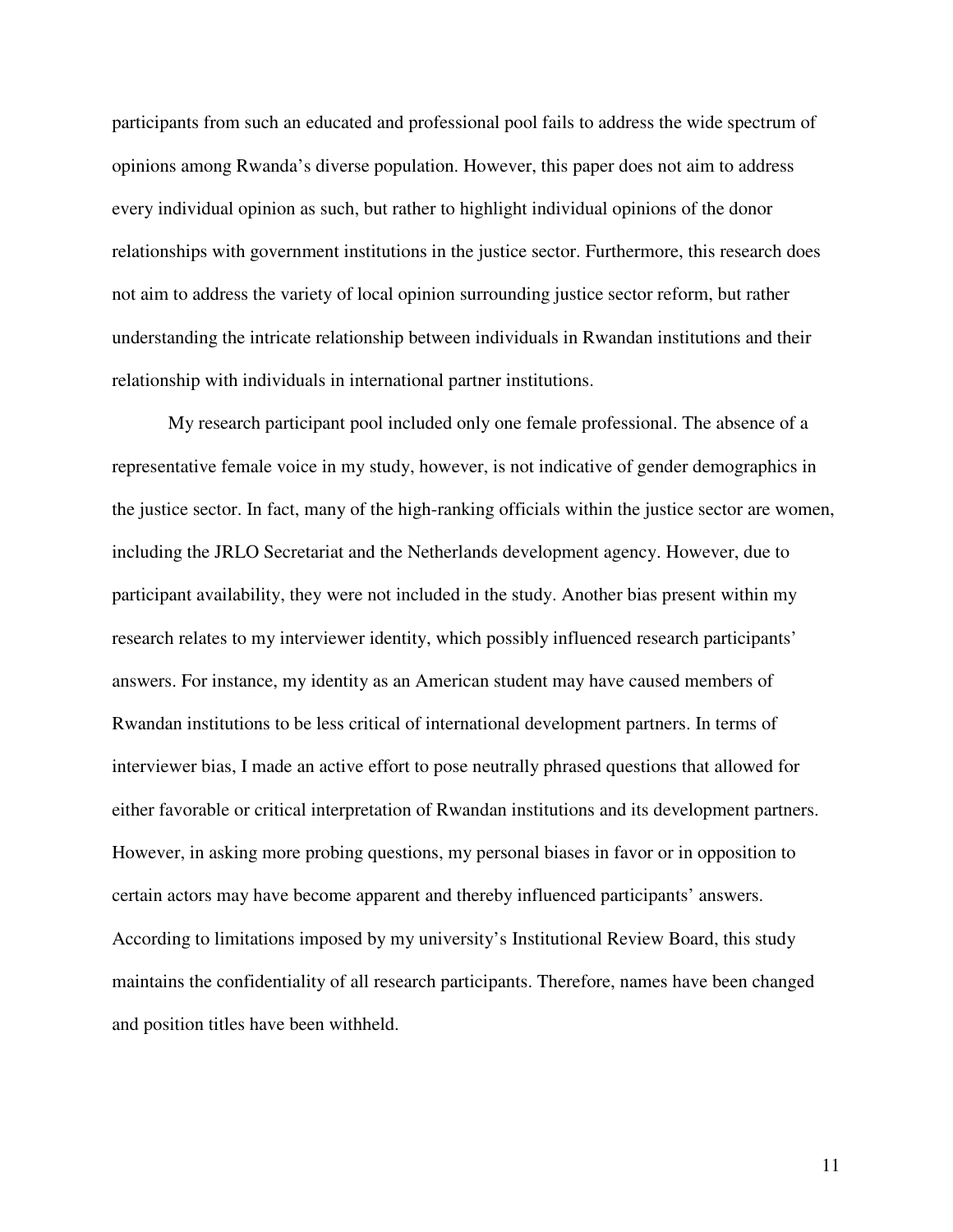participants from such an educated and professional pool fails to address the wide spectrum of opinions among Rwanda's diverse population. However, this paper does not aim to address every individual opinion as such, but rather to highlight individual opinions of the donor relationships with government institutions in the justice sector. Furthermore, this research does not aim to address the variety of local opinion surrounding justice sector reform, but rather understanding the intricate relationship between individuals in Rwandan institutions and their relationship with individuals in international partner institutions.

My research participant pool included only one female professional. The absence of a representative female voice in my study, however, is not indicative of gender demographics in the justice sector. In fact, many of the high-ranking officials within the justice sector are women, including the JRLO Secretariat and the Netherlands development agency. However, due to participant availability, they were not included in the study. Another bias present within my research relates to my interviewer identity, which possibly influenced research participants' answers. For instance, my identity as an American student may have caused members of Rwandan institutions to be less critical of international development partners. In terms of interviewer bias, I made an active effort to pose neutrally phrased questions that allowed for either favorable or critical interpretation of Rwandan institutions and its development partners. However, in asking more probing questions, my personal biases in favor or in opposition to certain actors may have become apparent and thereby influenced participants' answers. According to limitations imposed by my university's Institutional Review Board, this study maintains the confidentiality of all research participants. Therefore, names have been changed and position titles have been withheld.

11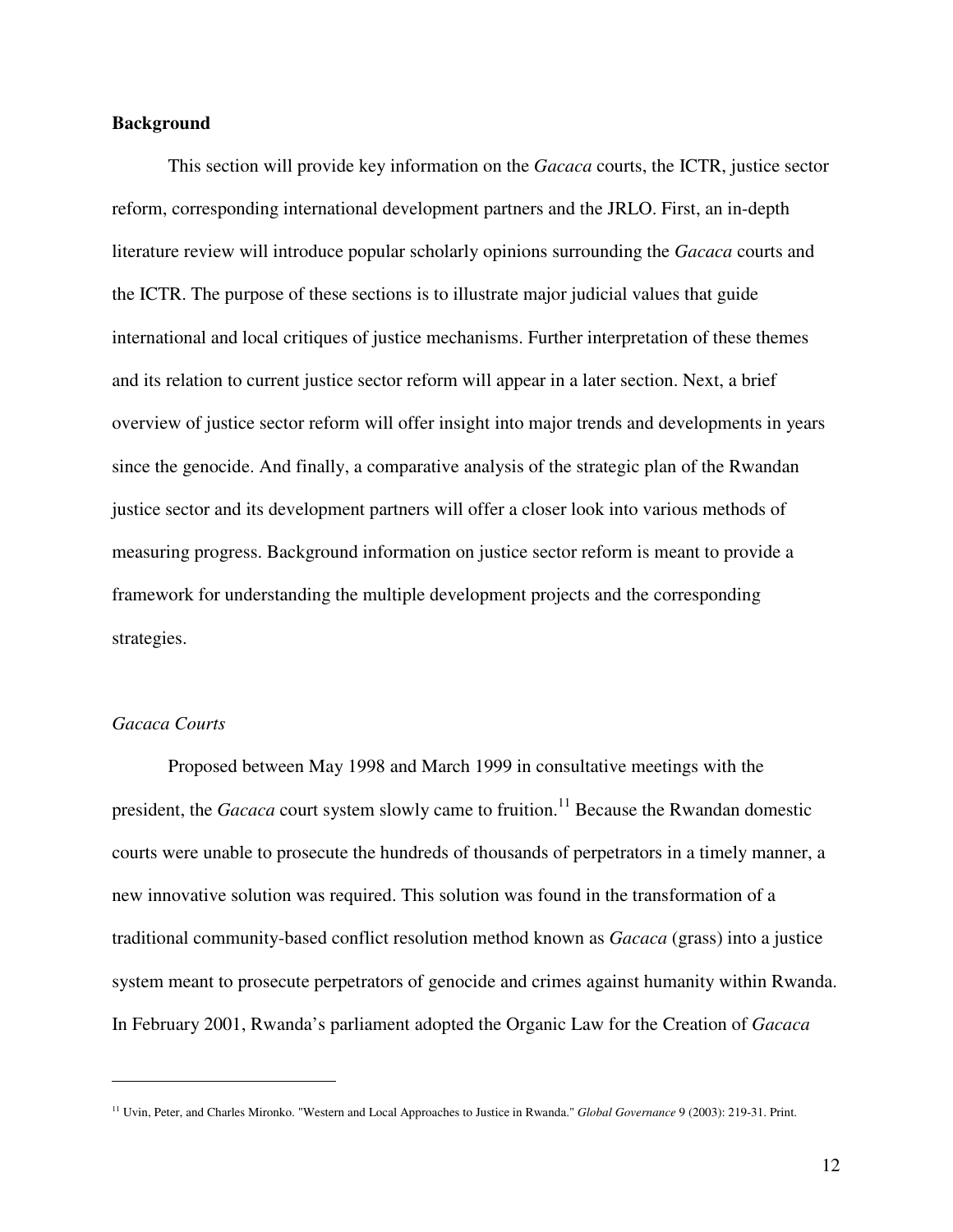#### **Background**

 This section will provide key information on the *Gacaca* courts, the ICTR, justice sector reform, corresponding international development partners and the JRLO. First, an in-depth literature review will introduce popular scholarly opinions surrounding the *Gacaca* courts and the ICTR. The purpose of these sections is to illustrate major judicial values that guide international and local critiques of justice mechanisms. Further interpretation of these themes and its relation to current justice sector reform will appear in a later section. Next, a brief overview of justice sector reform will offer insight into major trends and developments in years since the genocide. And finally, a comparative analysis of the strategic plan of the Rwandan justice sector and its development partners will offer a closer look into various methods of measuring progress. Background information on justice sector reform is meant to provide a framework for understanding the multiple development projects and the corresponding strategies.

#### *Gacaca Courts*

<u>.</u>

Proposed between May 1998 and March 1999 in consultative meetings with the president, the *Gacaca* court system slowly came to fruition.<sup>11</sup> Because the Rwandan domestic courts were unable to prosecute the hundreds of thousands of perpetrators in a timely manner, a new innovative solution was required. This solution was found in the transformation of a traditional community-based conflict resolution method known as *Gacaca* (grass) into a justice system meant to prosecute perpetrators of genocide and crimes against humanity within Rwanda. In February 2001, Rwanda's parliament adopted the Organic Law for the Creation of *Gacaca*

<sup>11</sup> Uvin, Peter, and Charles Mironko. "Western and Local Approaches to Justice in Rwanda." *Global Governance* 9 (2003): 219-31. Print.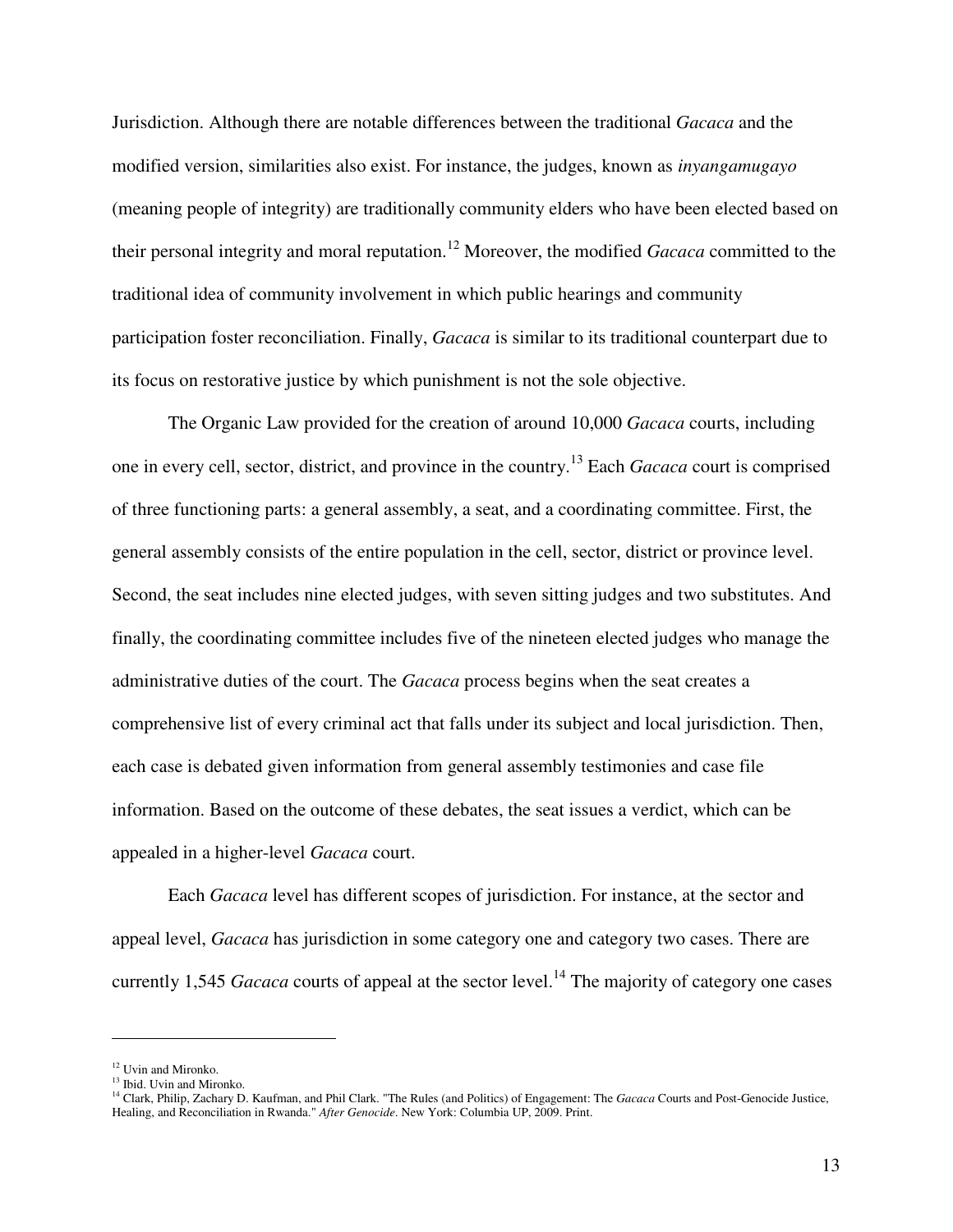Jurisdiction. Although there are notable differences between the traditional *Gacaca* and the modified version, similarities also exist. For instance, the judges, known as *inyangamugayo* (meaning people of integrity) are traditionally community elders who have been elected based on their personal integrity and moral reputation.<sup>12</sup> Moreover, the modified *Gacaca* committed to the traditional idea of community involvement in which public hearings and community participation foster reconciliation. Finally, *Gacaca* is similar to its traditional counterpart due to its focus on restorative justice by which punishment is not the sole objective.

 The Organic Law provided for the creation of around 10,000 *Gacaca* courts, including one in every cell, sector, district, and province in the country.<sup>13</sup> Each *Gacaca* court is comprised of three functioning parts: a general assembly, a seat, and a coordinating committee. First, the general assembly consists of the entire population in the cell, sector, district or province level. Second, the seat includes nine elected judges, with seven sitting judges and two substitutes. And finally, the coordinating committee includes five of the nineteen elected judges who manage the administrative duties of the court. The *Gacaca* process begins when the seat creates a comprehensive list of every criminal act that falls under its subject and local jurisdiction. Then, each case is debated given information from general assembly testimonies and case file information. Based on the outcome of these debates, the seat issues a verdict, which can be appealed in a higher-level *Gacaca* court.

 Each *Gacaca* level has different scopes of jurisdiction. For instance, at the sector and appeal level, *Gacaca* has jurisdiction in some category one and category two cases. There are currently 1,545 *Gacaca* courts of appeal at the sector level.<sup>14</sup> The majority of category one cases

<sup>&</sup>lt;sup>12</sup> Uvin and Mironko.

<sup>&</sup>lt;sup>13</sup> Ibid. Uvin and Mironko.

<sup>14</sup> Clark, Philip, Zachary D. Kaufman, and Phil Clark. "The Rules (and Politics) of Engagement: The *Gacaca* Courts and Post-Genocide Justice, Healing, and Reconciliation in Rwanda." *After Genocide*. New York: Columbia UP, 2009. Print.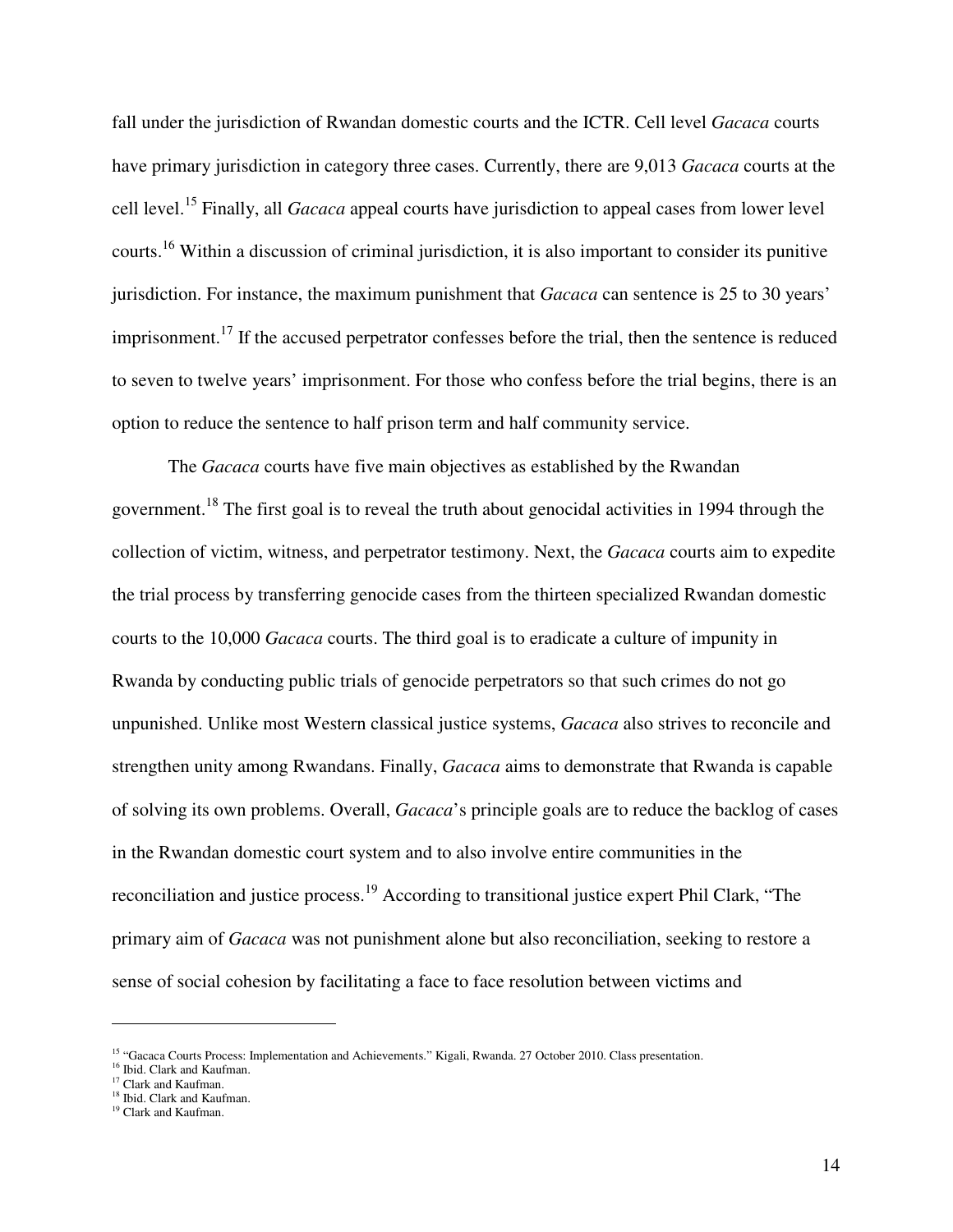fall under the jurisdiction of Rwandan domestic courts and the ICTR. Cell level *Gacaca* courts have primary jurisdiction in category three cases. Currently, there are 9,013 *Gacaca* courts at the cell level.<sup>15</sup> Finally, all *Gacaca* appeal courts have jurisdiction to appeal cases from lower level courts.<sup>16</sup> Within a discussion of criminal jurisdiction, it is also important to consider its punitive jurisdiction. For instance, the maximum punishment that *Gacaca* can sentence is 25 to 30 years' imprisonment.<sup>17</sup> If the accused perpetrator confesses before the trial, then the sentence is reduced to seven to twelve years' imprisonment. For those who confess before the trial begins, there is an option to reduce the sentence to half prison term and half community service.

 The *Gacaca* courts have five main objectives as established by the Rwandan government.<sup>18</sup> The first goal is to reveal the truth about genocidal activities in 1994 through the collection of victim, witness, and perpetrator testimony. Next, the *Gacaca* courts aim to expedite the trial process by transferring genocide cases from the thirteen specialized Rwandan domestic courts to the 10,000 *Gacaca* courts. The third goal is to eradicate a culture of impunity in Rwanda by conducting public trials of genocide perpetrators so that such crimes do not go unpunished. Unlike most Western classical justice systems, *Gacaca* also strives to reconcile and strengthen unity among Rwandans. Finally, *Gacaca* aims to demonstrate that Rwanda is capable of solving its own problems. Overall, *Gacaca*'s principle goals are to reduce the backlog of cases in the Rwandan domestic court system and to also involve entire communities in the reconciliation and justice process.<sup>19</sup> According to transitional justice expert Phil Clark, "The primary aim of *Gacaca* was not punishment alone but also reconciliation, seeking to restore a sense of social cohesion by facilitating a face to face resolution between victims and

<sup>&</sup>lt;sup>15</sup> "Gacaca Courts Process: Implementation and Achievements." Kigali, Rwanda. 27 October 2010. Class presentation.

<sup>&</sup>lt;sup>16</sup> Ibid. Clark and Kaufman.

<sup>&</sup>lt;sup>17</sup> Clark and Kaufman.

<sup>&</sup>lt;sup>18</sup> Ibid. Clark and Kaufman.

<sup>&</sup>lt;sup>19</sup> Clark and Kaufman.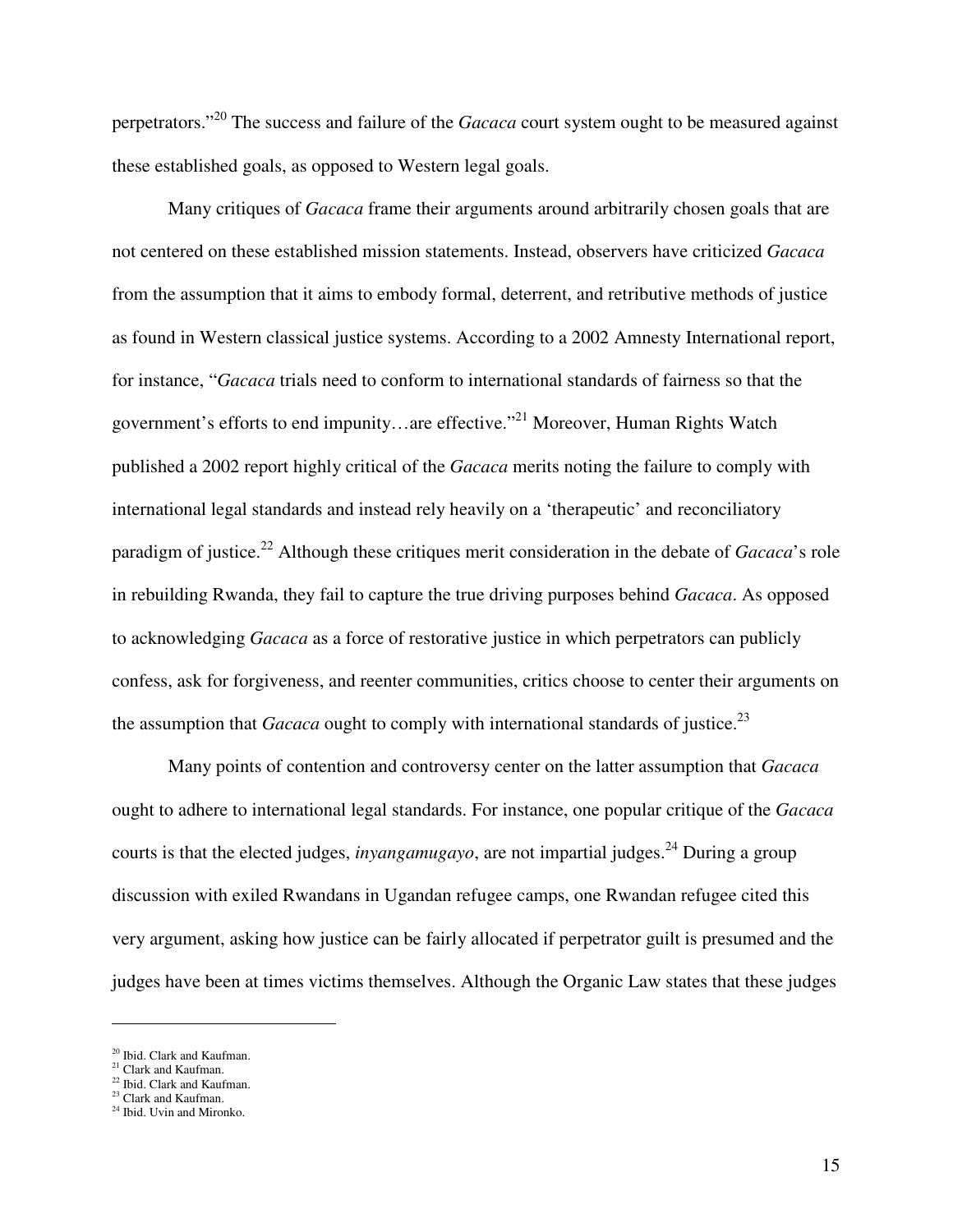perpetrators."<sup>20</sup> The success and failure of the *Gacaca* court system ought to be measured against these established goals, as opposed to Western legal goals.

 Many critiques of *Gacaca* frame their arguments around arbitrarily chosen goals that are not centered on these established mission statements. Instead, observers have criticized *Gacaca* from the assumption that it aims to embody formal, deterrent, and retributive methods of justice as found in Western classical justice systems. According to a 2002 Amnesty International report, for instance, "*Gacaca* trials need to conform to international standards of fairness so that the government's efforts to end impunity…are effective."<sup>21</sup> Moreover, Human Rights Watch published a 2002 report highly critical of the *Gacaca* merits noting the failure to comply with international legal standards and instead rely heavily on a 'therapeutic' and reconciliatory paradigm of justice.<sup>22</sup> Although these critiques merit consideration in the debate of *Gacaca*'s role in rebuilding Rwanda, they fail to capture the true driving purposes behind *Gacaca*. As opposed to acknowledging *Gacaca* as a force of restorative justice in which perpetrators can publicly confess, ask for forgiveness, and reenter communities, critics choose to center their arguments on the assumption that *Gacaca* ought to comply with international standards of justice.<sup>23</sup>

 Many points of contention and controversy center on the latter assumption that *Gacaca* ought to adhere to international legal standards. For instance, one popular critique of the *Gacaca* courts is that the elected judges, *inyangamugayo*, are not impartial judges.<sup>24</sup> During a group discussion with exiled Rwandans in Ugandan refugee camps, one Rwandan refugee cited this very argument, asking how justice can be fairly allocated if perpetrator guilt is presumed and the judges have been at times victims themselves. Although the Organic Law states that these judges

-

<sup>&</sup>lt;sup>20</sup> Ibid. Clark and Kaufman.

<sup>&</sup>lt;sup>21</sup> Clark and Kaufman.

<sup>22</sup> Ibid. Clark and Kaufman.

<sup>&</sup>lt;sup>23</sup> Clark and Kaufman.

<sup>&</sup>lt;sup>24</sup> Ibid. Uvin and Mironko.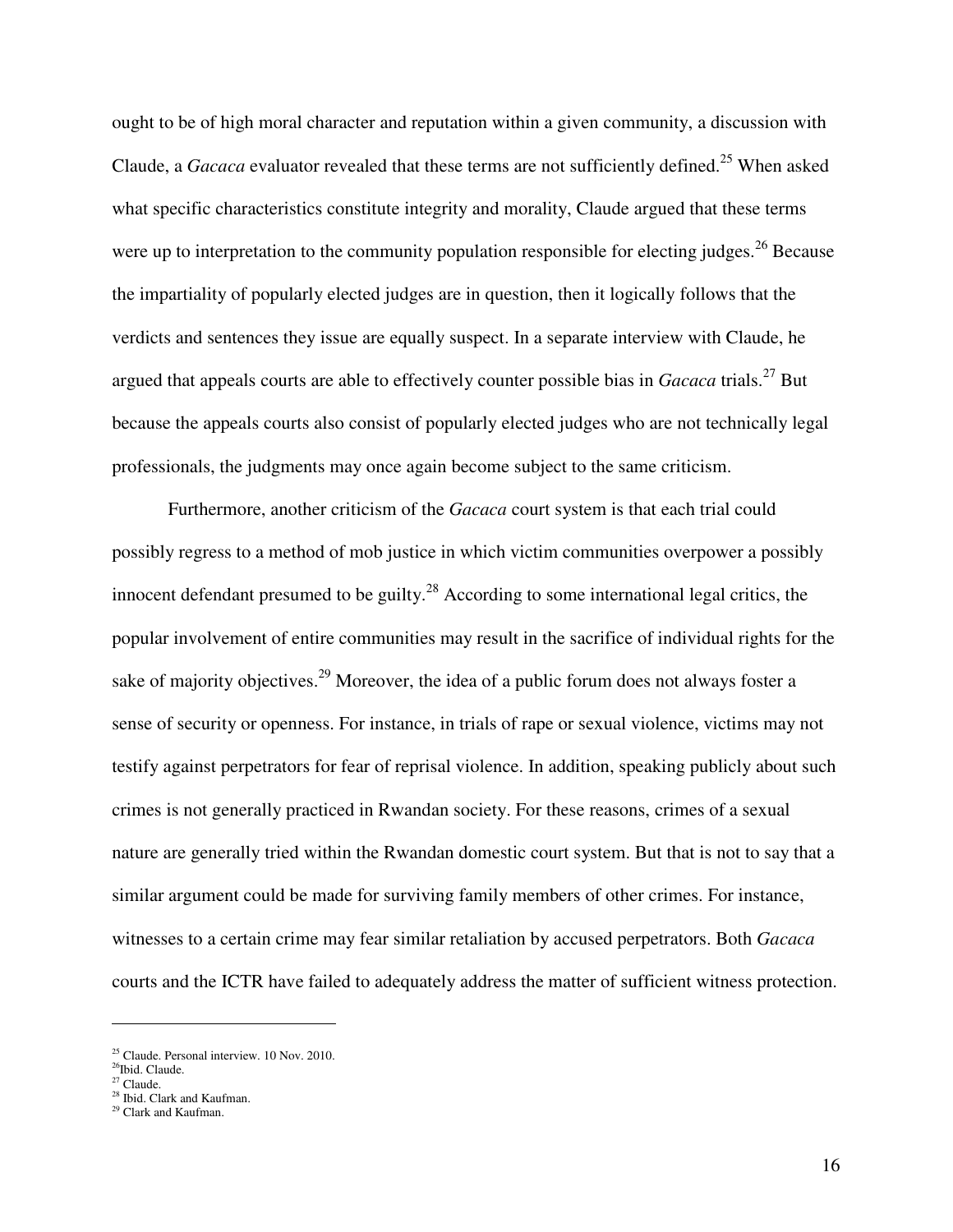ought to be of high moral character and reputation within a given community, a discussion with Claude, a *Gacaca* evaluator revealed that these terms are not sufficiently defined.<sup>25</sup> When asked what specific characteristics constitute integrity and morality, Claude argued that these terms were up to interpretation to the community population responsible for electing judges.<sup>26</sup> Because the impartiality of popularly elected judges are in question, then it logically follows that the verdicts and sentences they issue are equally suspect. In a separate interview with Claude, he argued that appeals courts are able to effectively counter possible bias in *Gacaca* trials.<sup>27</sup> But because the appeals courts also consist of popularly elected judges who are not technically legal professionals, the judgments may once again become subject to the same criticism.

 Furthermore, another criticism of the *Gacaca* court system is that each trial could possibly regress to a method of mob justice in which victim communities overpower a possibly innocent defendant presumed to be guilty.<sup>28</sup> According to some international legal critics, the popular involvement of entire communities may result in the sacrifice of individual rights for the sake of majority objectives.<sup>29</sup> Moreover, the idea of a public forum does not always foster a sense of security or openness. For instance, in trials of rape or sexual violence, victims may not testify against perpetrators for fear of reprisal violence. In addition, speaking publicly about such crimes is not generally practiced in Rwandan society. For these reasons, crimes of a sexual nature are generally tried within the Rwandan domestic court system. But that is not to say that a similar argument could be made for surviving family members of other crimes. For instance, witnesses to a certain crime may fear similar retaliation by accused perpetrators. Both *Gacaca* courts and the ICTR have failed to adequately address the matter of sufficient witness protection.

-

<sup>&</sup>lt;sup>25</sup> Claude. Personal interview. 10 Nov. 2010.

 $26$ Ibid. Claude.

 $27$  Claude.

<sup>&</sup>lt;sup>28</sup> Ibid. Clark and Kaufman.

<sup>&</sup>lt;sup>29</sup> Clark and Kaufman.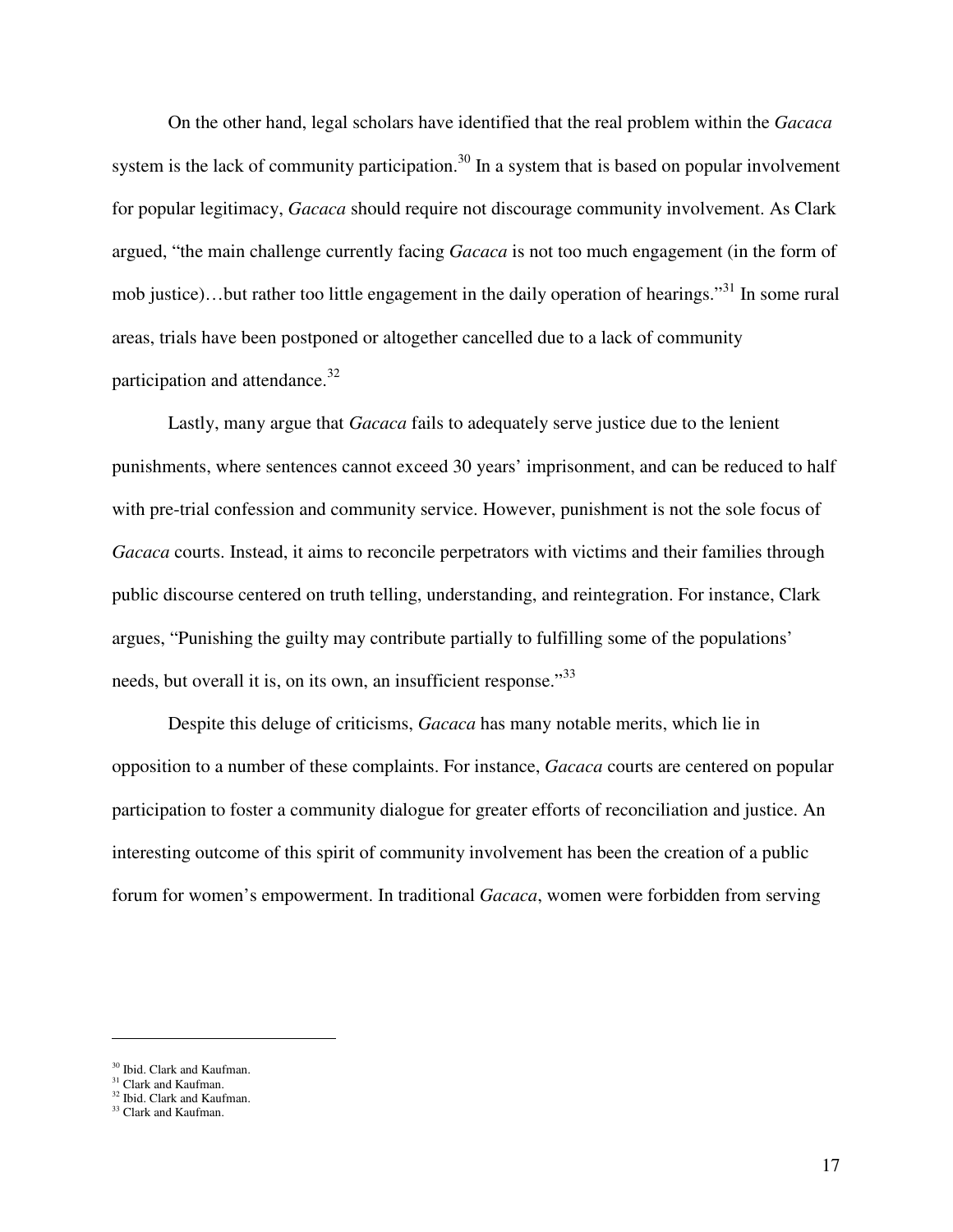On the other hand, legal scholars have identified that the real problem within the *Gacaca* system is the lack of community participation.<sup>30</sup> In a system that is based on popular involvement for popular legitimacy, *Gacaca* should require not discourage community involvement. As Clark argued, "the main challenge currently facing *Gacaca* is not too much engagement (in the form of mob justice)…but rather too little engagement in the daily operation of hearings."<sup>31</sup> In some rural areas, trials have been postponed or altogether cancelled due to a lack of community participation and attendance.<sup>32</sup>

 Lastly, many argue that *Gacaca* fails to adequately serve justice due to the lenient punishments, where sentences cannot exceed 30 years' imprisonment, and can be reduced to half with pre-trial confession and community service. However, punishment is not the sole focus of *Gacaca* courts. Instead, it aims to reconcile perpetrators with victims and their families through public discourse centered on truth telling, understanding, and reintegration. For instance, Clark argues, "Punishing the guilty may contribute partially to fulfilling some of the populations' needs, but overall it is, on its own, an insufficient response.<sup>33</sup>

Despite this deluge of criticisms, *Gacaca* has many notable merits, which lie in opposition to a number of these complaints. For instance, *Gacaca* courts are centered on popular participation to foster a community dialogue for greater efforts of reconciliation and justice. An interesting outcome of this spirit of community involvement has been the creation of a public forum for women's empowerment. In traditional *Gacaca*, women were forbidden from serving

<sup>30</sup> Ibid. Clark and Kaufman.

<sup>&</sup>lt;sup>31</sup> Clark and Kaufman.

<sup>&</sup>lt;sup>32</sup> Ibid. Clark and Kaufman.

<sup>&</sup>lt;sup>33</sup> Clark and Kaufman.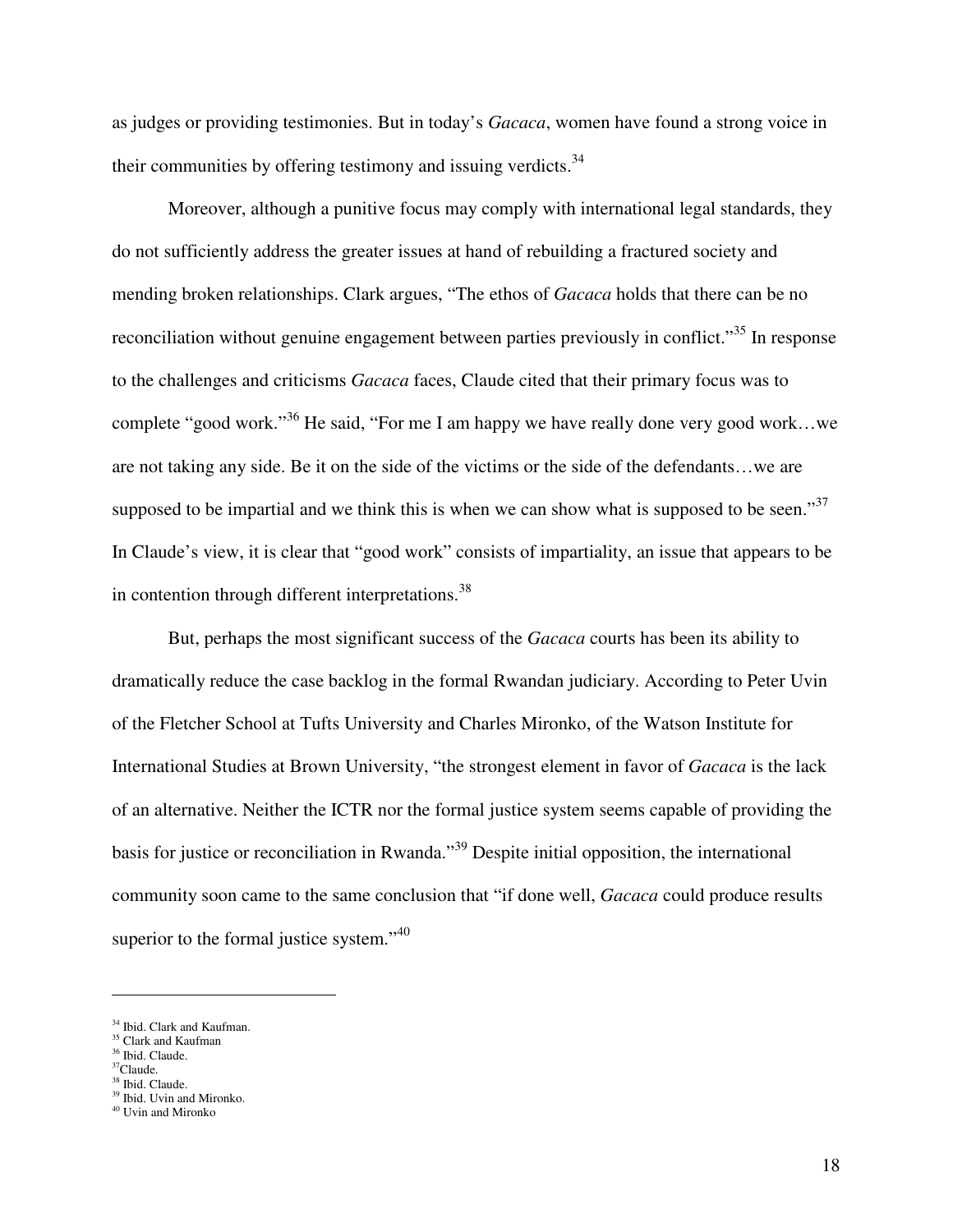as judges or providing testimonies. But in today's *Gacaca*, women have found a strong voice in their communities by offering testimony and issuing verdicts. $34$ 

Moreover, although a punitive focus may comply with international legal standards, they do not sufficiently address the greater issues at hand of rebuilding a fractured society and mending broken relationships. Clark argues, "The ethos of *Gacaca* holds that there can be no reconciliation without genuine engagement between parties previously in conflict."<sup>35</sup> In response to the challenges and criticisms *Gacaca* faces, Claude cited that their primary focus was to complete "good work."<sup>36</sup> He said, "For me I am happy we have really done very good work…we are not taking any side. Be it on the side of the victims or the side of the defendants…we are supposed to be impartial and we think this is when we can show what is supposed to be seen."<sup>37</sup> In Claude's view, it is clear that "good work" consists of impartiality, an issue that appears to be in contention through different interpretations.<sup>38</sup>

But, perhaps the most significant success of the *Gacaca* courts has been its ability to dramatically reduce the case backlog in the formal Rwandan judiciary. According to Peter Uvin of the Fletcher School at Tufts University and Charles Mironko, of the Watson Institute for International Studies at Brown University, "the strongest element in favor of *Gacaca* is the lack of an alternative. Neither the ICTR nor the formal justice system seems capable of providing the basis for justice or reconciliation in Rwanda."<sup>39</sup> Despite initial opposition, the international community soon came to the same conclusion that "if done well, *Gacaca* could produce results superior to the formal justice system." $40$ 

-

<sup>&</sup>lt;sup>34</sup> Ibid. Clark and Kaufman.

<sup>&</sup>lt;sup>35</sup> Clark and Kaufman <sup>36</sup> Ibid. Claude.

 $37$ Claude.

<sup>&</sup>lt;sup>38</sup> Ibid. Claude.

<sup>&</sup>lt;sup>39</sup> Ibid. Uvin and Mironko. <sup>40</sup> Uvin and Mironko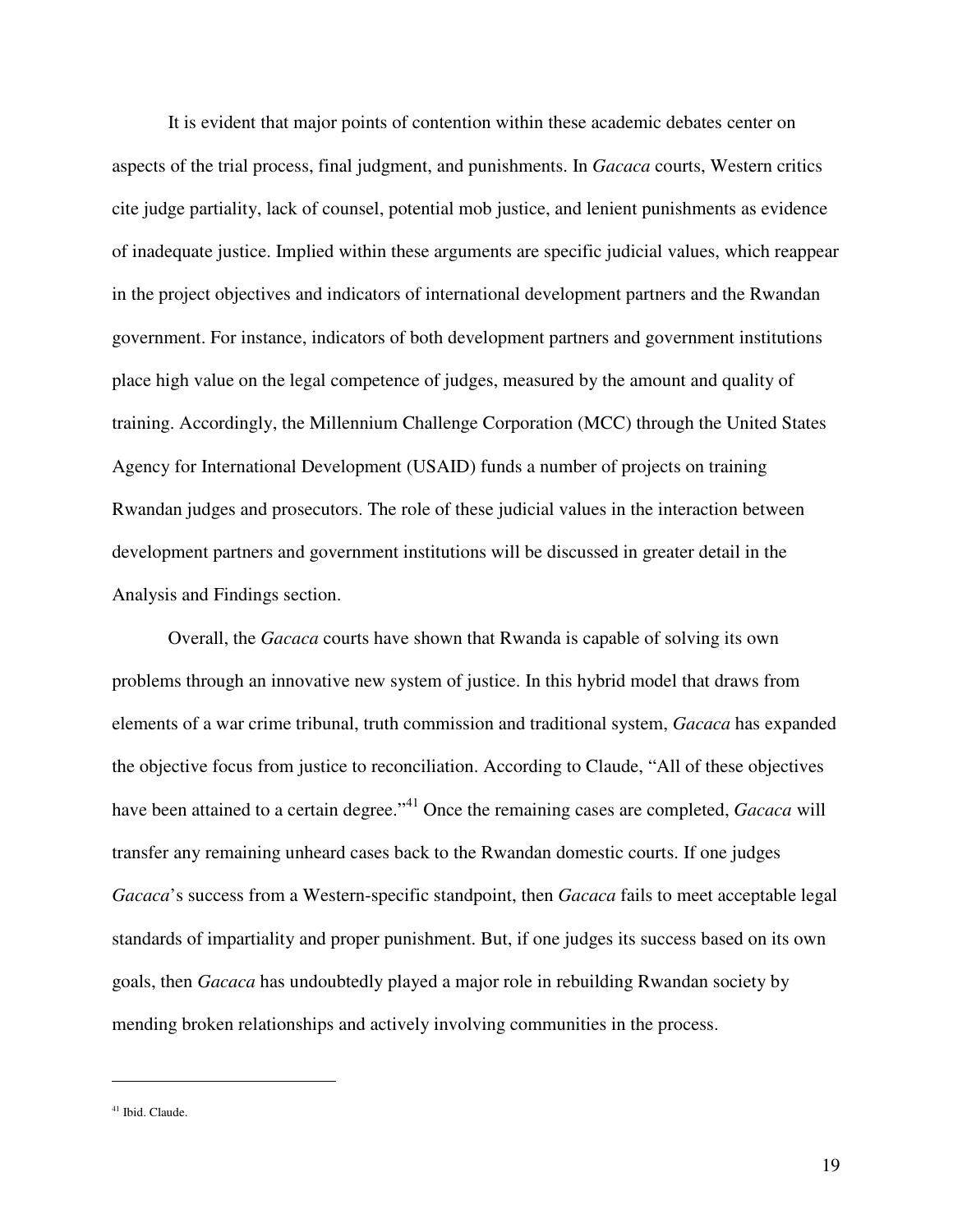It is evident that major points of contention within these academic debates center on aspects of the trial process, final judgment, and punishments. In *Gacaca* courts, Western critics cite judge partiality, lack of counsel, potential mob justice, and lenient punishments as evidence of inadequate justice. Implied within these arguments are specific judicial values, which reappear in the project objectives and indicators of international development partners and the Rwandan government. For instance, indicators of both development partners and government institutions place high value on the legal competence of judges, measured by the amount and quality of training. Accordingly, the Millennium Challenge Corporation (MCC) through the United States Agency for International Development (USAID) funds a number of projects on training Rwandan judges and prosecutors. The role of these judicial values in the interaction between development partners and government institutions will be discussed in greater detail in the Analysis and Findings section.

Overall, the *Gacaca* courts have shown that Rwanda is capable of solving its own problems through an innovative new system of justice. In this hybrid model that draws from elements of a war crime tribunal, truth commission and traditional system, *Gacaca* has expanded the objective focus from justice to reconciliation. According to Claude, "All of these objectives have been attained to a certain degree."<sup>41</sup> Once the remaining cases are completed, *Gacaca* will transfer any remaining unheard cases back to the Rwandan domestic courts. If one judges *Gacaca*'s success from a Western-specific standpoint, then *Gacaca* fails to meet acceptable legal standards of impartiality and proper punishment. But, if one judges its success based on its own goals, then *Gacaca* has undoubtedly played a major role in rebuilding Rwandan society by mending broken relationships and actively involving communities in the process.

<u>.</u>

<sup>&</sup>lt;sup>41</sup> Ibid. Claude.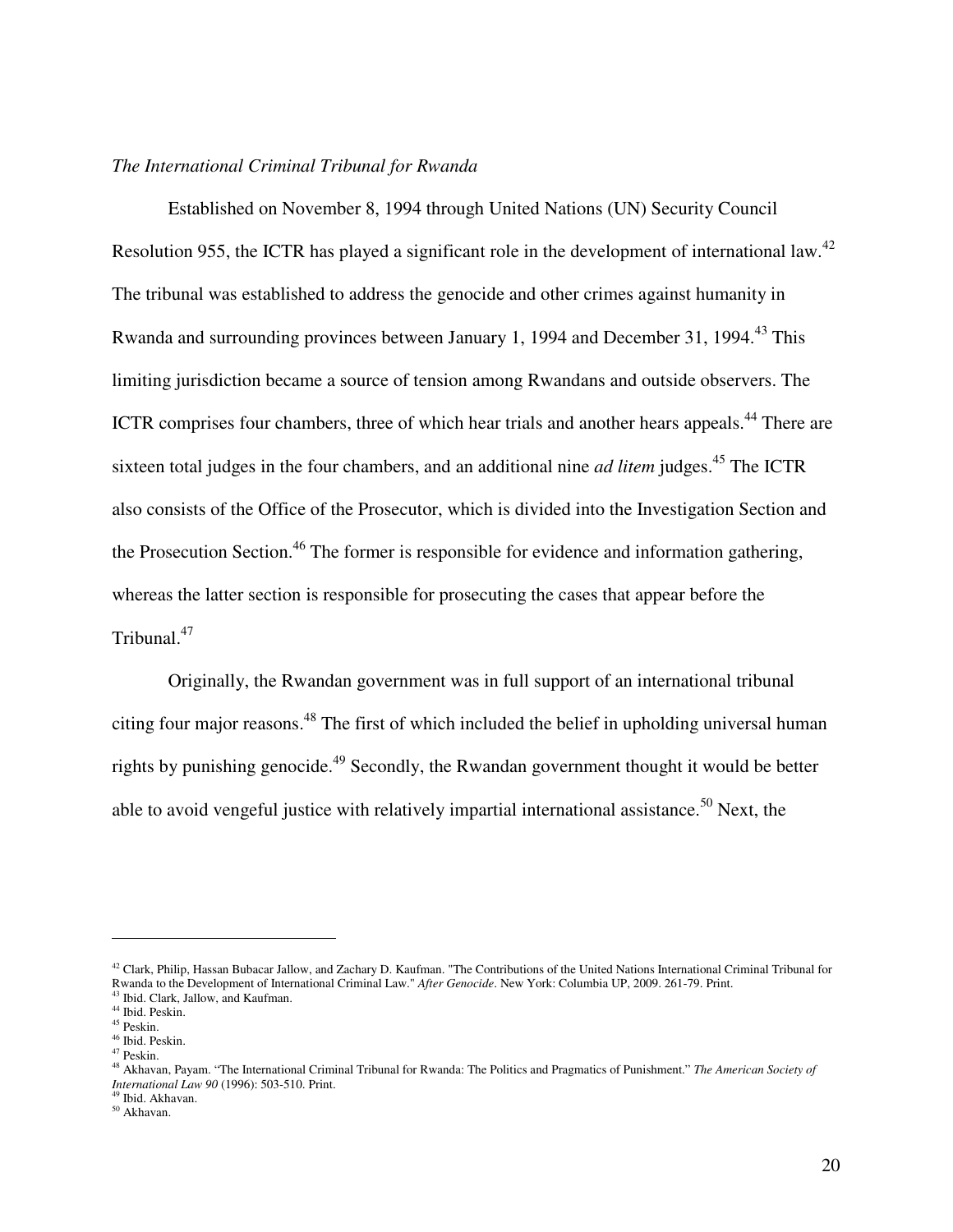#### *The International Criminal Tribunal for Rwanda*

 Established on November 8, 1994 through United Nations (UN) Security Council Resolution 955, the ICTR has played a significant role in the development of international law.<sup>42</sup> The tribunal was established to address the genocide and other crimes against humanity in Rwanda and surrounding provinces between January 1, 1994 and December 31, 1994.<sup>43</sup> This limiting jurisdiction became a source of tension among Rwandans and outside observers. The ICTR comprises four chambers, three of which hear trials and another hears appeals.<sup>44</sup> There are sixteen total judges in the four chambers, and an additional nine *ad litem* judges.<sup>45</sup> The ICTR also consists of the Office of the Prosecutor, which is divided into the Investigation Section and the Prosecution Section.<sup>46</sup> The former is responsible for evidence and information gathering, whereas the latter section is responsible for prosecuting the cases that appear before the Tribunal.<sup>47</sup>

Originally, the Rwandan government was in full support of an international tribunal citing four major reasons.<sup>48</sup> The first of which included the belief in upholding universal human rights by punishing genocide.<sup>49</sup> Secondly, the Rwandan government thought it would be better able to avoid vengeful justice with relatively impartial international assistance.<sup>50</sup> Next, the

-

 $42$  Clark, Philip, Hassan Bubacar Jallow, and Zachary D. Kaufman. "The Contributions of the United Nations International Criminal Tribunal for Rwanda to the Development of International Criminal Law." *After Genocide*. New York: Columbia UP, 2009. 261-79. Print. <sup>43</sup> Ibid. Clark, Jallow, and Kaufman.

<sup>44</sup> Ibid. Peskin.

 $^{45}$  Peskin.

<sup>46</sup> Ibid. Peskin.

<sup>47</sup> Peskin.

<sup>48</sup> Akhavan, Payam. "The International Criminal Tribunal for Rwanda: The Politics and Pragmatics of Punishment." *The American Society of International Law 90* (1996): 503-510. Print.

<sup>49</sup> Ibid. Akhavan.

<sup>50</sup> Akhavan.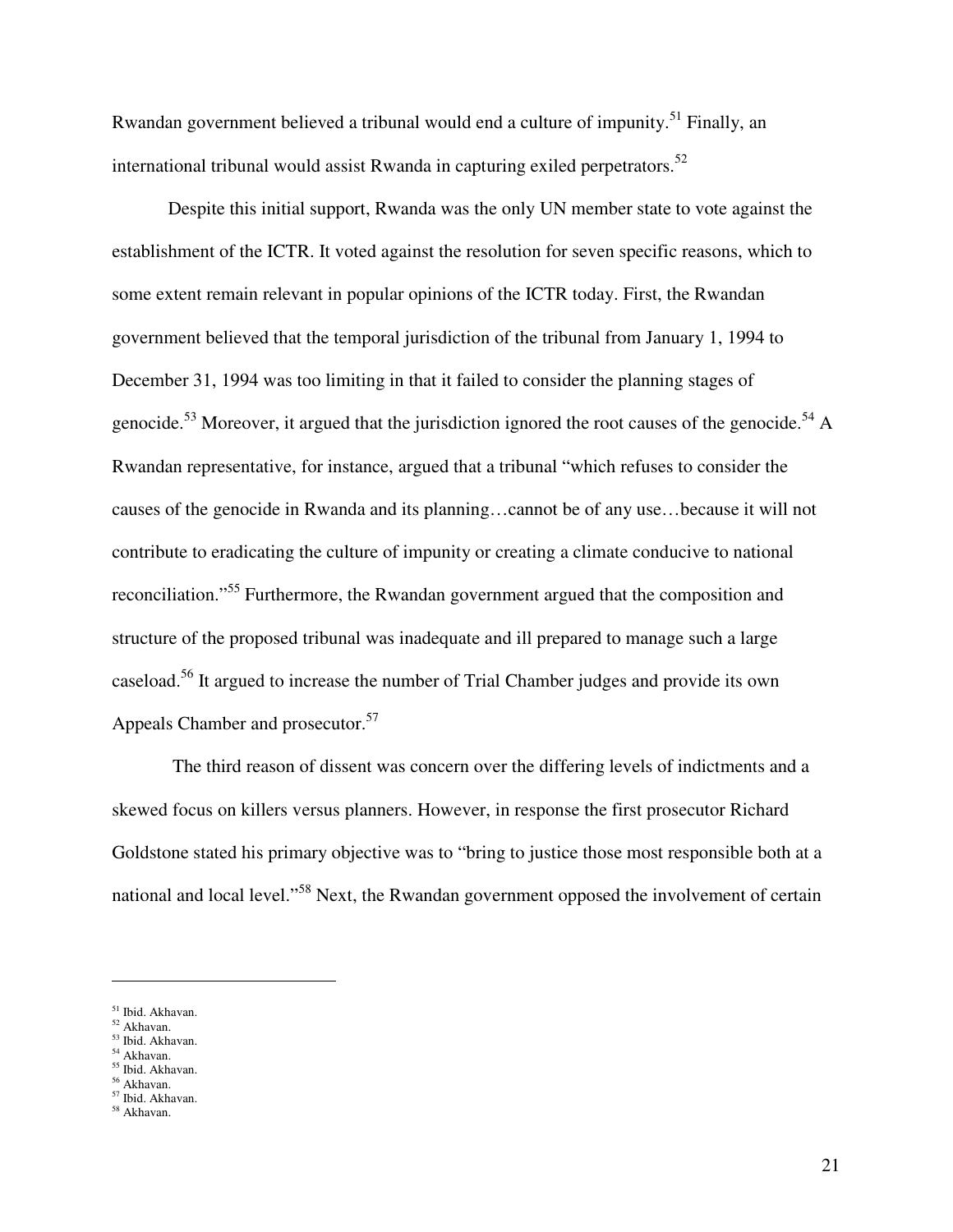Rwandan government believed a tribunal would end a culture of impunity.<sup>51</sup> Finally, an international tribunal would assist Rwanda in capturing exiled perpetrators.<sup>52</sup>

Despite this initial support, Rwanda was the only UN member state to vote against the establishment of the ICTR. It voted against the resolution for seven specific reasons, which to some extent remain relevant in popular opinions of the ICTR today. First, the Rwandan government believed that the temporal jurisdiction of the tribunal from January 1, 1994 to December 31, 1994 was too limiting in that it failed to consider the planning stages of genocide.<sup>53</sup> Moreover, it argued that the jurisdiction ignored the root causes of the genocide.<sup>54</sup> A Rwandan representative, for instance, argued that a tribunal "which refuses to consider the causes of the genocide in Rwanda and its planning…cannot be of any use…because it will not contribute to eradicating the culture of impunity or creating a climate conducive to national reconciliation."<sup>55</sup> Furthermore, the Rwandan government argued that the composition and structure of the proposed tribunal was inadequate and ill prepared to manage such a large caseload.<sup>56</sup> It argued to increase the number of Trial Chamber judges and provide its own Appeals Chamber and prosecutor.<sup>57</sup>

 The third reason of dissent was concern over the differing levels of indictments and a skewed focus on killers versus planners. However, in response the first prosecutor Richard Goldstone stated his primary objective was to "bring to justice those most responsible both at a national and local level."<sup>58</sup> Next, the Rwandan government opposed the involvement of certain

- <sup>52</sup> Akhavan. <sup>53</sup> Ibid. Akhavan.
- <sup>54</sup> Akhavan.

 $\overline{a}$ 

- <sup>55</sup> Ibid. Akhavan.
- <sup>56</sup> Akhavan.

<sup>58</sup> Akhavan.

<sup>&</sup>lt;sup>51</sup> Ibid. Akhavan.

<sup>57</sup> Ibid. Akhavan.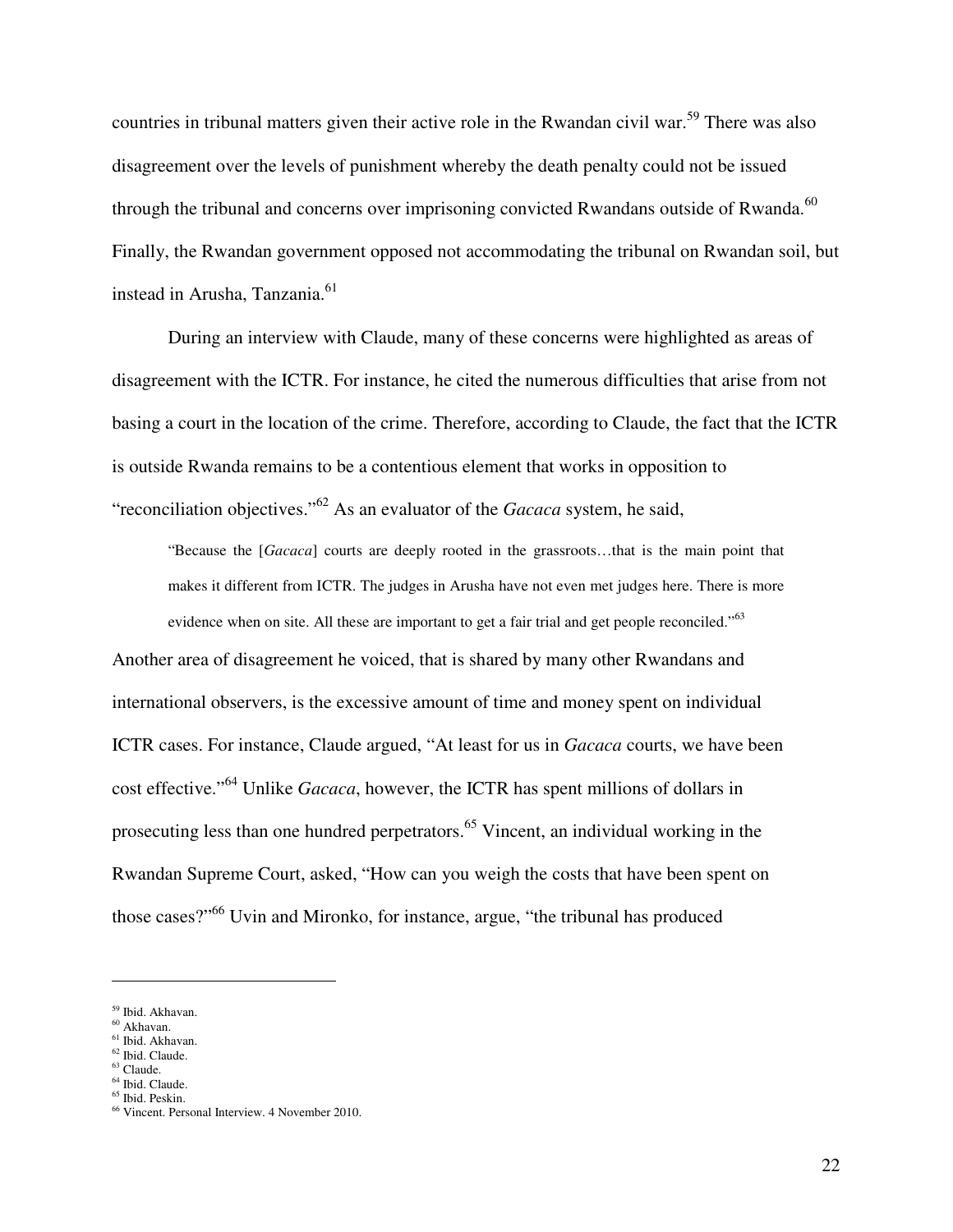countries in tribunal matters given their active role in the Rwandan civil war.<sup>59</sup> There was also disagreement over the levels of punishment whereby the death penalty could not be issued through the tribunal and concerns over imprisoning convicted Rwandans outside of Rwanda.<sup>60</sup> Finally, the Rwandan government opposed not accommodating the tribunal on Rwandan soil, but instead in Arusha, Tanzania.<sup>61</sup>

During an interview with Claude, many of these concerns were highlighted as areas of disagreement with the ICTR. For instance, he cited the numerous difficulties that arise from not basing a court in the location of the crime. Therefore, according to Claude, the fact that the ICTR is outside Rwanda remains to be a contentious element that works in opposition to "reconciliation objectives."<sup>62</sup> As an evaluator of the *Gacaca* system, he said,

"Because the [*Gacaca*] courts are deeply rooted in the grassroots…that is the main point that makes it different from ICTR. The judges in Arusha have not even met judges here. There is more evidence when on site. All these are important to get a fair trial and get people reconciled."<sup>63</sup>

Another area of disagreement he voiced, that is shared by many other Rwandans and international observers, is the excessive amount of time and money spent on individual ICTR cases. For instance, Claude argued, "At least for us in *Gacaca* courts, we have been cost effective."<sup>64</sup> Unlike *Gacaca*, however, the ICTR has spent millions of dollars in prosecuting less than one hundred perpetrators.<sup>65</sup> Vincent, an individual working in the Rwandan Supreme Court, asked, "How can you weigh the costs that have been spent on those cases?"<sup>66</sup> Uvin and Mironko, for instance, argue, "the tribunal has produced

- <sup>60</sup> Akhavan. <sup>61</sup> Ibid. Akhavan.
- <sup>62</sup> Ibid. Claude.
- $63$  Claude.

<u>.</u>

<sup>65</sup> Ibid. Peskin.

<sup>59</sup> Ibid. Akhavan.

<sup>64</sup> Ibid. Claude.

<sup>66</sup> Vincent. Personal Interview. 4 November 2010.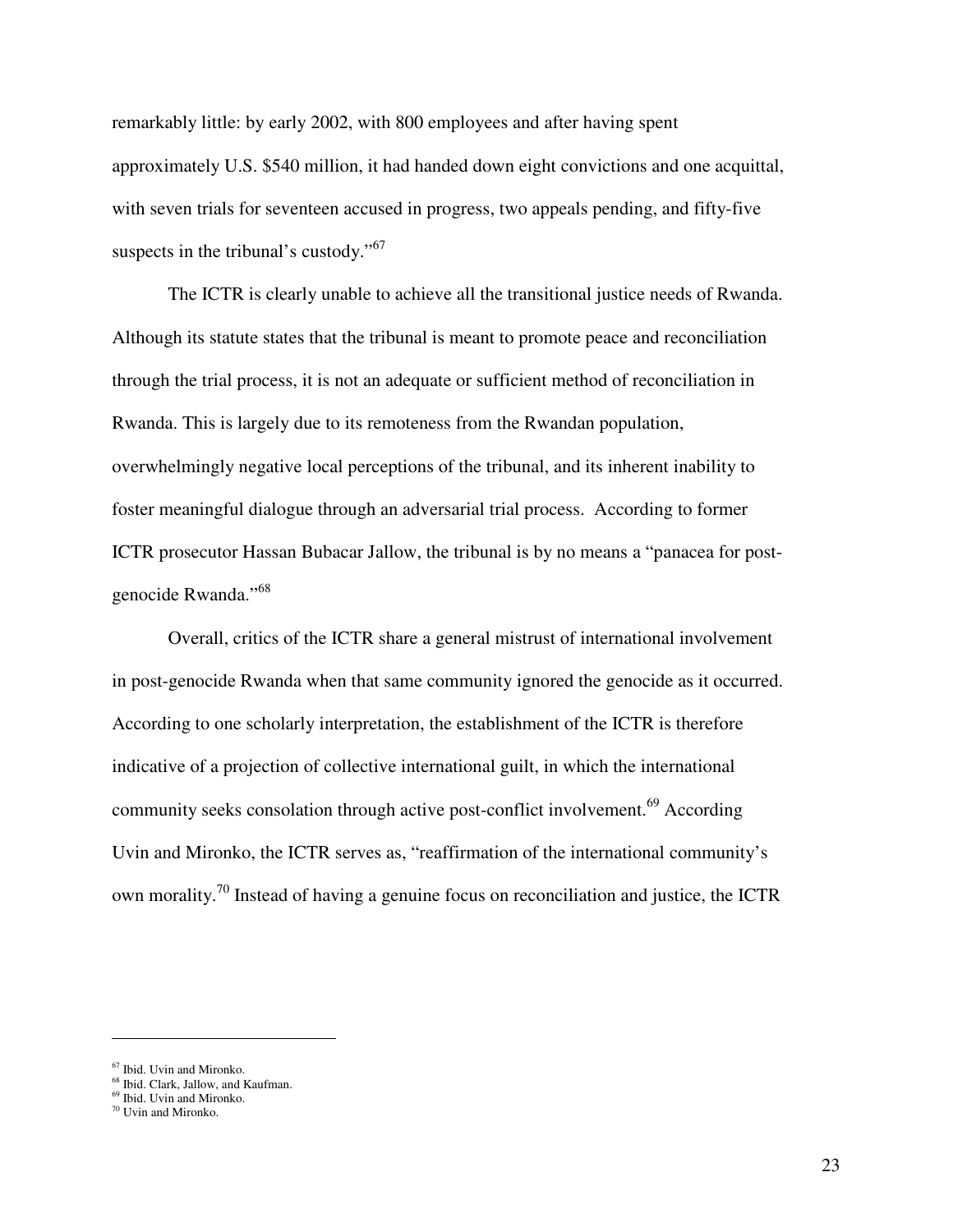remarkably little: by early 2002, with 800 employees and after having spent approximately U.S. \$540 million, it had handed down eight convictions and one acquittal, with seven trials for seventeen accused in progress, two appeals pending, and fifty-five suspects in the tribunal's custody."<sup>67</sup>

 The ICTR is clearly unable to achieve all the transitional justice needs of Rwanda. Although its statute states that the tribunal is meant to promote peace and reconciliation through the trial process, it is not an adequate or sufficient method of reconciliation in Rwanda. This is largely due to its remoteness from the Rwandan population, overwhelmingly negative local perceptions of the tribunal, and its inherent inability to foster meaningful dialogue through an adversarial trial process. According to former ICTR prosecutor Hassan Bubacar Jallow, the tribunal is by no means a "panacea for postgenocide Rwanda."<sup>68</sup>

Overall, critics of the ICTR share a general mistrust of international involvement in post-genocide Rwanda when that same community ignored the genocide as it occurred. According to one scholarly interpretation, the establishment of the ICTR is therefore indicative of a projection of collective international guilt, in which the international community seeks consolation through active post-conflict involvement.<sup>69</sup> According Uvin and Mironko, the ICTR serves as, "reaffirmation of the international community's own morality.<sup>70</sup> Instead of having a genuine focus on reconciliation and justice, the ICTR

<sup>67</sup> Ibid. Uvin and Mironko.

 $68$  Ibid. Clark, Jallow, and Kaufman.

<sup>69</sup> Ibid. Uvin and Mironko.

<sup>70</sup> Uvin and Mironko.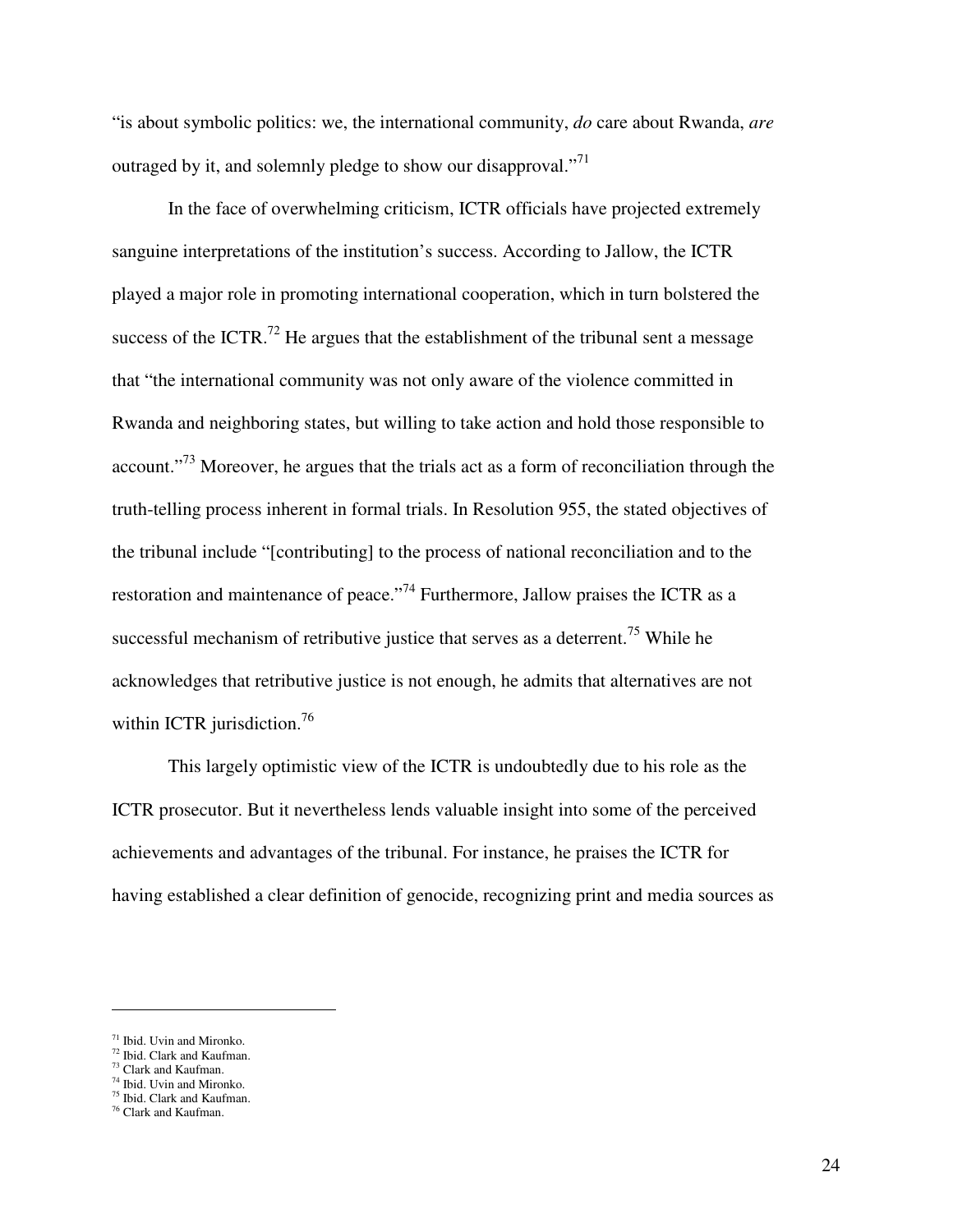"is about symbolic politics: we, the international community, *do* care about Rwanda, *are*  outraged by it, and solemnly pledge to show our disapproval."<sup>71</sup>

 In the face of overwhelming criticism, ICTR officials have projected extremely sanguine interpretations of the institution's success. According to Jallow, the ICTR played a major role in promoting international cooperation, which in turn bolstered the success of the ICTR.<sup>72</sup> He argues that the establishment of the tribunal sent a message that "the international community was not only aware of the violence committed in Rwanda and neighboring states, but willing to take action and hold those responsible to account."<sup>73</sup> Moreover, he argues that the trials act as a form of reconciliation through the truth-telling process inherent in formal trials. In Resolution 955, the stated objectives of the tribunal include "[contributing] to the process of national reconciliation and to the restoration and maintenance of peace."<sup>74</sup> Furthermore, Jallow praises the ICTR as a successful mechanism of retributive justice that serves as a deterrent.<sup>75</sup> While he acknowledges that retributive justice is not enough, he admits that alternatives are not within ICTR jurisdiction.<sup>76</sup>

 This largely optimistic view of the ICTR is undoubtedly due to his role as the ICTR prosecutor. But it nevertheless lends valuable insight into some of the perceived achievements and advantages of the tribunal. For instance, he praises the ICTR for having established a clear definition of genocide, recognizing print and media sources as

<sup>71</sup> Ibid. Uvin and Mironko.

<sup>72</sup> Ibid. Clark and Kaufman. <sup>73</sup> Clark and Kaufman.

<sup>74</sup> Ibid. Uvin and Mironko. <sup>75</sup> Ibid. Clark and Kaufman.

<sup>76</sup> Clark and Kaufman.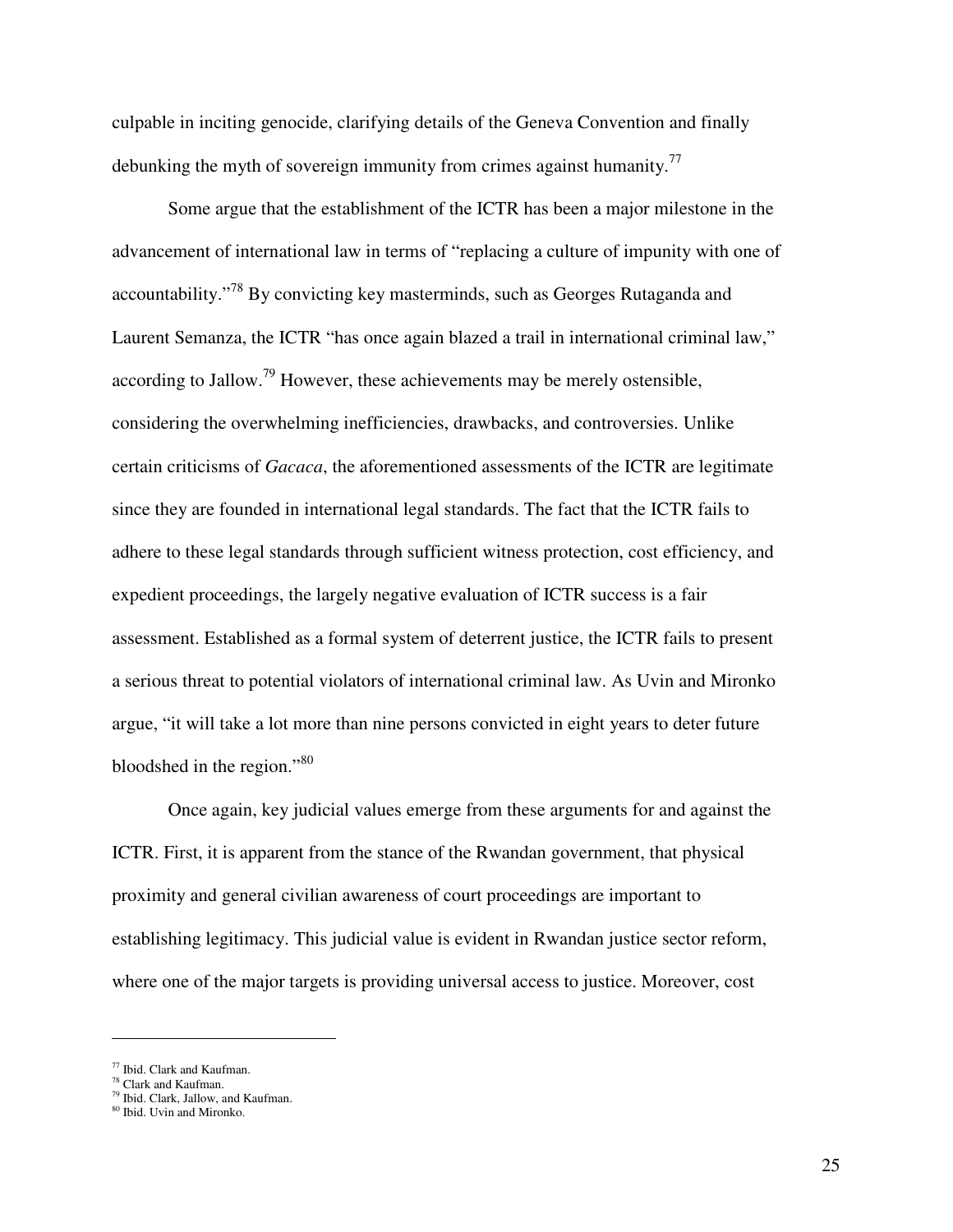culpable in inciting genocide, clarifying details of the Geneva Convention and finally debunking the myth of sovereign immunity from crimes against humanity.<sup>77</sup>

Some argue that the establishment of the ICTR has been a major milestone in the advancement of international law in terms of "replacing a culture of impunity with one of accountability."<sup>78</sup> By convicting key masterminds, such as Georges Rutaganda and Laurent Semanza, the ICTR "has once again blazed a trail in international criminal law," according to Jallow.<sup>79</sup> However, these achievements may be merely ostensible, considering the overwhelming inefficiencies, drawbacks, and controversies. Unlike certain criticisms of *Gacaca*, the aforementioned assessments of the ICTR are legitimate since they are founded in international legal standards. The fact that the ICTR fails to adhere to these legal standards through sufficient witness protection, cost efficiency, and expedient proceedings, the largely negative evaluation of ICTR success is a fair assessment. Established as a formal system of deterrent justice, the ICTR fails to present a serious threat to potential violators of international criminal law. As Uvin and Mironko argue, "it will take a lot more than nine persons convicted in eight years to deter future bloodshed in the region."<sup>80</sup>

Once again, key judicial values emerge from these arguments for and against the ICTR. First, it is apparent from the stance of the Rwandan government, that physical proximity and general civilian awareness of court proceedings are important to establishing legitimacy. This judicial value is evident in Rwandan justice sector reform, where one of the major targets is providing universal access to justice. Moreover, cost

<u>.</u>

<sup>77</sup> Ibid. Clark and Kaufman.

<sup>&</sup>lt;sup>78</sup> Clark and Kaufman.

<sup>&</sup>lt;sup>79</sup> Ibid. Clark, Jallow, and Kaufman.

<sup>80</sup> Ibid. Uvin and Mironko.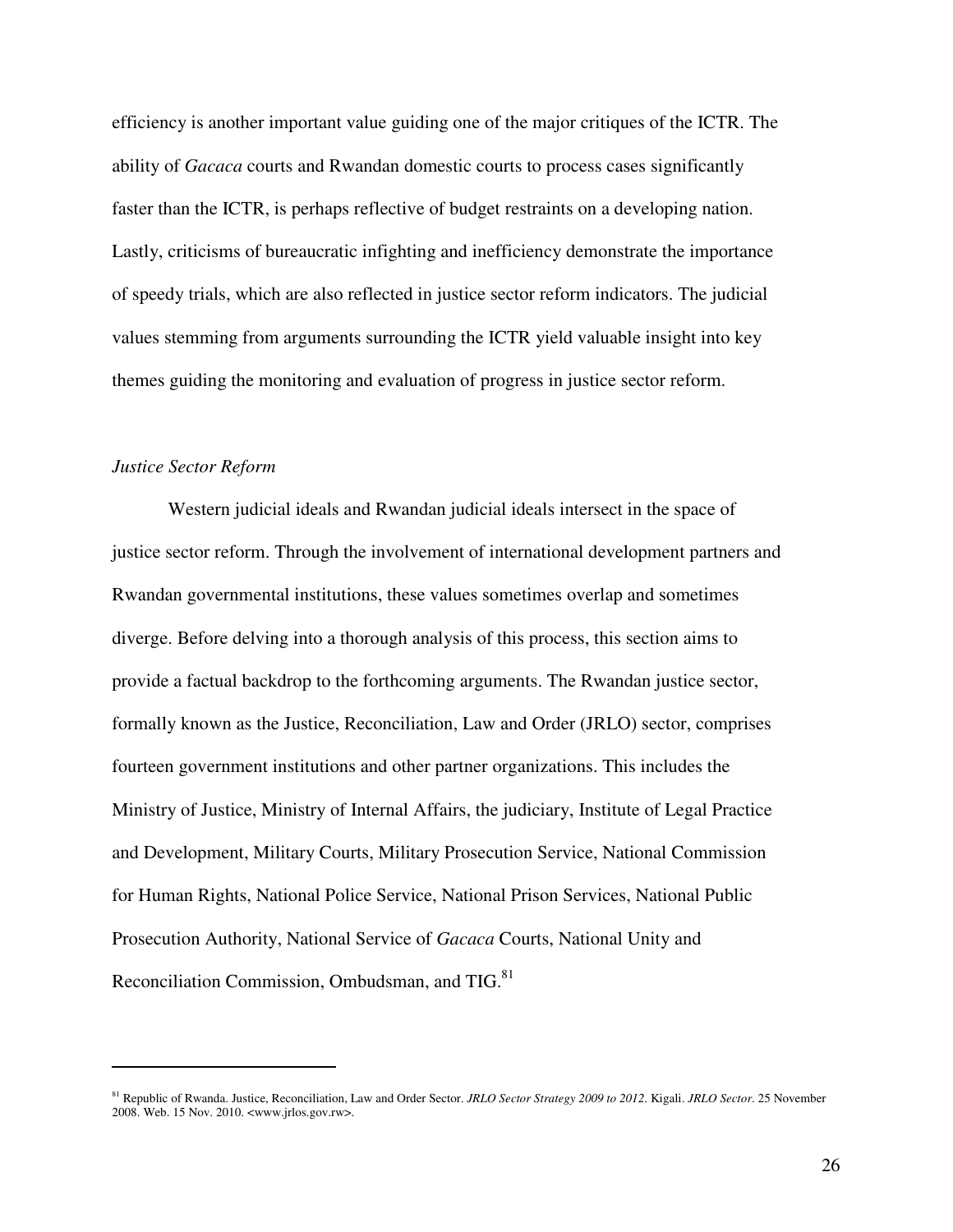efficiency is another important value guiding one of the major critiques of the ICTR. The ability of *Gacaca* courts and Rwandan domestic courts to process cases significantly faster than the ICTR, is perhaps reflective of budget restraints on a developing nation. Lastly, criticisms of bureaucratic infighting and inefficiency demonstrate the importance of speedy trials, which are also reflected in justice sector reform indicators. The judicial values stemming from arguments surrounding the ICTR yield valuable insight into key themes guiding the monitoring and evaluation of progress in justice sector reform.

#### *Justice Sector Reform*

 $\overline{a}$ 

Western judicial ideals and Rwandan judicial ideals intersect in the space of justice sector reform. Through the involvement of international development partners and Rwandan governmental institutions, these values sometimes overlap and sometimes diverge. Before delving into a thorough analysis of this process, this section aims to provide a factual backdrop to the forthcoming arguments. The Rwandan justice sector, formally known as the Justice, Reconciliation, Law and Order (JRLO) sector, comprises fourteen government institutions and other partner organizations. This includes the Ministry of Justice, Ministry of Internal Affairs, the judiciary, Institute of Legal Practice and Development, Military Courts, Military Prosecution Service, National Commission for Human Rights, National Police Service, National Prison Services, National Public Prosecution Authority, National Service of *Gacaca* Courts, National Unity and Reconciliation Commission, Ombudsman, and TIG.<sup>81</sup>

<sup>81</sup> Republic of Rwanda. Justice, Reconciliation, Law and Order Sector. *JRLO Sector Strategy 2009 to 2012*. Kigali. *JRLO Sector*. 25 November 2008. Web. 15 Nov. 2010. <www.jrlos.gov.rw>.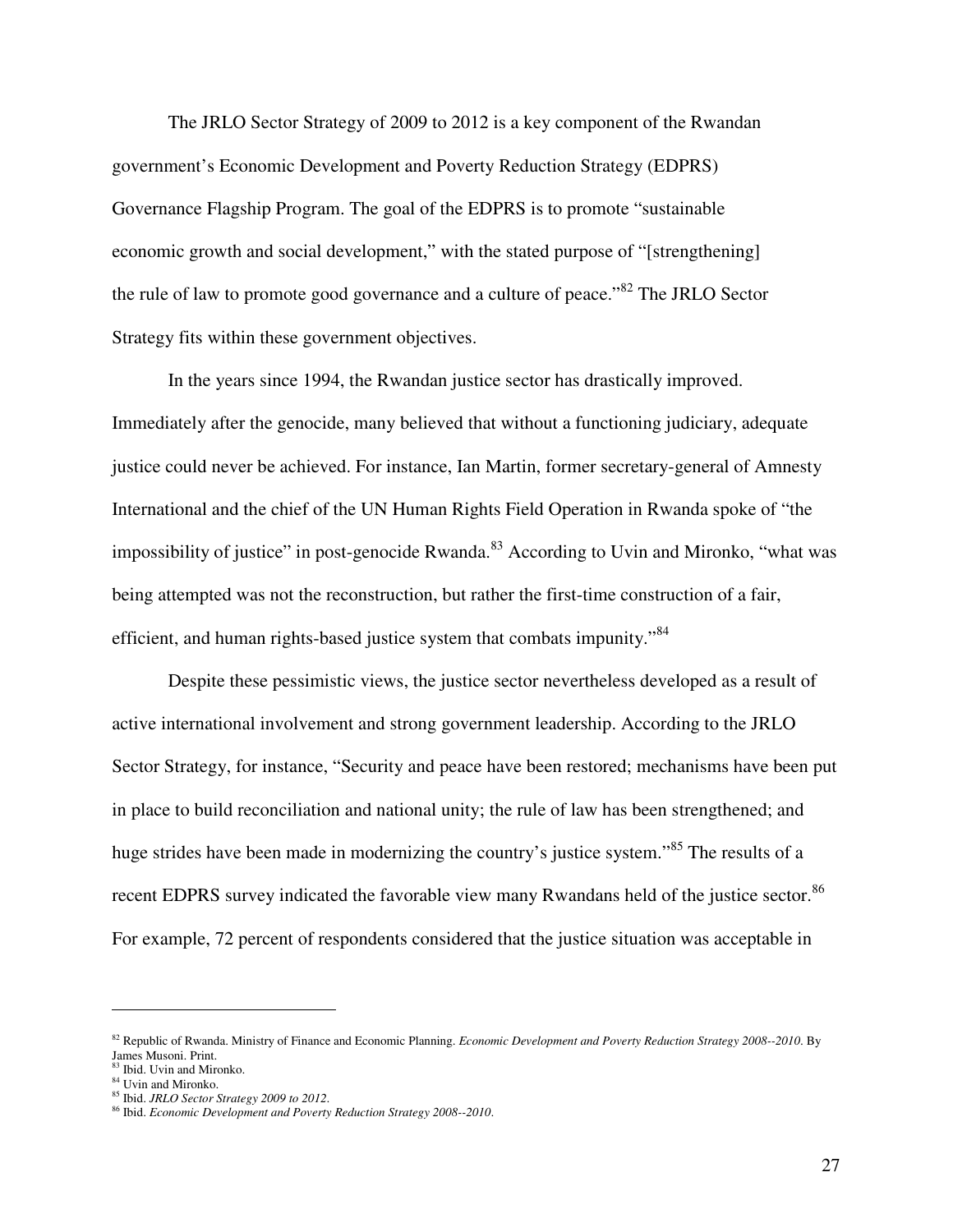The JRLO Sector Strategy of 2009 to 2012 is a key component of the Rwandan government's Economic Development and Poverty Reduction Strategy (EDPRS) Governance Flagship Program. The goal of the EDPRS is to promote "sustainable economic growth and social development," with the stated purpose of "[strengthening] the rule of law to promote good governance and a culture of peace."<sup>82</sup> The JRLO Sector Strategy fits within these government objectives.

 In the years since 1994, the Rwandan justice sector has drastically improved. Immediately after the genocide, many believed that without a functioning judiciary, adequate justice could never be achieved. For instance, Ian Martin, former secretary-general of Amnesty International and the chief of the UN Human Rights Field Operation in Rwanda spoke of "the impossibility of justice" in post-genocide Rwanda.<sup>83</sup> According to Uvin and Mironko, "what was being attempted was not the reconstruction, but rather the first-time construction of a fair, efficient, and human rights-based justice system that combats impunity.<sup>84</sup>

Despite these pessimistic views, the justice sector nevertheless developed as a result of active international involvement and strong government leadership. According to the JRLO Sector Strategy, for instance, "Security and peace have been restored; mechanisms have been put in place to build reconciliation and national unity; the rule of law has been strengthened; and huge strides have been made in modernizing the country's justice system."<sup>85</sup> The results of a recent EDPRS survey indicated the favorable view many Rwandans held of the justice sector.<sup>86</sup> For example, 72 percent of respondents considered that the justice situation was acceptable in

<u>.</u>

<sup>82</sup> Republic of Rwanda. Ministry of Finance and Economic Planning. *Economic Development and Poverty Reduction Strategy 2008--2010*. By James Musoni. Print.

<sup>83</sup> Ibid. Uvin and Mironko.

<sup>84</sup> Uvin and Mironko.

<sup>85</sup> Ibid. *JRLO Sector Strategy 2009 to 2012*.

<sup>86</sup> Ibid. *Economic Development and Poverty Reduction Strategy 2008--2010*.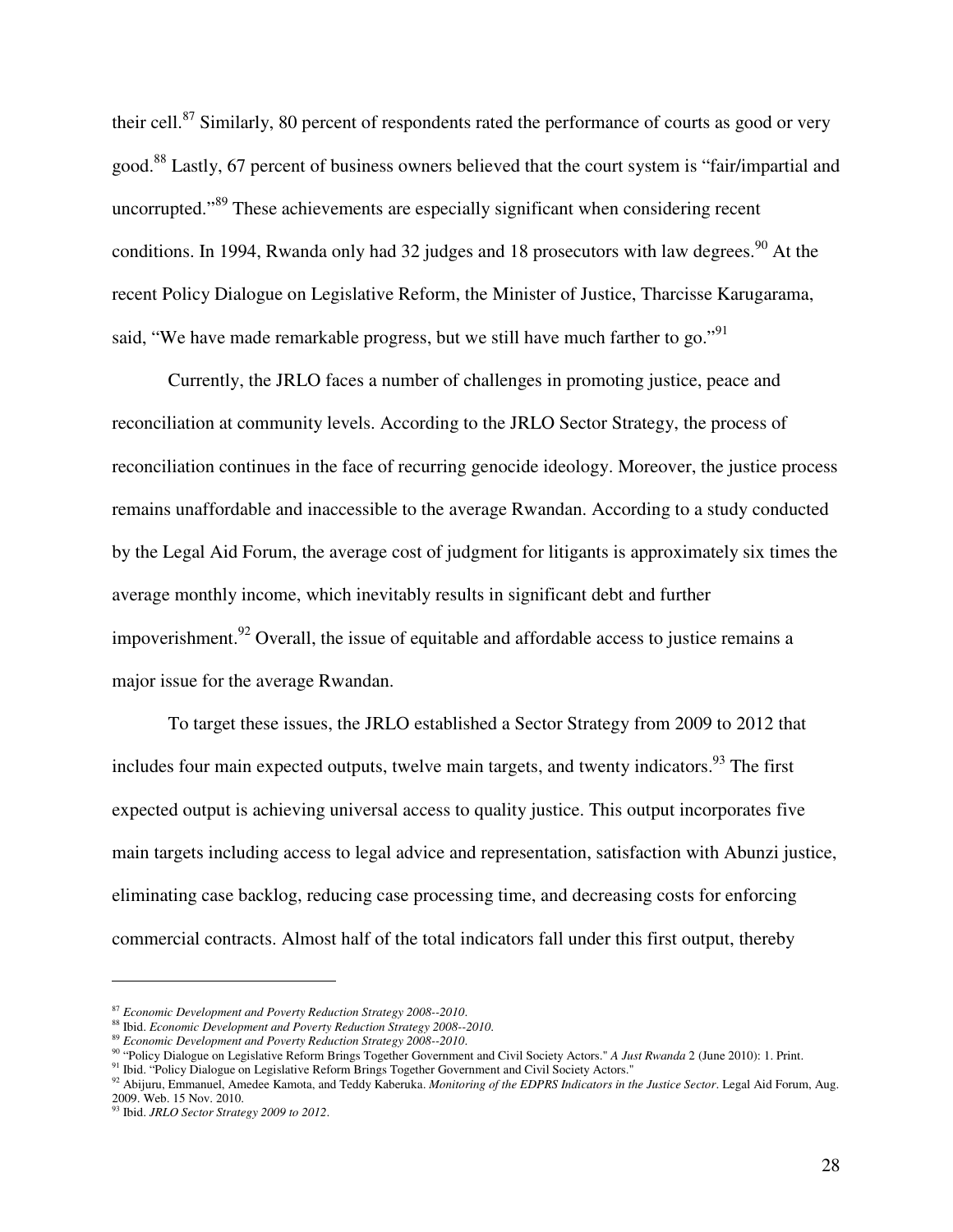their cell.<sup>87</sup> Similarly, 80 percent of respondents rated the performance of courts as good or very good.<sup>88</sup> Lastly, 67 percent of business owners believed that the court system is "fair/impartial and uncorrupted."<sup>89</sup> These achievements are especially significant when considering recent conditions. In 1994, Rwanda only had 32 judges and 18 prosecutors with law degrees.<sup>90</sup> At the recent Policy Dialogue on Legislative Reform, the Minister of Justice, Tharcisse Karugarama, said, "We have made remarkable progress, but we still have much farther to go."<sup>91</sup>

Currently, the JRLO faces a number of challenges in promoting justice, peace and reconciliation at community levels. According to the JRLO Sector Strategy, the process of reconciliation continues in the face of recurring genocide ideology. Moreover, the justice process remains unaffordable and inaccessible to the average Rwandan. According to a study conducted by the Legal Aid Forum, the average cost of judgment for litigants is approximately six times the average monthly income, which inevitably results in significant debt and further impoverishment.<sup>92</sup> Overall, the issue of equitable and affordable access to justice remains a major issue for the average Rwandan.

To target these issues, the JRLO established a Sector Strategy from 2009 to 2012 that includes four main expected outputs, twelve main targets, and twenty indicators.<sup>93</sup> The first expected output is achieving universal access to quality justice. This output incorporates five main targets including access to legal advice and representation, satisfaction with Abunzi justice, eliminating case backlog, reducing case processing time, and decreasing costs for enforcing commercial contracts. Almost half of the total indicators fall under this first output, thereby

<sup>87</sup> *Economic Development and Poverty Reduction Strategy 2008--2010*.

<sup>88</sup> Ibid. *Economic Development and Poverty Reduction Strategy 2008--2010*.

<sup>89</sup> *Economic Development and Poverty Reduction Strategy 2008--2010*.

<sup>90</sup> "Policy Dialogue on Legislative Reform Brings Together Government and Civil Society Actors." *A Just Rwanda* 2 (June 2010): 1. Print.

<sup>&</sup>lt;sup>91</sup> Ibid. "Policy Dialogue on Legislative Reform Brings Together Government and Civil Society Actors."

<sup>&</sup>lt;sup>92</sup> Abijuru, Emmanuel, Amedee Kamota, and Teddy Kaberuka. *Monitoring of the EDPRS Indicators in the Justice Sector*. Legal Aid Forum, Aug. 2009. Web. 15 Nov. 2010.

<sup>&</sup>lt;sup>93</sup> Ibid. *JRLO Sector Strategy 2009 to 2012*.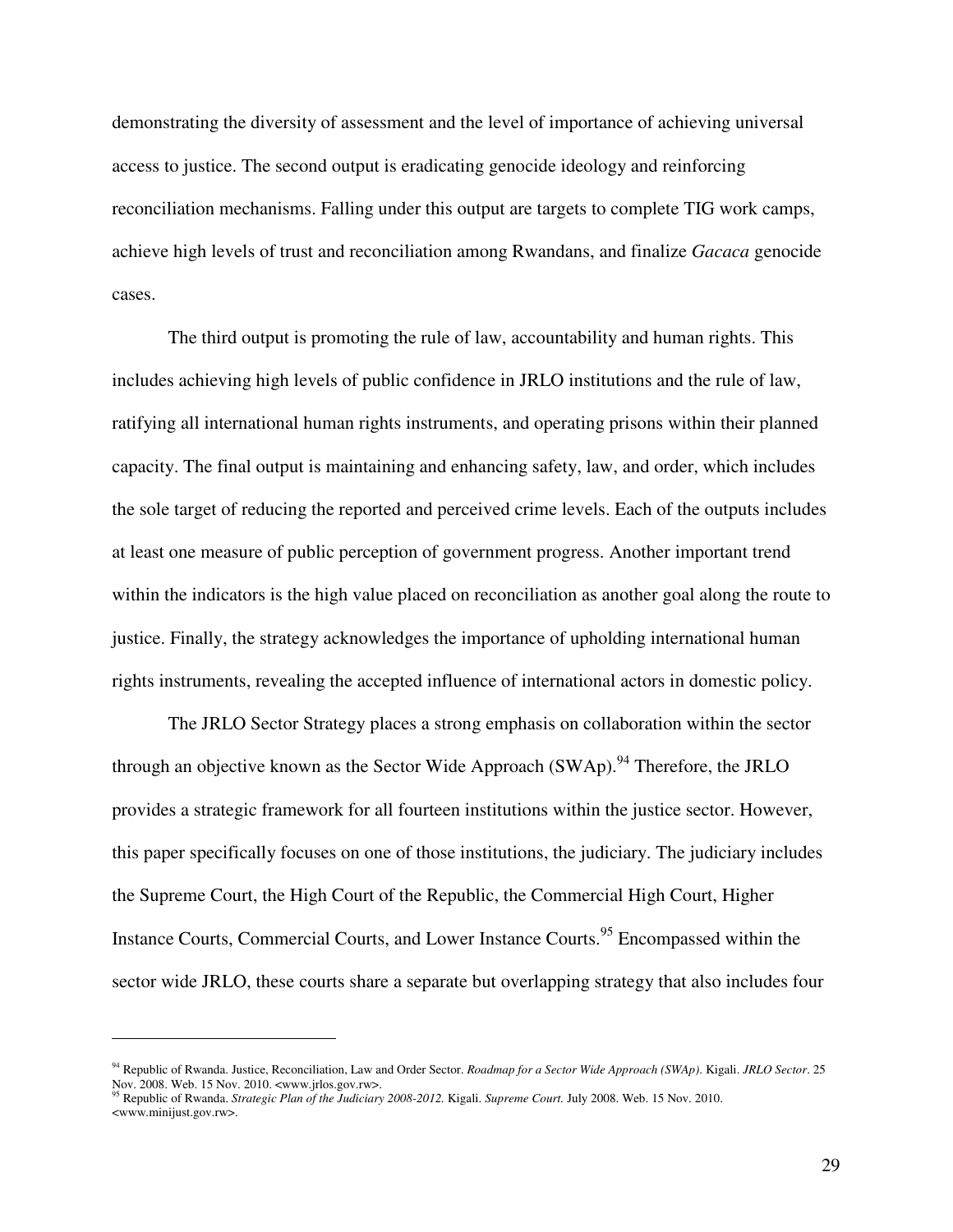demonstrating the diversity of assessment and the level of importance of achieving universal access to justice. The second output is eradicating genocide ideology and reinforcing reconciliation mechanisms. Falling under this output are targets to complete TIG work camps, achieve high levels of trust and reconciliation among Rwandans, and finalize *Gacaca* genocide cases.

The third output is promoting the rule of law, accountability and human rights. This includes achieving high levels of public confidence in JRLO institutions and the rule of law, ratifying all international human rights instruments, and operating prisons within their planned capacity. The final output is maintaining and enhancing safety, law, and order, which includes the sole target of reducing the reported and perceived crime levels. Each of the outputs includes at least one measure of public perception of government progress. Another important trend within the indicators is the high value placed on reconciliation as another goal along the route to justice. Finally, the strategy acknowledges the importance of upholding international human rights instruments, revealing the accepted influence of international actors in domestic policy.

The JRLO Sector Strategy places a strong emphasis on collaboration within the sector through an objective known as the Sector Wide Approach  $(SWAp)$ .<sup>94</sup> Therefore, the JRLO provides a strategic framework for all fourteen institutions within the justice sector. However, this paper specifically focuses on one of those institutions, the judiciary. The judiciary includes the Supreme Court, the High Court of the Republic, the Commercial High Court, Higher Instance Courts, Commercial Courts, and Lower Instance Courts.<sup>95</sup> Encompassed within the sector wide JRLO, these courts share a separate but overlapping strategy that also includes four

<u>.</u>

<sup>94</sup> Republic of Rwanda. Justice, Reconciliation, Law and Order Sector. *Roadmap for a Sector Wide Approach (SWAp)*. Kigali. *JRLO Sector*. 25 Nov. 2008. Web. 15 Nov. 2010. <www.jrlos.gov.rw>.

<sup>95</sup> Republic of Rwanda. *Strategic Plan of the Judiciary 2008-2012.* Kigali. *Supreme Court.* July 2008. Web. 15 Nov. 2010. <www.minijust.gov.rw>.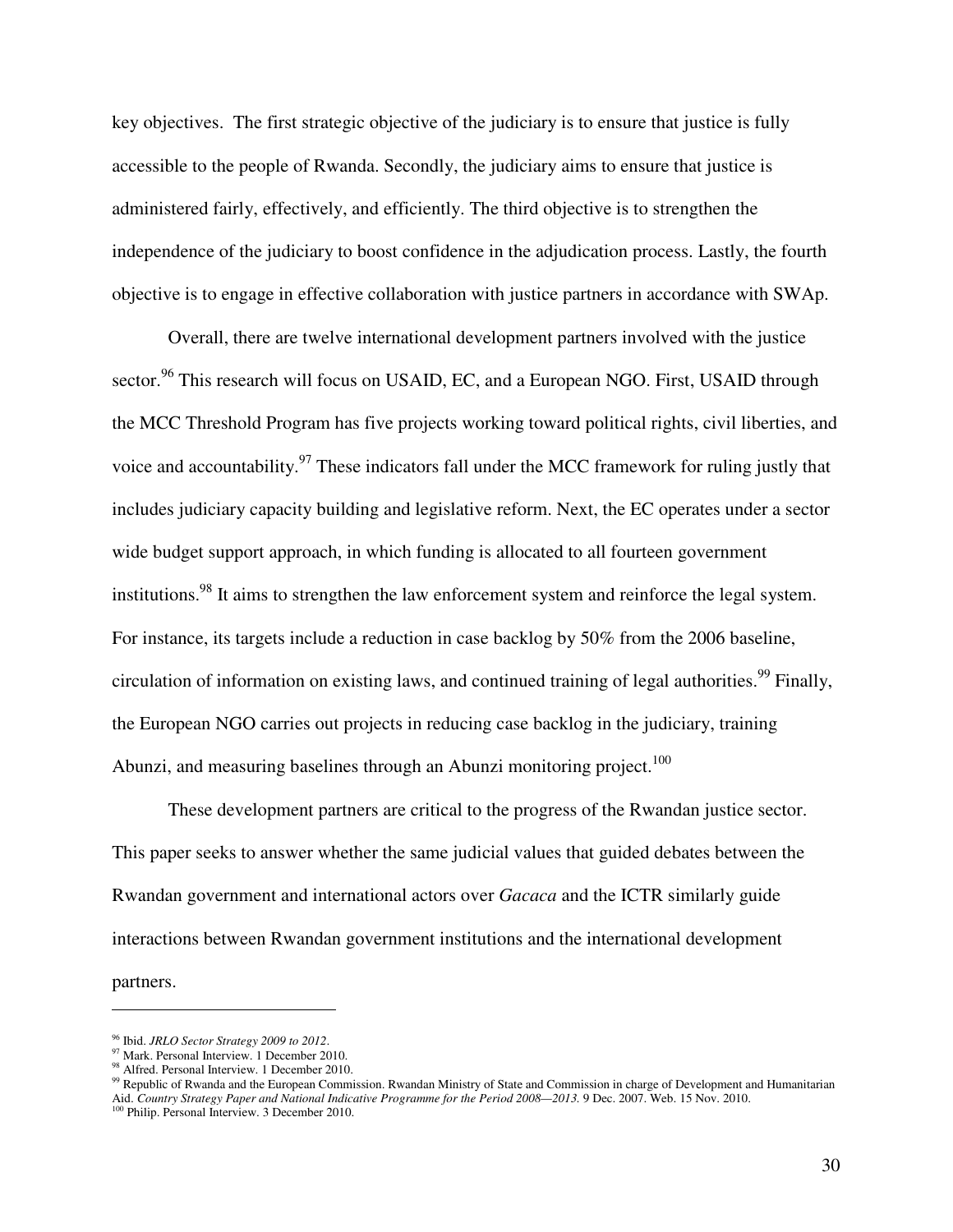key objectives. The first strategic objective of the judiciary is to ensure that justice is fully accessible to the people of Rwanda. Secondly, the judiciary aims to ensure that justice is administered fairly, effectively, and efficiently. The third objective is to strengthen the independence of the judiciary to boost confidence in the adjudication process. Lastly, the fourth objective is to engage in effective collaboration with justice partners in accordance with SWAp.

Overall, there are twelve international development partners involved with the justice sector.<sup>96</sup> This research will focus on USAID, EC, and a European NGO. First, USAID through the MCC Threshold Program has five projects working toward political rights, civil liberties, and voice and accountability.<sup>97</sup> These indicators fall under the MCC framework for ruling justly that includes judiciary capacity building and legislative reform. Next, the EC operates under a sector wide budget support approach, in which funding is allocated to all fourteen government institutions.<sup>98</sup> It aims to strengthen the law enforcement system and reinforce the legal system. For instance, its targets include a reduction in case backlog by 50% from the 2006 baseline, circulation of information on existing laws, and continued training of legal authorities. <sup>99</sup> Finally, the European NGO carries out projects in reducing case backlog in the judiciary, training Abunzi, and measuring baselines through an Abunzi monitoring project.<sup>100</sup>

These development partners are critical to the progress of the Rwandan justice sector. This paper seeks to answer whether the same judicial values that guided debates between the Rwandan government and international actors over *Gacaca* and the ICTR similarly guide interactions between Rwandan government institutions and the international development partners.

<sup>96</sup> Ibid. *JRLO Sector Strategy 2009 to 2012*.

<sup>&</sup>lt;sup>97</sup> Mark. Personal Interview. 1 December 2010.

<sup>&</sup>lt;sup>98</sup> Alfred. Personal Interview. 1 December 2010.

<sup>&</sup>lt;sup>99</sup> Republic of Rwanda and the European Commission. Rwandan Ministry of State and Commission in charge of Development and Humanitarian Aid. *Country Strategy Paper and National Indicative Programme for the Period 2008—2013.* 9 Dec. 2007. Web. 15 Nov. 2010. <br><sup>100</sup> Philip. Personal Interview. 3 December 2010.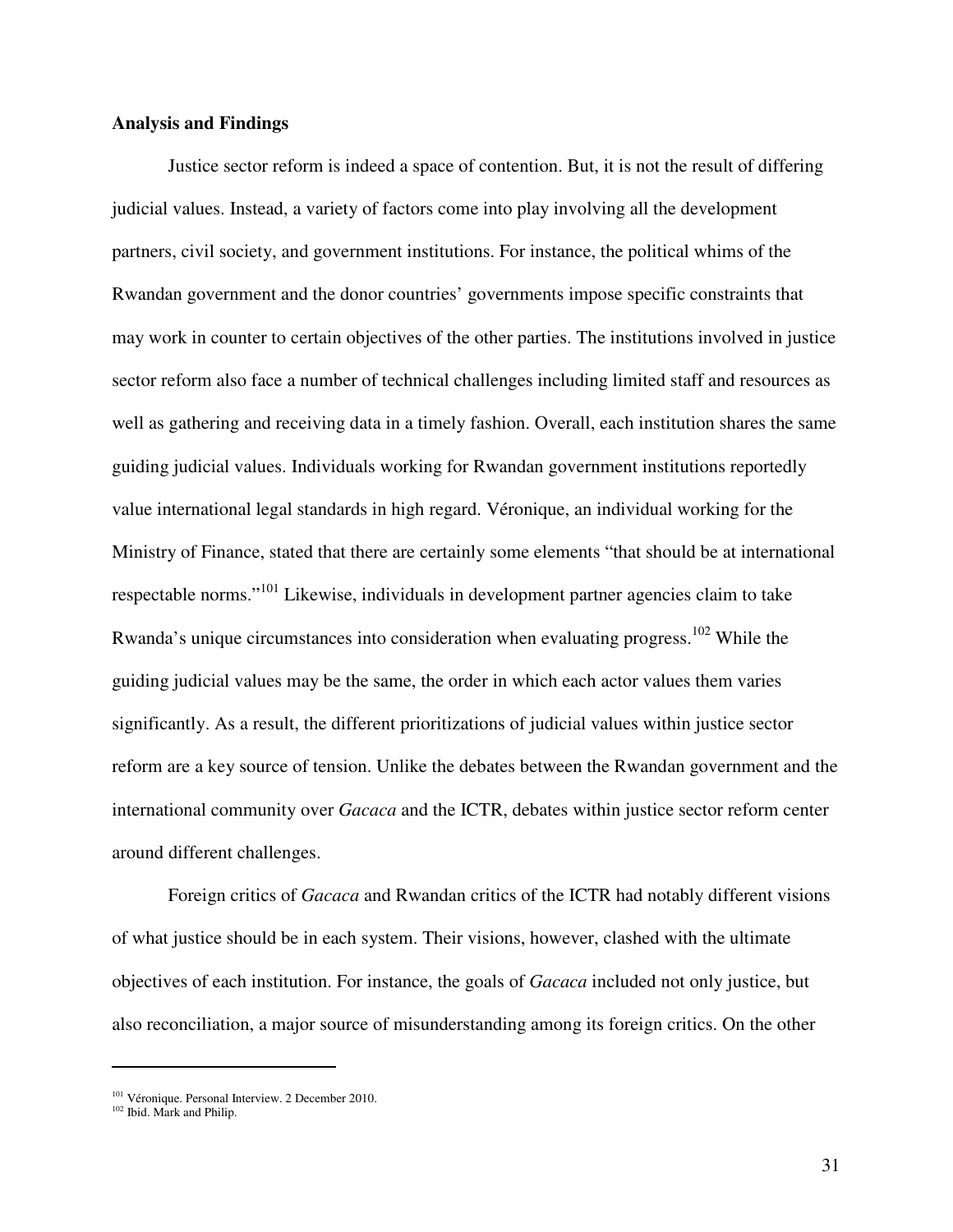#### **Analysis and Findings**

 Justice sector reform is indeed a space of contention. But, it is not the result of differing judicial values. Instead, a variety of factors come into play involving all the development partners, civil society, and government institutions. For instance, the political whims of the Rwandan government and the donor countries' governments impose specific constraints that may work in counter to certain objectives of the other parties. The institutions involved in justice sector reform also face a number of technical challenges including limited staff and resources as well as gathering and receiving data in a timely fashion. Overall, each institution shares the same guiding judicial values. Individuals working for Rwandan government institutions reportedly value international legal standards in high regard. Véronique, an individual working for the Ministry of Finance, stated that there are certainly some elements "that should be at international respectable norms."<sup>101</sup> Likewise, individuals in development partner agencies claim to take Rwanda's unique circumstances into consideration when evaluating progress.<sup>102</sup> While the guiding judicial values may be the same, the order in which each actor values them varies significantly. As a result, the different prioritizations of judicial values within justice sector reform are a key source of tension. Unlike the debates between the Rwandan government and the international community over *Gacaca* and the ICTR, debates within justice sector reform center around different challenges.

 Foreign critics of *Gacaca* and Rwandan critics of the ICTR had notably different visions of what justice should be in each system. Their visions, however, clashed with the ultimate objectives of each institution. For instance, the goals of *Gacaca* included not only justice, but also reconciliation, a major source of misunderstanding among its foreign critics. On the other

<sup>&</sup>lt;sup>101</sup> Véronique. Personal Interview. 2 December 2010.

<sup>&</sup>lt;sup>102</sup> Ibid. Mark and Philip.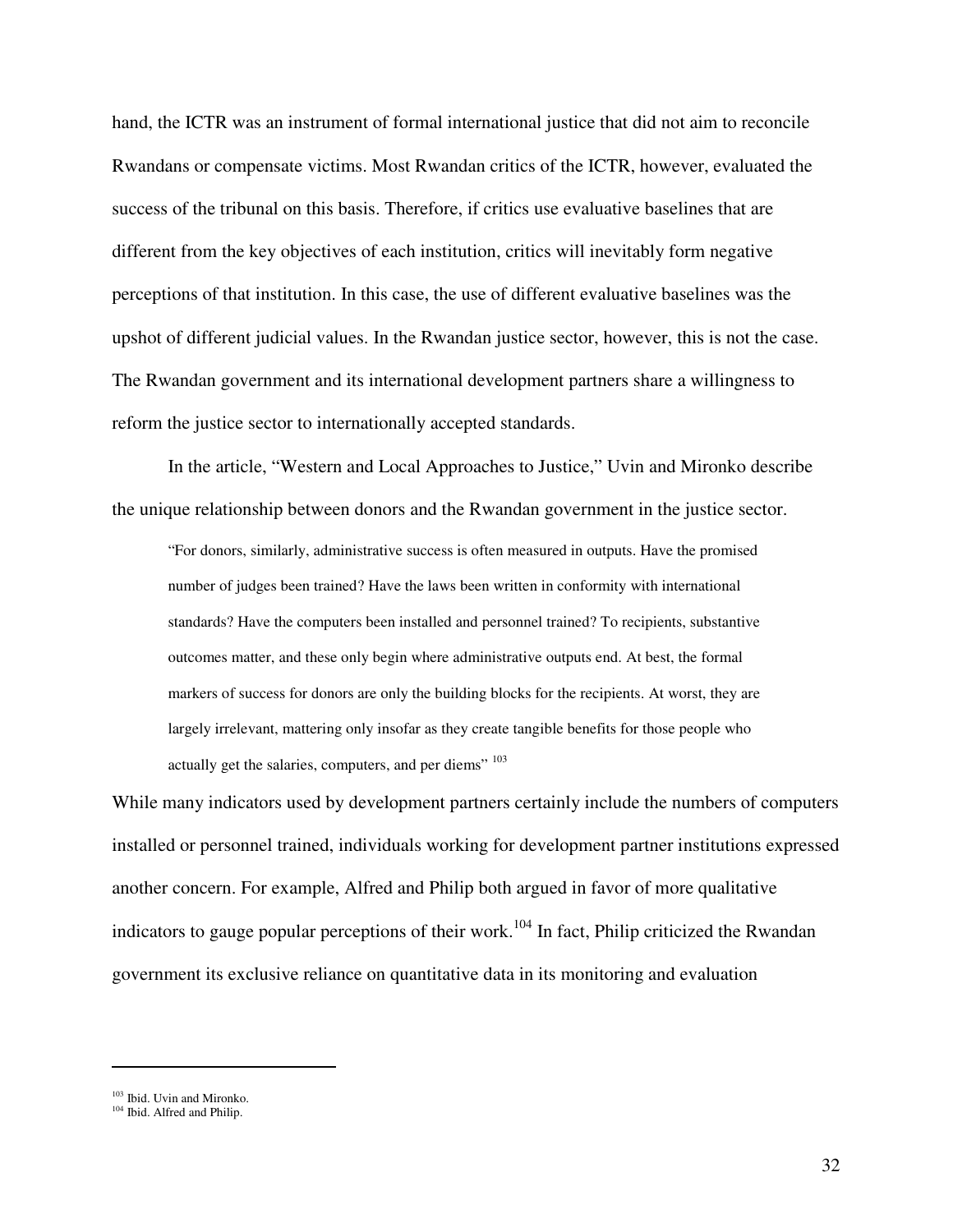hand, the ICTR was an instrument of formal international justice that did not aim to reconcile Rwandans or compensate victims. Most Rwandan critics of the ICTR, however, evaluated the success of the tribunal on this basis. Therefore, if critics use evaluative baselines that are different from the key objectives of each institution, critics will inevitably form negative perceptions of that institution. In this case, the use of different evaluative baselines was the upshot of different judicial values. In the Rwandan justice sector, however, this is not the case. The Rwandan government and its international development partners share a willingness to reform the justice sector to internationally accepted standards.

 In the article, "Western and Local Approaches to Justice," Uvin and Mironko describe the unique relationship between donors and the Rwandan government in the justice sector.

"For donors, similarly, administrative success is often measured in outputs. Have the promised number of judges been trained? Have the laws been written in conformity with international standards? Have the computers been installed and personnel trained? To recipients, substantive outcomes matter, and these only begin where administrative outputs end. At best, the formal markers of success for donors are only the building blocks for the recipients. At worst, they are largely irrelevant, mattering only insofar as they create tangible benefits for those people who actually get the salaries, computers, and per diems"  $103$ 

While many indicators used by development partners certainly include the numbers of computers installed or personnel trained, individuals working for development partner institutions expressed another concern. For example, Alfred and Philip both argued in favor of more qualitative indicators to gauge popular perceptions of their work.<sup>104</sup> In fact, Philip criticized the Rwandan government its exclusive reliance on quantitative data in its monitoring and evaluation

<sup>103</sup> Ibid. Uvin and Mironko.

<sup>&</sup>lt;sup>104</sup> Ibid. Alfred and Philip.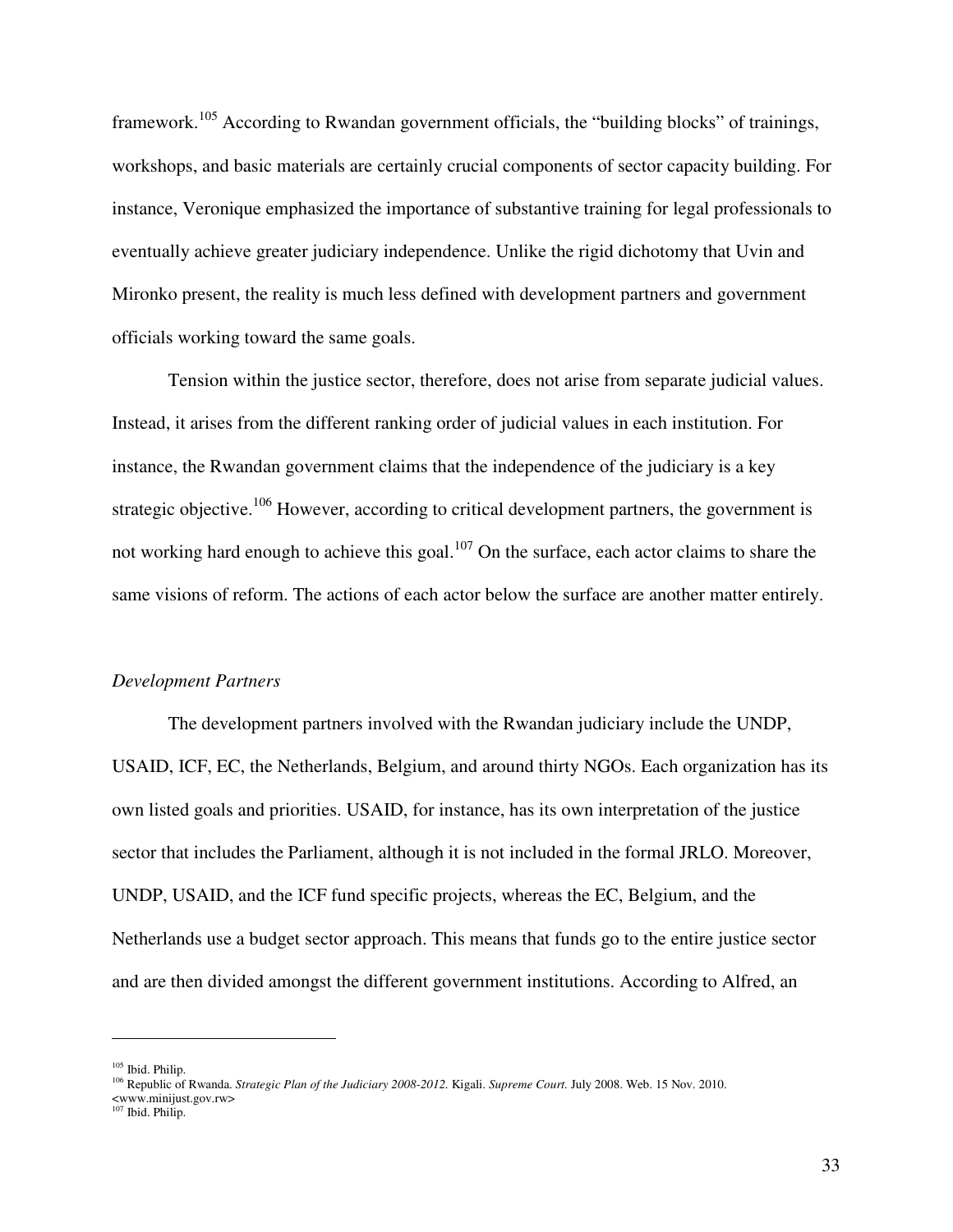framework.<sup>105</sup> According to Rwandan government officials, the "building blocks" of trainings, workshops, and basic materials are certainly crucial components of sector capacity building. For instance, Veronique emphasized the importance of substantive training for legal professionals to eventually achieve greater judiciary independence. Unlike the rigid dichotomy that Uvin and Mironko present, the reality is much less defined with development partners and government officials working toward the same goals.

Tension within the justice sector, therefore, does not arise from separate judicial values. Instead, it arises from the different ranking order of judicial values in each institution. For instance, the Rwandan government claims that the independence of the judiciary is a key strategic objective.<sup>106</sup> However, according to critical development partners, the government is not working hard enough to achieve this goal.<sup>107</sup> On the surface, each actor claims to share the same visions of reform. The actions of each actor below the surface are another matter entirely.

#### *Development Partners*

 The development partners involved with the Rwandan judiciary include the UNDP, USAID, ICF, EC, the Netherlands, Belgium, and around thirty NGOs. Each organization has its own listed goals and priorities. USAID, for instance, has its own interpretation of the justice sector that includes the Parliament, although it is not included in the formal JRLO. Moreover, UNDP, USAID, and the ICF fund specific projects, whereas the EC, Belgium, and the Netherlands use a budget sector approach. This means that funds go to the entire justice sector and are then divided amongst the different government institutions. According to Alfred, an

<sup>105</sup> Ibid. Philip.

<sup>106</sup> Republic of Rwanda. *Strategic Plan of the Judiciary 2008-2012.* Kigali. *Supreme Court.* July 2008. Web. 15 Nov. 2010.

<sup>&</sup>lt;www.minijust.gov.rw>

<sup>&</sup>lt;sup>107</sup> Ibid. Philip.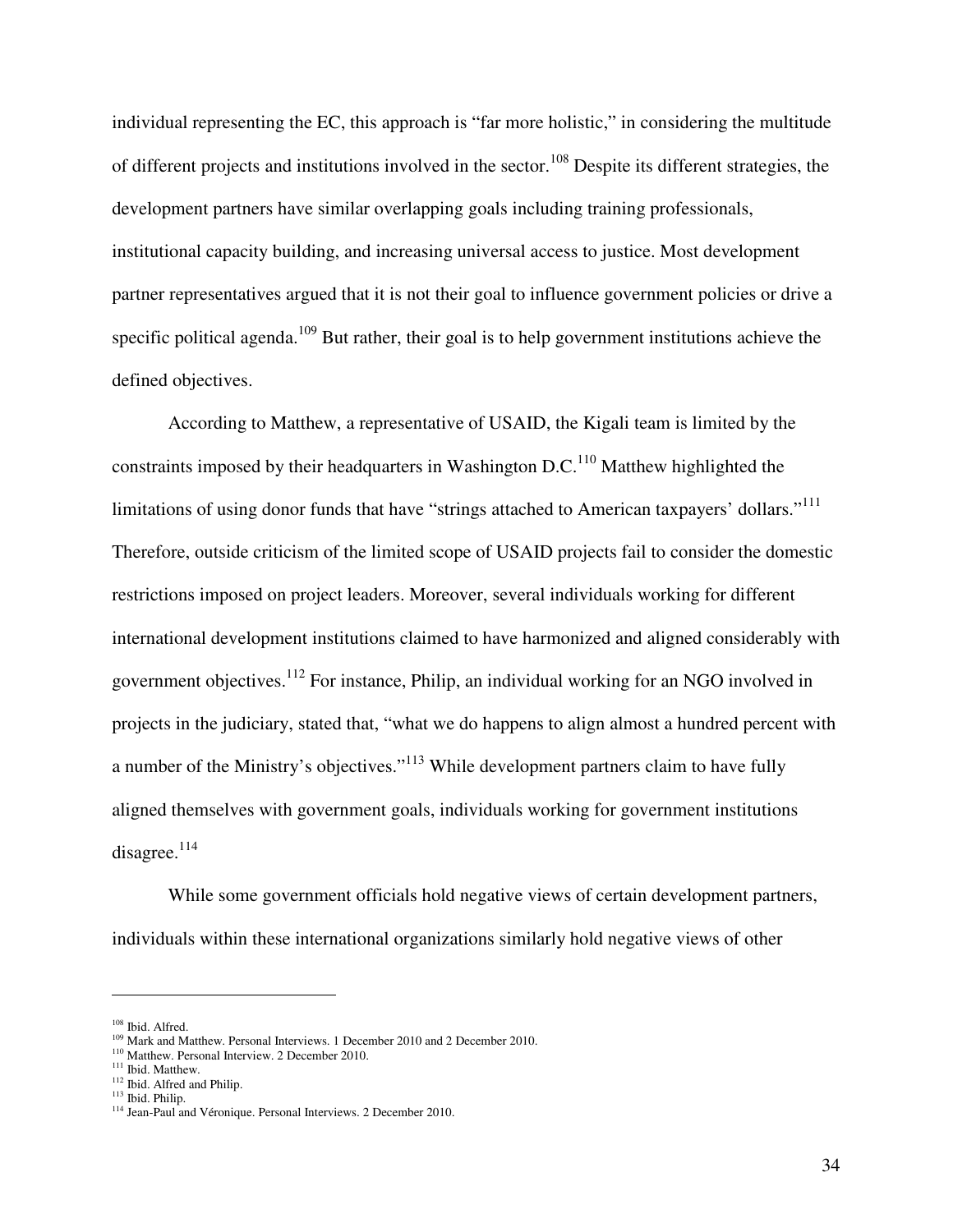individual representing the EC, this approach is "far more holistic," in considering the multitude of different projects and institutions involved in the sector.<sup>108</sup> Despite its different strategies, the development partners have similar overlapping goals including training professionals, institutional capacity building, and increasing universal access to justice. Most development partner representatives argued that it is not their goal to influence government policies or drive a specific political agenda.<sup>109</sup> But rather, their goal is to help government institutions achieve the defined objectives.

 According to Matthew, a representative of USAID, the Kigali team is limited by the constraints imposed by their headquarters in Washington D.C.<sup>110</sup> Matthew highlighted the limitations of using donor funds that have "strings attached to American taxpayers' dollars."<sup>111</sup> Therefore, outside criticism of the limited scope of USAID projects fail to consider the domestic restrictions imposed on project leaders. Moreover, several individuals working for different international development institutions claimed to have harmonized and aligned considerably with government objectives.<sup>112</sup> For instance, Philip, an individual working for an NGO involved in projects in the judiciary, stated that, "what we do happens to align almost a hundred percent with a number of the Ministry's objectives."<sup>113</sup> While development partners claim to have fully aligned themselves with government goals, individuals working for government institutions disagree.<sup>114</sup>

 While some government officials hold negative views of certain development partners, individuals within these international organizations similarly hold negative views of other

<sup>108</sup> Ibid. Alfred.

<sup>&</sup>lt;sup>109</sup> Mark and Matthew. Personal Interviews. 1 December 2010 and 2 December 2010.

<sup>&</sup>lt;sup>110</sup> Matthew. Personal Interview. 2 December 2010.

<sup>&</sup>lt;sup>111</sup> Ibid. Matthew.

<sup>&</sup>lt;sup>112</sup> Ibid. Alfred and Philip.

<sup>113</sup> Ibid. Philip.

<sup>&</sup>lt;sup>114</sup> Jean-Paul and Véronique. Personal Interviews. 2 December 2010.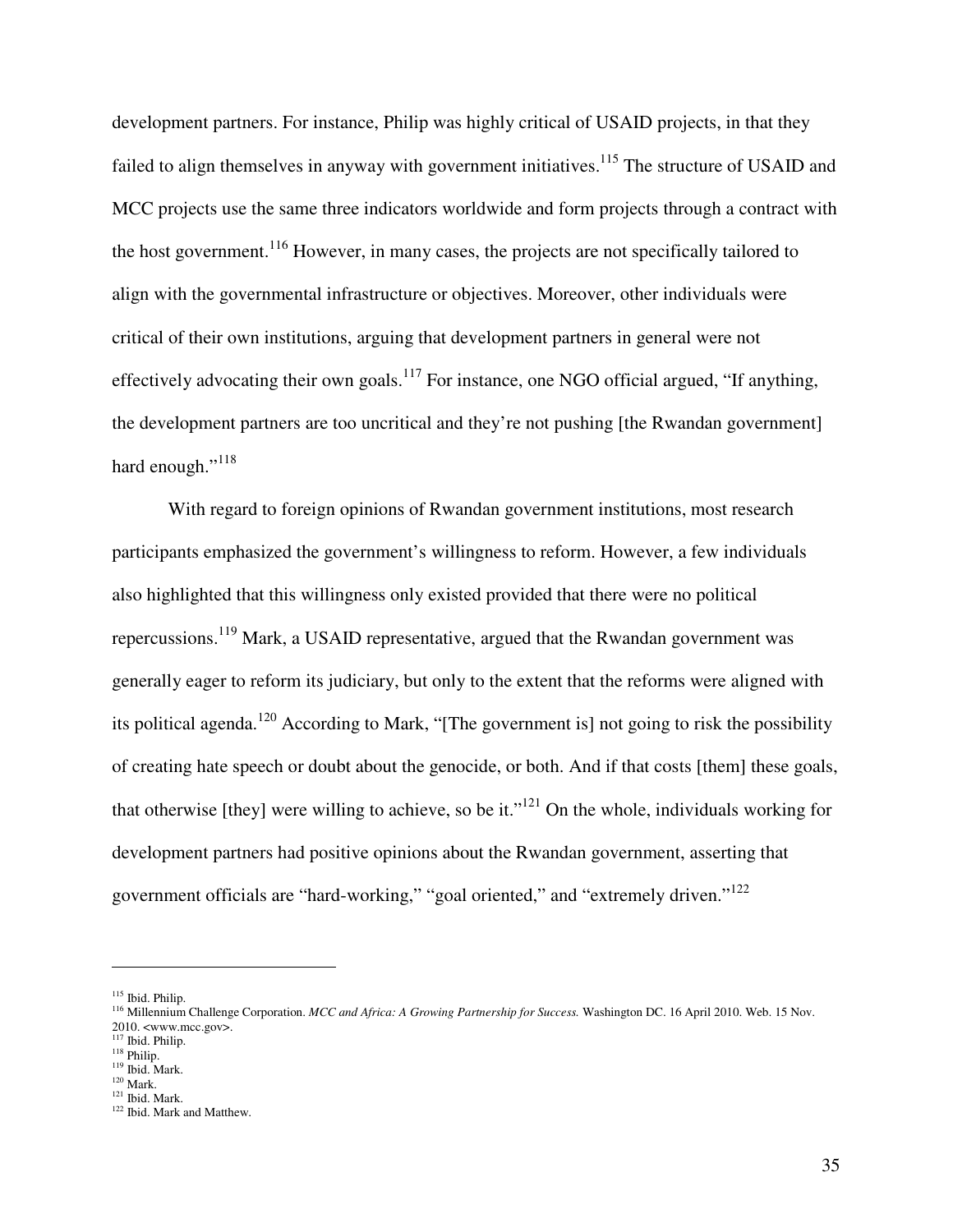development partners. For instance, Philip was highly critical of USAID projects, in that they failed to align themselves in anyway with government initiatives.<sup>115</sup> The structure of USAID and MCC projects use the same three indicators worldwide and form projects through a contract with the host government.<sup>116</sup> However, in many cases, the projects are not specifically tailored to align with the governmental infrastructure or objectives. Moreover, other individuals were critical of their own institutions, arguing that development partners in general were not effectively advocating their own goals.<sup>117</sup> For instance, one NGO official argued, "If anything, the development partners are too uncritical and they're not pushing [the Rwandan government] hard enough."<sup>118</sup>

With regard to foreign opinions of Rwandan government institutions, most research participants emphasized the government's willingness to reform. However, a few individuals also highlighted that this willingness only existed provided that there were no political repercussions.<sup>119</sup> Mark, a USAID representative, argued that the Rwandan government was generally eager to reform its judiciary, but only to the extent that the reforms were aligned with its political agenda.<sup>120</sup> According to Mark, "[The government is] not going to risk the possibility of creating hate speech or doubt about the genocide, or both. And if that costs [them] these goals, that otherwise [they] were willing to achieve, so be it."<sup>121</sup> On the whole, individuals working for development partners had positive opinions about the Rwandan government, asserting that government officials are "hard-working," "goal oriented," and "extremely driven."<sup>122</sup>

 $\overline{a}$ 

<sup>117</sup> Ibid. Philip.

<sup>121</sup> Ibid. Mark.

<sup>115</sup> Ibid. Philip.

<sup>116</sup> Millennium Challenge Corporation. *MCC and Africa: A Growing Partnership for Success.* Washington DC. 16 April 2010. Web. 15 Nov. 2010. <www.mcc.gov>.

<sup>118</sup> Philip.

 $119$  Ibid. Mark.

 $^{120}\overline{\text{Mark.}}$ 

<sup>&</sup>lt;sup>122</sup> Ibid. Mark and Matthew.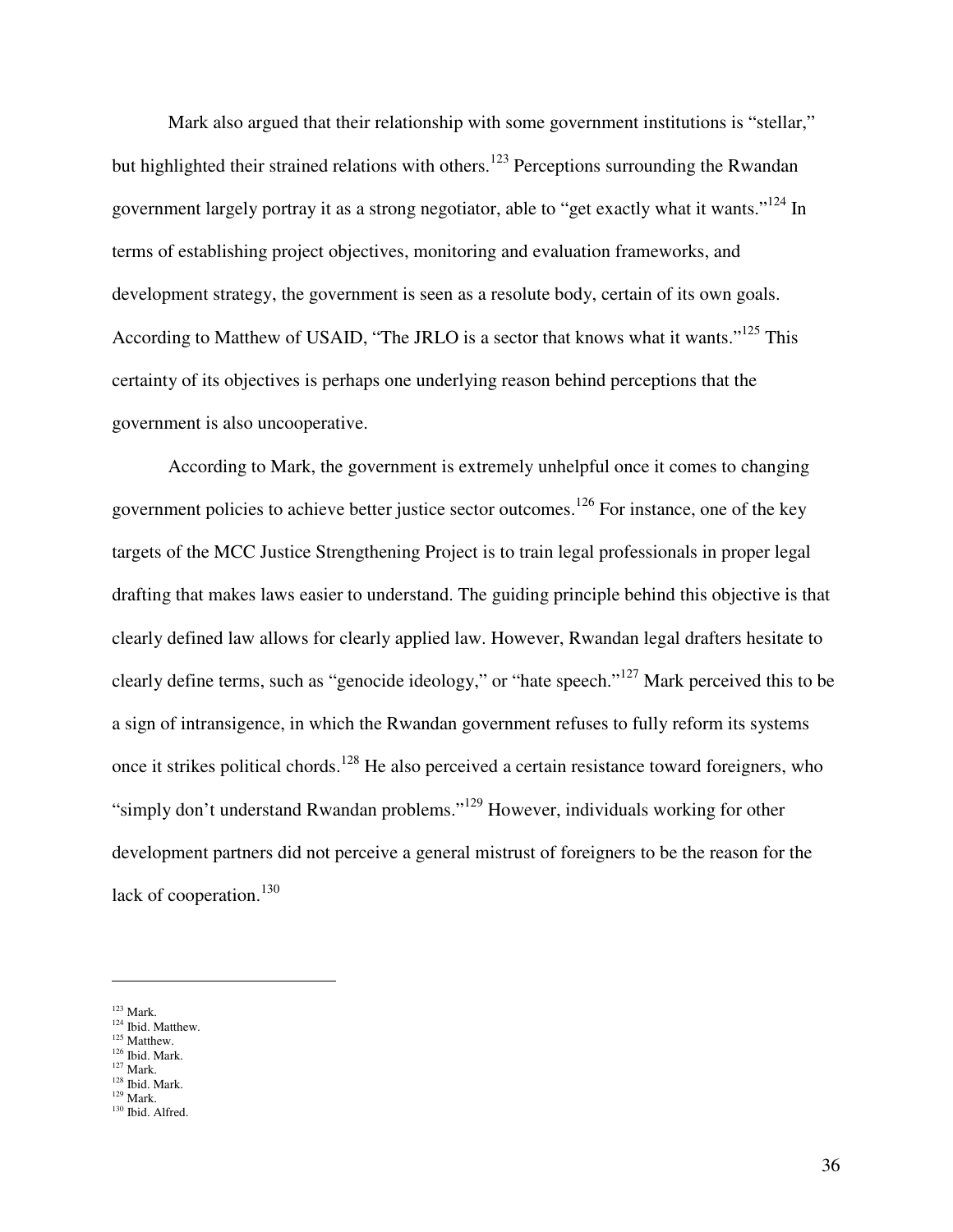Mark also argued that their relationship with some government institutions is "stellar," but highlighted their strained relations with others.<sup>123</sup> Perceptions surrounding the Rwandan government largely portray it as a strong negotiator, able to "get exactly what it wants."<sup>124</sup> In terms of establishing project objectives, monitoring and evaluation frameworks, and development strategy, the government is seen as a resolute body, certain of its own goals. According to Matthew of USAID, "The JRLO is a sector that knows what it wants."<sup>125</sup> This certainty of its objectives is perhaps one underlying reason behind perceptions that the government is also uncooperative.

 According to Mark, the government is extremely unhelpful once it comes to changing government policies to achieve better justice sector outcomes.<sup>126</sup> For instance, one of the key targets of the MCC Justice Strengthening Project is to train legal professionals in proper legal drafting that makes laws easier to understand. The guiding principle behind this objective is that clearly defined law allows for clearly applied law. However, Rwandan legal drafters hesitate to clearly define terms, such as "genocide ideology," or "hate speech."<sup>127</sup> Mark perceived this to be a sign of intransigence, in which the Rwandan government refuses to fully reform its systems once it strikes political chords.<sup>128</sup> He also perceived a certain resistance toward foreigners, who "simply don't understand Rwandan problems."<sup>129</sup> However, individuals working for other development partners did not perceive a general mistrust of foreigners to be the reason for the lack of cooperation. $130$ 

 $123$  Mark.

<sup>&</sup>lt;sup>124</sup> Ibid. Matthew.

<sup>&</sup>lt;sup>125</sup> Matthew. <sup>126</sup> Ibid. Mark.

 $127$  Mark.

 $\frac{^{128}}{^{129}}$  Mark.

<sup>130</sup> Ibid. Alfred.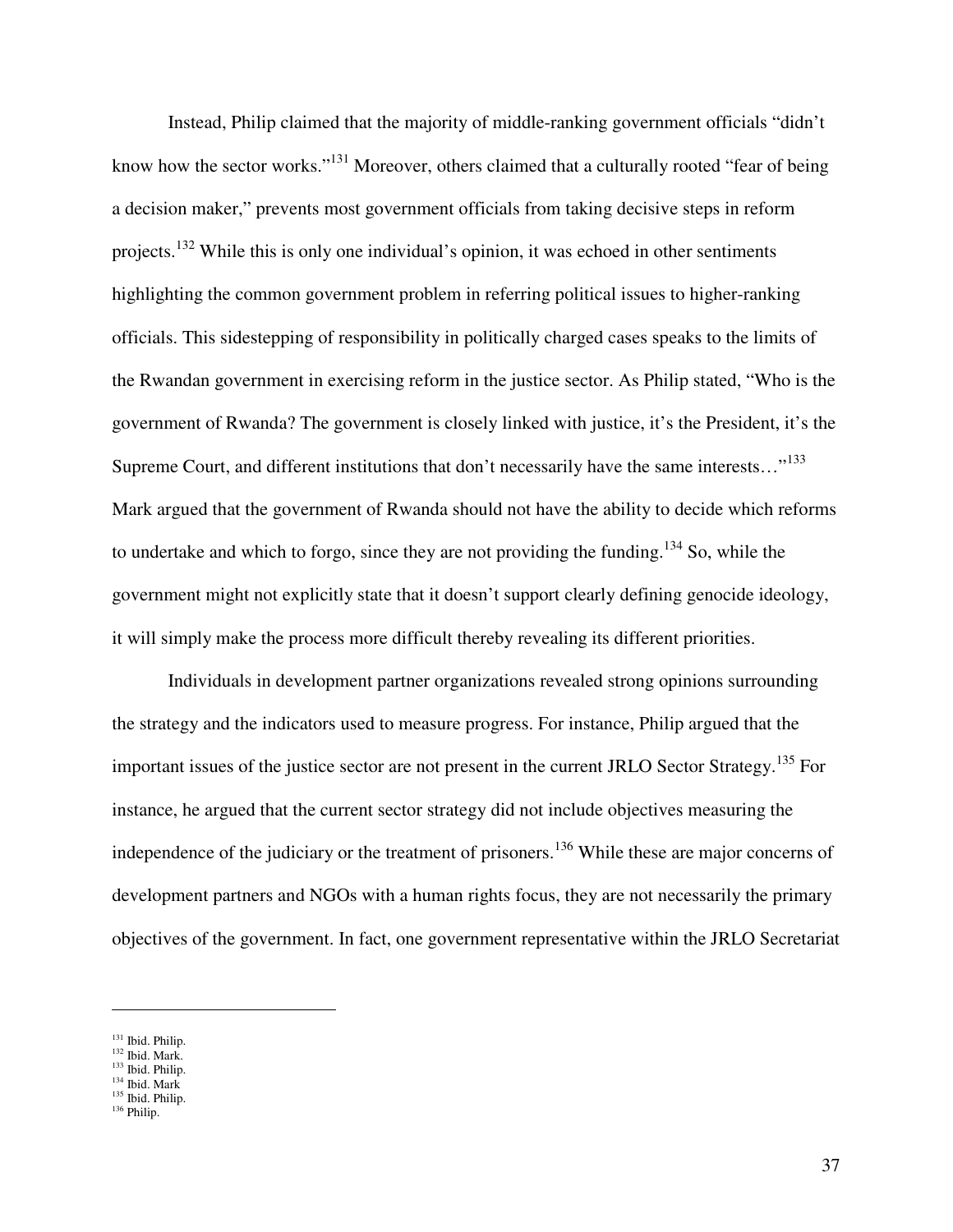Instead, Philip claimed that the majority of middle-ranking government officials "didn't know how the sector works."<sup>131</sup> Moreover, others claimed that a culturally rooted "fear of being a decision maker," prevents most government officials from taking decisive steps in reform projects.<sup>132</sup> While this is only one individual's opinion, it was echoed in other sentiments highlighting the common government problem in referring political issues to higher-ranking officials. This sidestepping of responsibility in politically charged cases speaks to the limits of the Rwandan government in exercising reform in the justice sector. As Philip stated, "Who is the government of Rwanda? The government is closely linked with justice, it's the President, it's the Supreme Court, and different institutions that don't necessarily have the same interests..."<sup>133</sup> Mark argued that the government of Rwanda should not have the ability to decide which reforms to undertake and which to forgo, since they are not providing the funding.<sup>134</sup> So, while the government might not explicitly state that it doesn't support clearly defining genocide ideology, it will simply make the process more difficult thereby revealing its different priorities.

 Individuals in development partner organizations revealed strong opinions surrounding the strategy and the indicators used to measure progress. For instance, Philip argued that the important issues of the justice sector are not present in the current JRLO Sector Strategy.<sup>135</sup> For instance, he argued that the current sector strategy did not include objectives measuring the independence of the judiciary or the treatment of prisoners.<sup>136</sup> While these are major concerns of development partners and NGOs with a human rights focus, they are not necessarily the primary objectives of the government. In fact, one government representative within the JRLO Secretariat

<u>.</u>

<sup>&</sup>lt;sup>131</sup> Ibid. Philip.

<sup>132</sup> Ibid. Mark. <sup>133</sup> Ibid. Philip.

<sup>134</sup> Ibid. Mark

<sup>135</sup> Ibid. Philip. <sup>136</sup> Philip.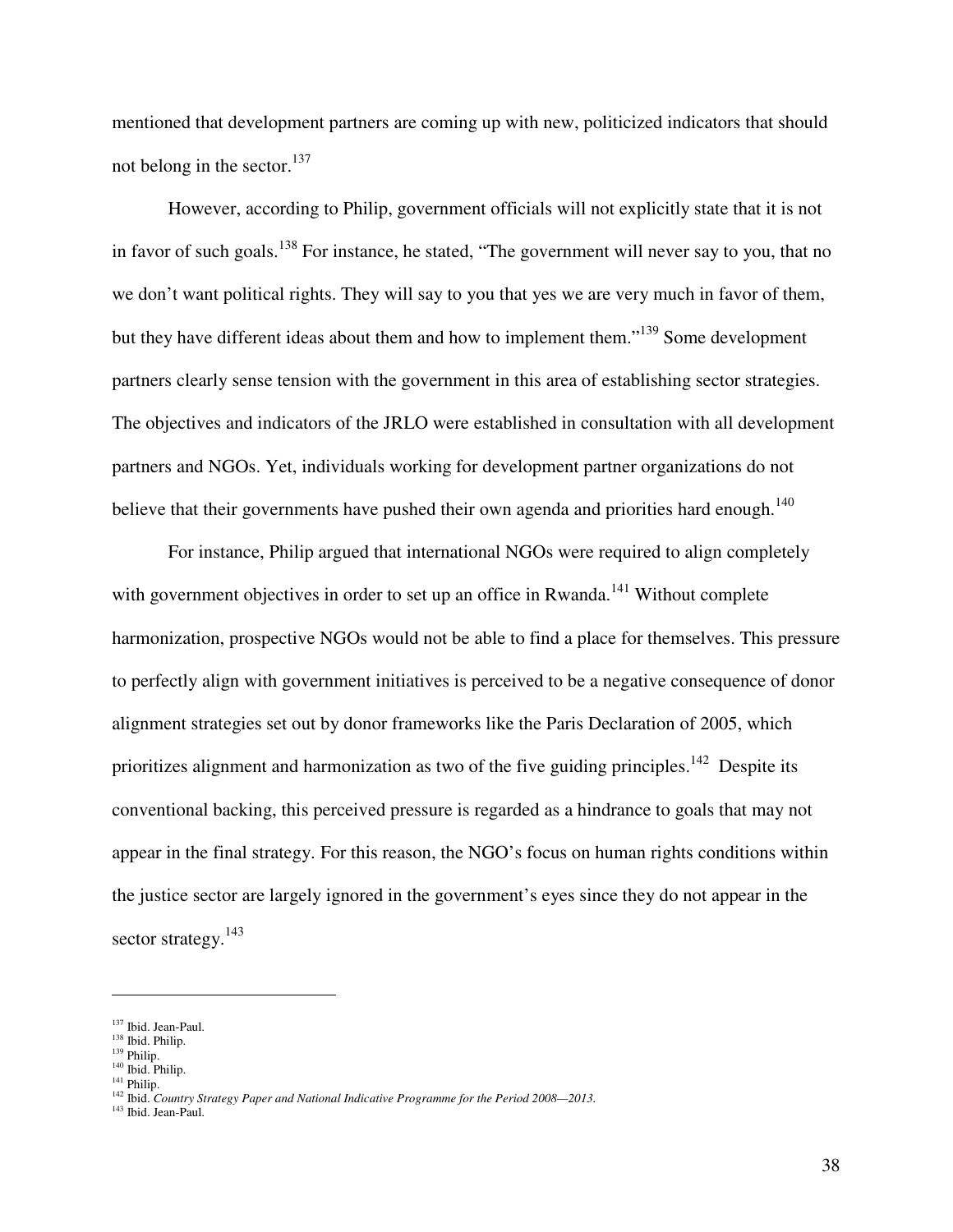mentioned that development partners are coming up with new, politicized indicators that should not belong in the sector. $137$ 

However, according to Philip, government officials will not explicitly state that it is not in favor of such goals.<sup>138</sup> For instance, he stated, "The government will never say to you, that no we don't want political rights. They will say to you that yes we are very much in favor of them, but they have different ideas about them and how to implement them."<sup>139</sup> Some development partners clearly sense tension with the government in this area of establishing sector strategies. The objectives and indicators of the JRLO were established in consultation with all development partners and NGOs. Yet, individuals working for development partner organizations do not believe that their governments have pushed their own agenda and priorities hard enough.<sup>140</sup>

For instance, Philip argued that international NGOs were required to align completely with government objectives in order to set up an office in Rwanda.<sup>141</sup> Without complete harmonization, prospective NGOs would not be able to find a place for themselves. This pressure to perfectly align with government initiatives is perceived to be a negative consequence of donor alignment strategies set out by donor frameworks like the Paris Declaration of 2005, which prioritizes alignment and harmonization as two of the five guiding principles.<sup>142</sup> Despite its conventional backing, this perceived pressure is regarded as a hindrance to goals that may not appear in the final strategy. For this reason, the NGO's focus on human rights conditions within the justice sector are largely ignored in the government's eyes since they do not appear in the sector strategy.<sup>143</sup>

 $\overline{a}$ 

<sup>141</sup> Philip.

<sup>137</sup> Ibid. Jean-Paul.

<sup>138</sup> Ibid. Philip.

<sup>&</sup>lt;sup>139</sup> Philip.  $140$  Ibid. Philip.

<sup>142</sup> Ibid. *Country Strategy Paper and National Indicative Programme for the Period 2008—2013.*

<sup>&</sup>lt;sup>143</sup> Ibid. Jean-Paul.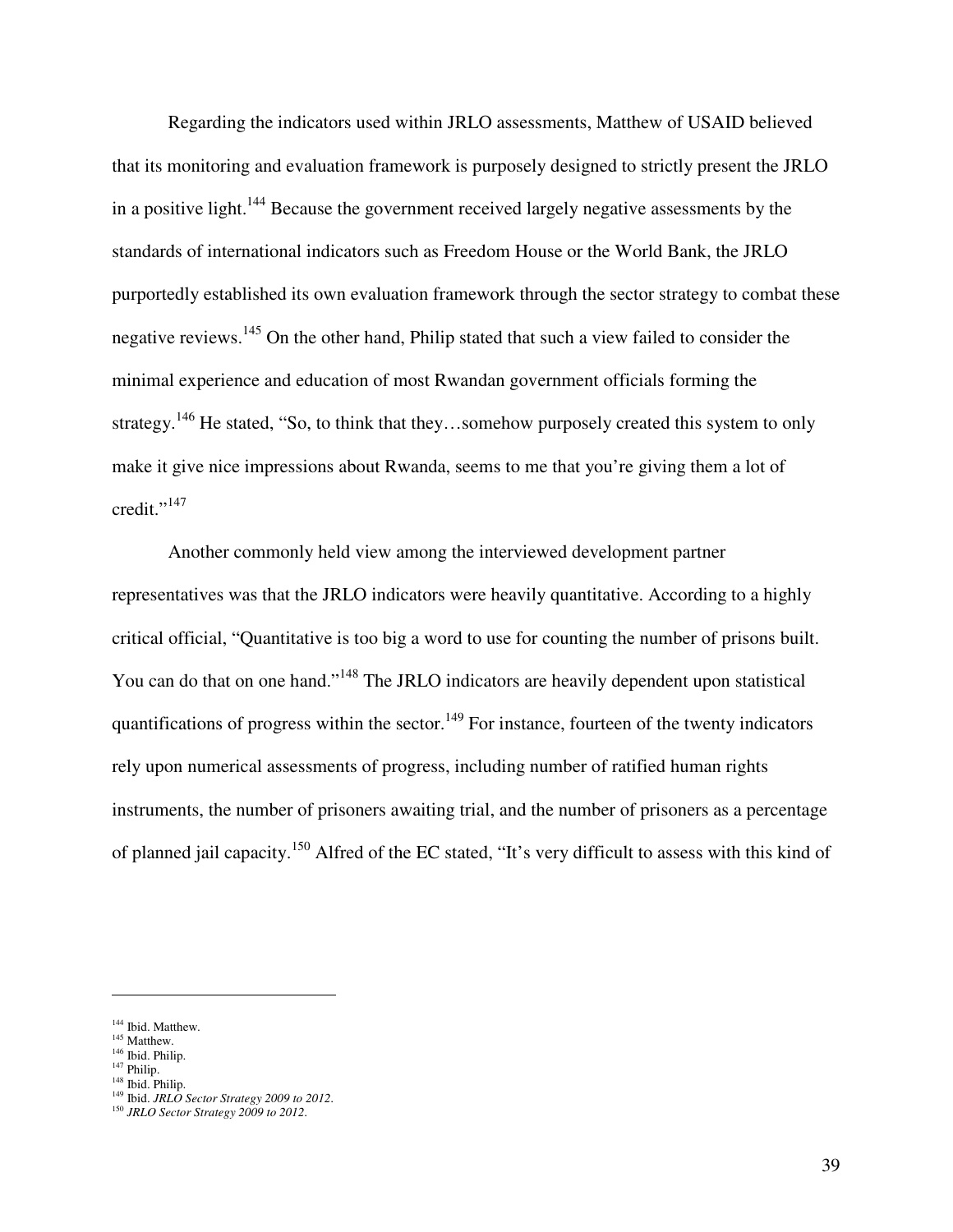Regarding the indicators used within JRLO assessments, Matthew of USAID believed that its monitoring and evaluation framework is purposely designed to strictly present the JRLO in a positive light.<sup>144</sup> Because the government received largely negative assessments by the standards of international indicators such as Freedom House or the World Bank, the JRLO purportedly established its own evaluation framework through the sector strategy to combat these negative reviews.<sup>145</sup> On the other hand, Philip stated that such a view failed to consider the minimal experience and education of most Rwandan government officials forming the strategy.<sup>146</sup> He stated, "So, to think that they...somehow purposely created this system to only make it give nice impressions about Rwanda, seems to me that you're giving them a lot of  $\text{credit.} \text{''}^{147}$ 

Another commonly held view among the interviewed development partner representatives was that the JRLO indicators were heavily quantitative. According to a highly critical official, "Quantitative is too big a word to use for counting the number of prisons built. You can do that on one hand."<sup>148</sup> The JRLO indicators are heavily dependent upon statistical quantifications of progress within the sector.<sup>149</sup> For instance, fourteen of the twenty indicators rely upon numerical assessments of progress, including number of ratified human rights instruments, the number of prisoners awaiting trial, and the number of prisoners as a percentage of planned jail capacity.<sup>150</sup> Alfred of the EC stated, "It's very difficult to assess with this kind of

-

<sup>&</sup>lt;sup>144</sup> Ibid. Matthew.

<sup>&</sup>lt;sup>145</sup> Matthew.

<sup>146</sup> Ibid. Philip.

 $147$  Philip.

<sup>&</sup>lt;sup>148</sup> Ibid. Philip.

<sup>149</sup> Ibid. *JRLO Sector Strategy 2009 to 2012*.

<sup>150</sup> *JRLO Sector Strategy 2009 to 2012*.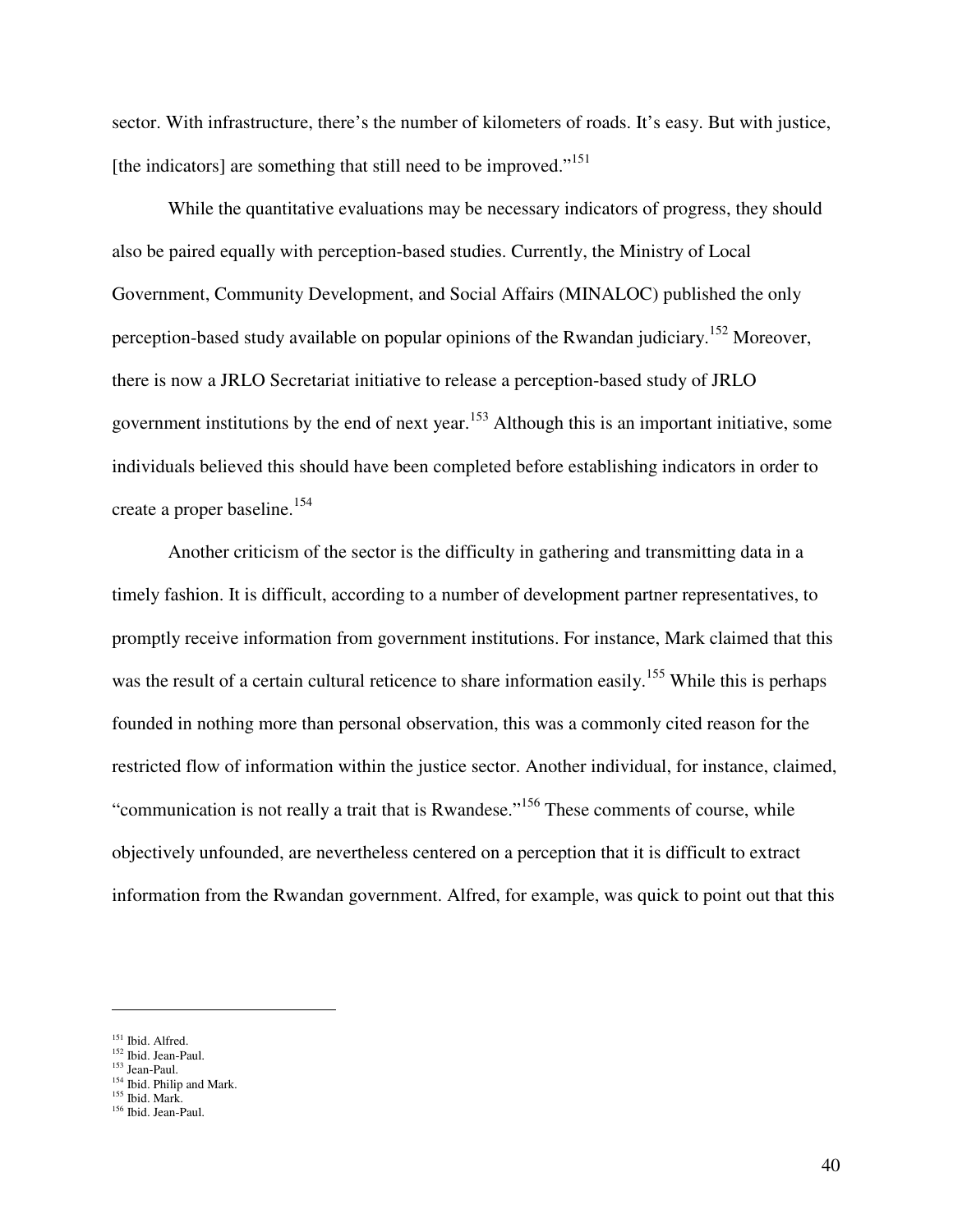sector. With infrastructure, there's the number of kilometers of roads. It's easy. But with justice, [the indicators] are something that still need to be improved."<sup>151</sup>

While the quantitative evaluations may be necessary indicators of progress, they should also be paired equally with perception-based studies. Currently, the Ministry of Local Government, Community Development, and Social Affairs (MINALOC) published the only perception-based study available on popular opinions of the Rwandan judiciary.<sup>152</sup> Moreover, there is now a JRLO Secretariat initiative to release a perception-based study of JRLO government institutions by the end of next year.<sup>153</sup> Although this is an important initiative, some individuals believed this should have been completed before establishing indicators in order to create a proper baseline.<sup>154</sup>

Another criticism of the sector is the difficulty in gathering and transmitting data in a timely fashion. It is difficult, according to a number of development partner representatives, to promptly receive information from government institutions. For instance, Mark claimed that this was the result of a certain cultural reticence to share information easily.<sup>155</sup> While this is perhaps founded in nothing more than personal observation, this was a commonly cited reason for the restricted flow of information within the justice sector. Another individual, for instance, claimed, "communication is not really a trait that is Rwandese."<sup>156</sup> These comments of course, while objectively unfounded, are nevertheless centered on a perception that it is difficult to extract information from the Rwandan government. Alfred, for example, was quick to point out that this

<sup>&</sup>lt;sup>151</sup> Ibid. Alfred.

<sup>&</sup>lt;sup>152</sup> Ibid. Jean-Paul.

<sup>153</sup> Jean-Paul.

<sup>&</sup>lt;sup>154</sup> Ibid. Philip and Mark.

 $155$  Ibid. Mark.

<sup>156</sup> Ibid. Jean-Paul.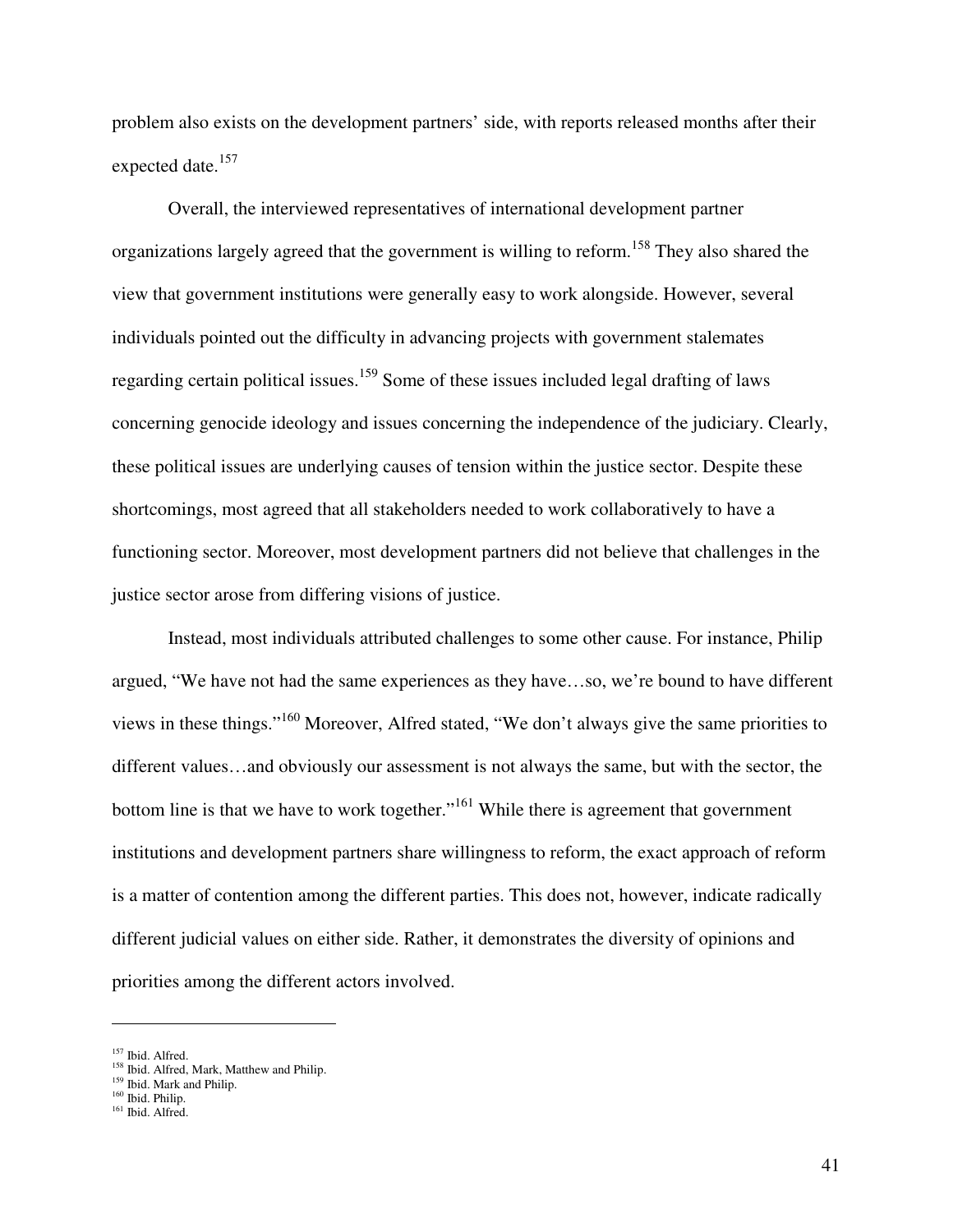problem also exists on the development partners' side, with reports released months after their expected date.<sup>157</sup>

Overall, the interviewed representatives of international development partner organizations largely agreed that the government is willing to reform.<sup>158</sup> They also shared the view that government institutions were generally easy to work alongside. However, several individuals pointed out the difficulty in advancing projects with government stalemates regarding certain political issues.<sup>159</sup> Some of these issues included legal drafting of laws concerning genocide ideology and issues concerning the independence of the judiciary. Clearly, these political issues are underlying causes of tension within the justice sector. Despite these shortcomings, most agreed that all stakeholders needed to work collaboratively to have a functioning sector. Moreover, most development partners did not believe that challenges in the justice sector arose from differing visions of justice.

Instead, most individuals attributed challenges to some other cause. For instance, Philip argued, "We have not had the same experiences as they have…so, we're bound to have different views in these things."<sup>160</sup> Moreover, Alfred stated, "We don't always give the same priorities to different values…and obviously our assessment is not always the same, but with the sector, the bottom line is that we have to work together."<sup>161</sup> While there is agreement that government institutions and development partners share willingness to reform, the exact approach of reform is a matter of contention among the different parties. This does not, however, indicate radically different judicial values on either side. Rather, it demonstrates the diversity of opinions and priorities among the different actors involved.

<sup>&</sup>lt;sup>157</sup> Ibid. Alfred.

<sup>&</sup>lt;sup>158</sup> Ibid. Alfred, Mark, Matthew and Philip.

<sup>&</sup>lt;sup>159</sup> Ibid. Mark and Philip.

<sup>160</sup> Ibid. Philip.

<sup>&</sup>lt;sup>161</sup> Ibid. Alfred.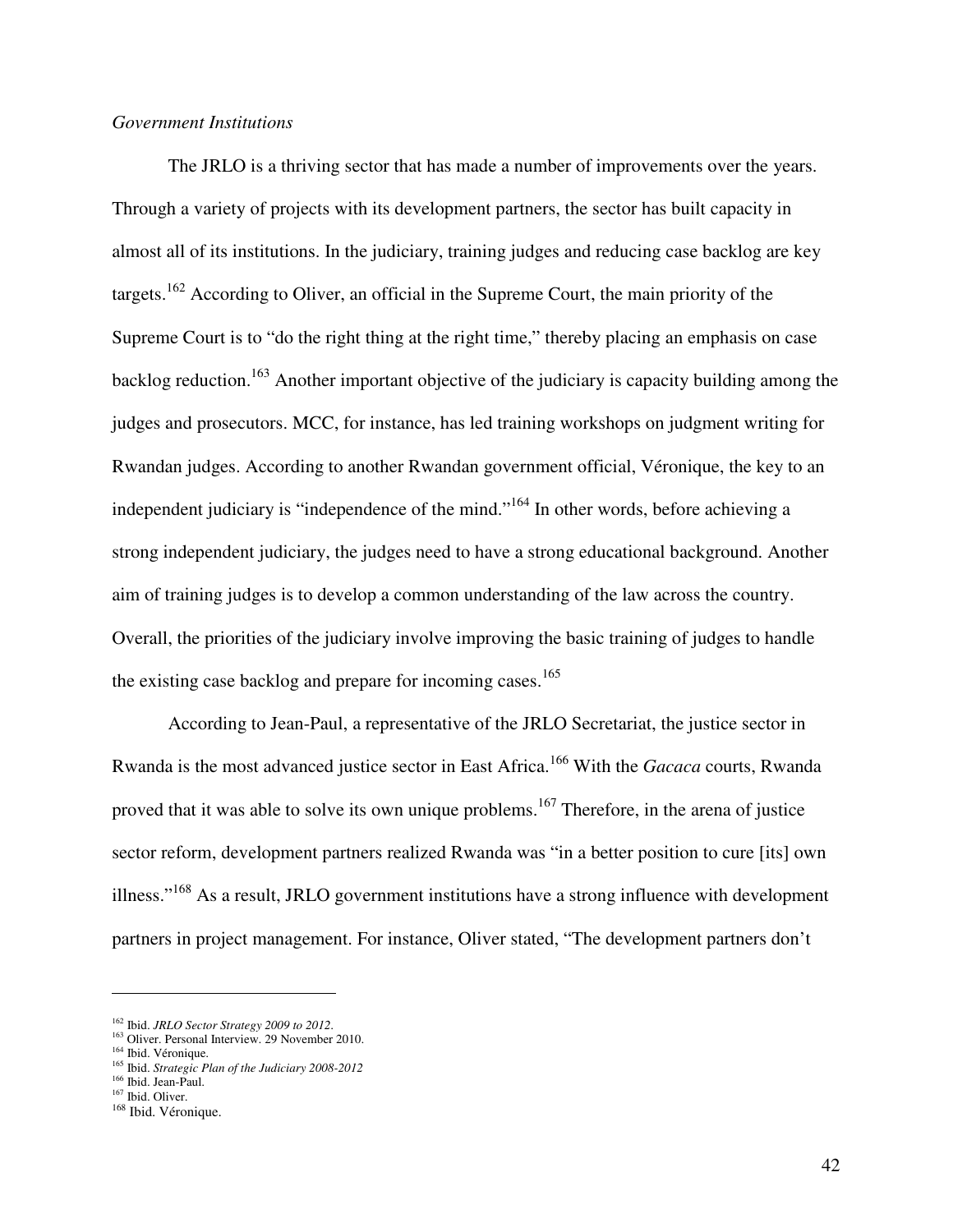#### *Government Institutions*

 The JRLO is a thriving sector that has made a number of improvements over the years. Through a variety of projects with its development partners, the sector has built capacity in almost all of its institutions. In the judiciary, training judges and reducing case backlog are key targets.<sup>162</sup> According to Oliver, an official in the Supreme Court, the main priority of the Supreme Court is to "do the right thing at the right time," thereby placing an emphasis on case backlog reduction.<sup>163</sup> Another important objective of the judiciary is capacity building among the judges and prosecutors. MCC, for instance, has led training workshops on judgment writing for Rwandan judges. According to another Rwandan government official, Véronique, the key to an independent judiciary is "independence of the mind."<sup>164</sup> In other words, before achieving a strong independent judiciary, the judges need to have a strong educational background. Another aim of training judges is to develop a common understanding of the law across the country. Overall, the priorities of the judiciary involve improving the basic training of judges to handle the existing case backlog and prepare for incoming cases.<sup>165</sup>

 According to Jean-Paul, a representative of the JRLO Secretariat, the justice sector in Rwanda is the most advanced justice sector in East Africa.<sup>166</sup> With the *Gacaca* courts, Rwanda proved that it was able to solve its own unique problems.<sup>167</sup> Therefore, in the arena of justice sector reform, development partners realized Rwanda was "in a better position to cure [its] own illness."<sup>168</sup> As a result, JRLO government institutions have a strong influence with development partners in project management. For instance, Oliver stated, "The development partners don't

-

<sup>162</sup> Ibid. *JRLO Sector Strategy 2009 to 2012*.

<sup>&</sup>lt;sup>163</sup> Oliver. Personal Interview. 29 November 2010.

<sup>&</sup>lt;sup>164</sup> Ibid. Véronique.

<sup>165</sup> Ibid. *Strategic Plan of the Judiciary 2008-2012*

<sup>&</sup>lt;sup>166</sup> Ibid. Jean-Paul.

<sup>167</sup> Ibid. Oliver.

<sup>&</sup>lt;sup>168</sup> Ibid. Véronique.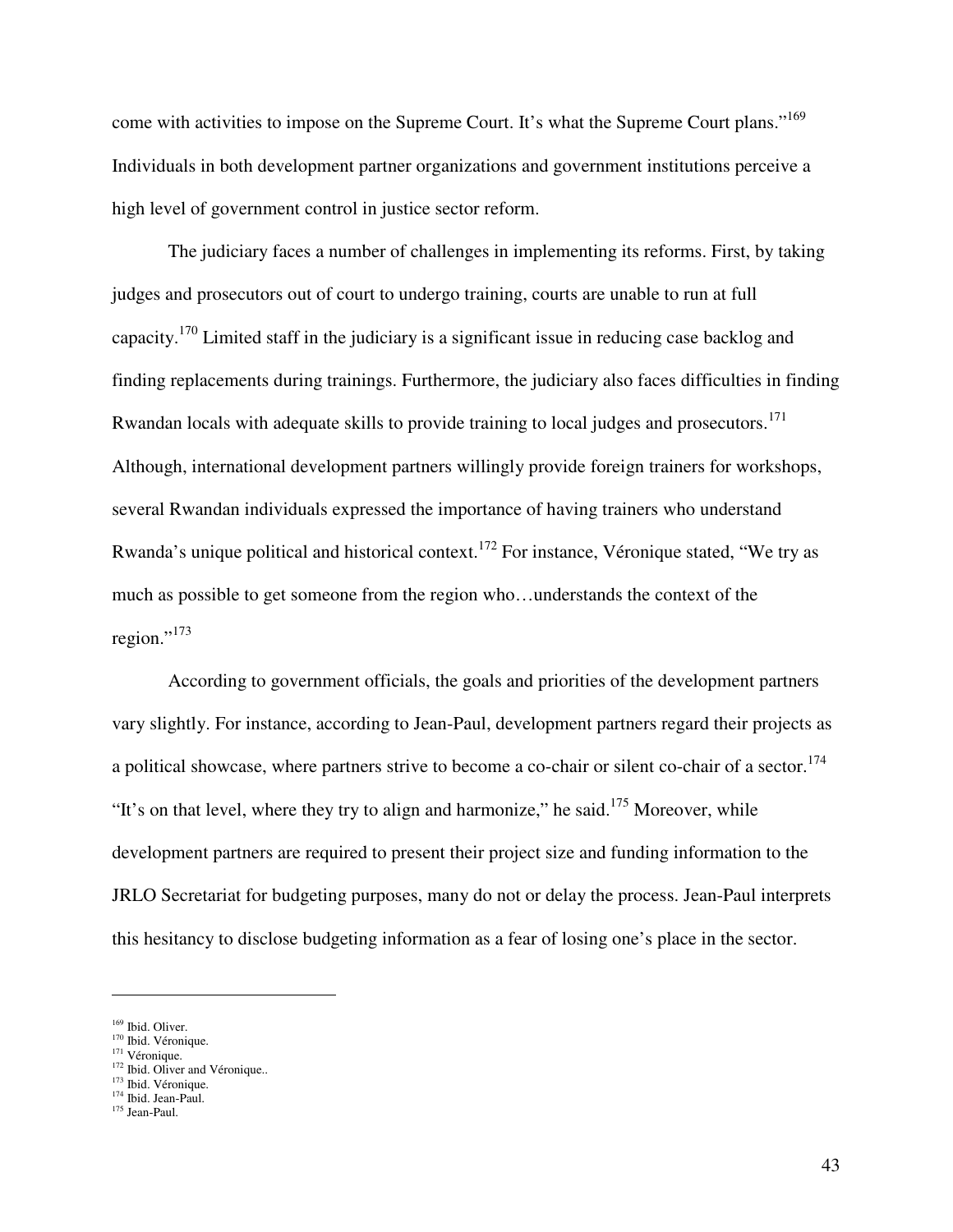come with activities to impose on the Supreme Court. It's what the Supreme Court plans."<sup>169</sup> Individuals in both development partner organizations and government institutions perceive a high level of government control in justice sector reform.

 The judiciary faces a number of challenges in implementing its reforms. First, by taking judges and prosecutors out of court to undergo training, courts are unable to run at full capacity.<sup>170</sup> Limited staff in the judiciary is a significant issue in reducing case backlog and finding replacements during trainings. Furthermore, the judiciary also faces difficulties in finding Rwandan locals with adequate skills to provide training to local judges and prosecutors.<sup>171</sup> Although, international development partners willingly provide foreign trainers for workshops, several Rwandan individuals expressed the importance of having trainers who understand Rwanda's unique political and historical context.<sup>172</sup> For instance, Véronique stated, "We try as much as possible to get someone from the region who…understands the context of the region."<sup>173</sup>

 According to government officials, the goals and priorities of the development partners vary slightly. For instance, according to Jean-Paul, development partners regard their projects as a political showcase, where partners strive to become a co-chair or silent co-chair of a sector.<sup>174</sup> "It's on that level, where they try to align and harmonize," he said.<sup>175</sup> Moreover, while development partners are required to present their project size and funding information to the JRLO Secretariat for budgeting purposes, many do not or delay the process. Jean-Paul interprets this hesitancy to disclose budgeting information as a fear of losing one's place in the sector.

- <sup>171</sup> Véronique.
- $172$  Ibid. Oliver and Véronique..
- <sup>173</sup> Ibid. Véronique. <sup>174</sup> Ibid. Jean-Paul.

<sup>169</sup> Ibid. Oliver.

<sup>&</sup>lt;sup>170</sup> Ibid. Véronique.

<sup>&</sup>lt;sup>175</sup> Jean-Paul.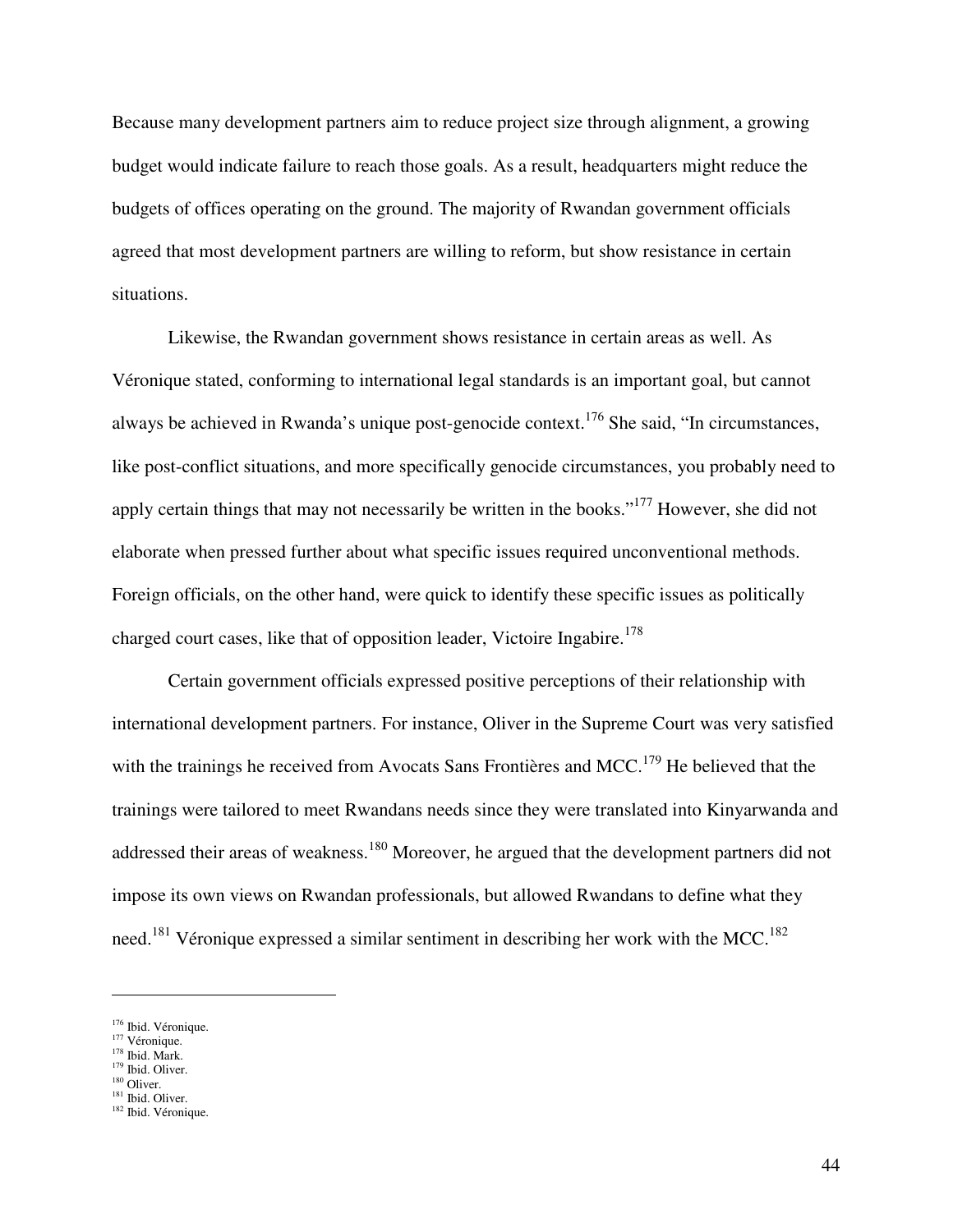Because many development partners aim to reduce project size through alignment, a growing budget would indicate failure to reach those goals. As a result, headquarters might reduce the budgets of offices operating on the ground. The majority of Rwandan government officials agreed that most development partners are willing to reform, but show resistance in certain situations.

Likewise, the Rwandan government shows resistance in certain areas as well. As Véronique stated, conforming to international legal standards is an important goal, but cannot always be achieved in Rwanda's unique post-genocide context.<sup>176</sup> She said, "In circumstances, like post-conflict situations, and more specifically genocide circumstances, you probably need to apply certain things that may not necessarily be written in the books."<sup>177</sup> However, she did not elaborate when pressed further about what specific issues required unconventional methods. Foreign officials, on the other hand, were quick to identify these specific issues as politically charged court cases, like that of opposition leader, Victoire Ingabire.<sup>178</sup>

Certain government officials expressed positive perceptions of their relationship with international development partners. For instance, Oliver in the Supreme Court was very satisfied with the trainings he received from Avocats Sans Frontières and MCC.<sup>179</sup> He believed that the trainings were tailored to meet Rwandans needs since they were translated into Kinyarwanda and addressed their areas of weakness.<sup>180</sup> Moreover, he argued that the development partners did not impose its own views on Rwandan professionals, but allowed Rwandans to define what they need.<sup>181</sup> Véronique expressed a similar sentiment in describing her work with the MCC.<sup>182</sup>

-

<sup>&</sup>lt;sup>176</sup> Ibid. Véronique.

<sup>&</sup>lt;sup>177</sup> Véronique. <sup>178</sup> Ibid. Mark.

<sup>&</sup>lt;sup>179</sup> Ibid. Oliver.

 $180$  Oliver.

<sup>&</sup>lt;sup>181</sup> Ibid. Oliver. <sup>182</sup> Ibid. Véronique.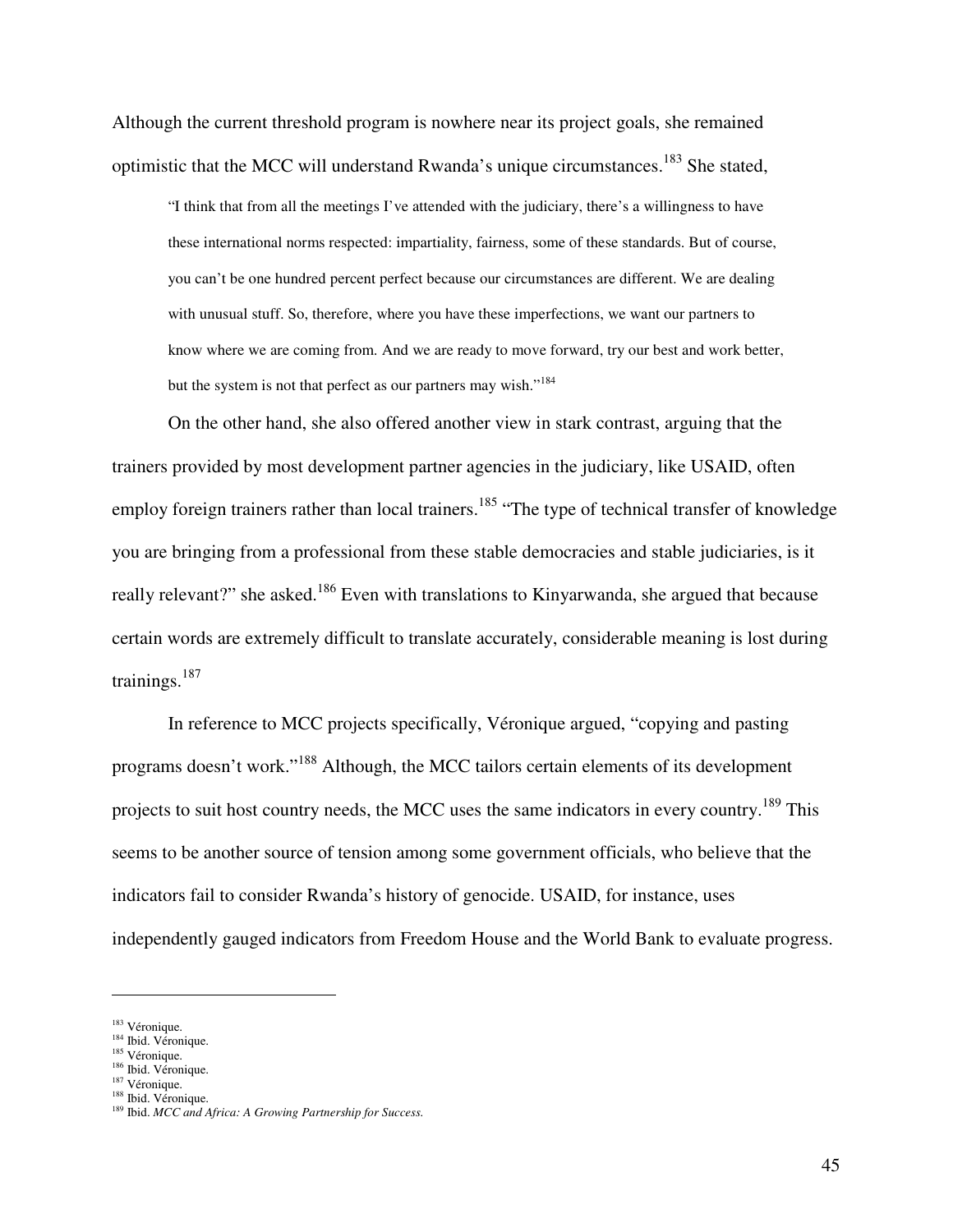Although the current threshold program is nowhere near its project goals, she remained optimistic that the MCC will understand Rwanda's unique circumstances.<sup>183</sup> She stated,

"I think that from all the meetings I've attended with the judiciary, there's a willingness to have these international norms respected: impartiality, fairness, some of these standards. But of course, you can't be one hundred percent perfect because our circumstances are different. We are dealing with unusual stuff. So, therefore, where you have these imperfections, we want our partners to know where we are coming from. And we are ready to move forward, try our best and work better, but the system is not that perfect as our partners may wish."<sup>184</sup>

On the other hand, she also offered another view in stark contrast, arguing that the trainers provided by most development partner agencies in the judiciary, like USAID, often employ foreign trainers rather than local trainers.<sup>185</sup> "The type of technical transfer of knowledge you are bringing from a professional from these stable democracies and stable judiciaries, is it really relevant?" she asked.<sup>186</sup> Even with translations to Kinyarwanda, she argued that because certain words are extremely difficult to translate accurately, considerable meaning is lost during trainings.<sup>187</sup>

In reference to MCC projects specifically, Véronique argued, "copying and pasting programs doesn't work."<sup>188</sup> Although, the MCC tailors certain elements of its development projects to suit host country needs, the MCC uses the same indicators in every country.<sup>189</sup> This seems to be another source of tension among some government officials, who believe that the indicators fail to consider Rwanda's history of genocide. USAID, for instance, uses independently gauged indicators from Freedom House and the World Bank to evaluate progress.

-

<sup>&</sup>lt;sup>183</sup> Véronique.

<sup>&</sup>lt;sup>184</sup> Ibid. Véronique.

<sup>&</sup>lt;sup>185</sup> Véronique. <sup>186</sup> Ibid. Véronique.

<sup>&</sup>lt;sup>187</sup> Véronique.

<sup>&</sup>lt;sup>188</sup> Ibid. Véronique.

<sup>189</sup> Ibid. *MCC and Africa: A Growing Partnership for Success.*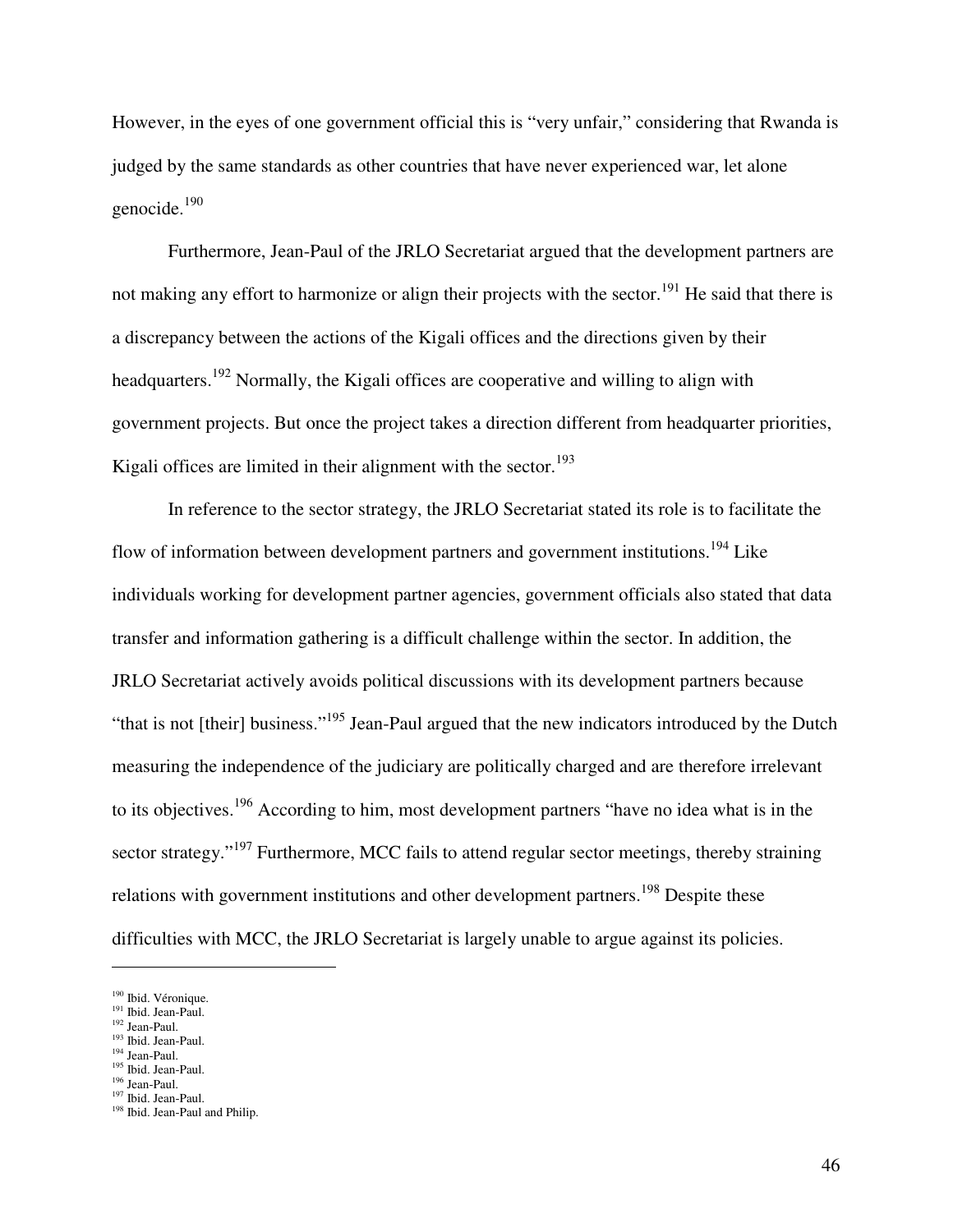However, in the eyes of one government official this is "very unfair," considering that Rwanda is judged by the same standards as other countries that have never experienced war, let alone genocide.<sup>190</sup>

Furthermore, Jean-Paul of the JRLO Secretariat argued that the development partners are not making any effort to harmonize or align their projects with the sector.<sup>191</sup> He said that there is a discrepancy between the actions of the Kigali offices and the directions given by their headquarters.<sup>192</sup> Normally, the Kigali offices are cooperative and willing to align with government projects. But once the project takes a direction different from headquarter priorities, Kigali offices are limited in their alignment with the sector.<sup>193</sup>

In reference to the sector strategy, the JRLO Secretariat stated its role is to facilitate the flow of information between development partners and government institutions.<sup>194</sup> Like individuals working for development partner agencies, government officials also stated that data transfer and information gathering is a difficult challenge within the sector. In addition, the JRLO Secretariat actively avoids political discussions with its development partners because "that is not [their] business."<sup>195</sup> Jean-Paul argued that the new indicators introduced by the Dutch measuring the independence of the judiciary are politically charged and are therefore irrelevant to its objectives.<sup>196</sup> According to him, most development partners "have no idea what is in the sector strategy."<sup>197</sup> Furthermore, MCC fails to attend regular sector meetings, thereby straining relations with government institutions and other development partners.<sup>198</sup> Despite these difficulties with MCC, the JRLO Secretariat is largely unable to argue against its policies.

 $\overline{a}$ 

- <sup>192</sup> Jean-Paul. <sup>193</sup> Ibid. Jean-Paul.
- <sup>194</sup> Jean-Paul.
- <sup>195</sup> Ibid. Jean-Paul.

<sup>197</sup> Ibid. Jean-Paul.

<sup>&</sup>lt;sup>190</sup> Ibid. Véronique.

<sup>&</sup>lt;sup>191</sup> Ibid. Jean-Paul.

<sup>&</sup>lt;sup>196</sup> Jean-Paul.

<sup>&</sup>lt;sup>198</sup> Ibid. Jean-Paul and Philip.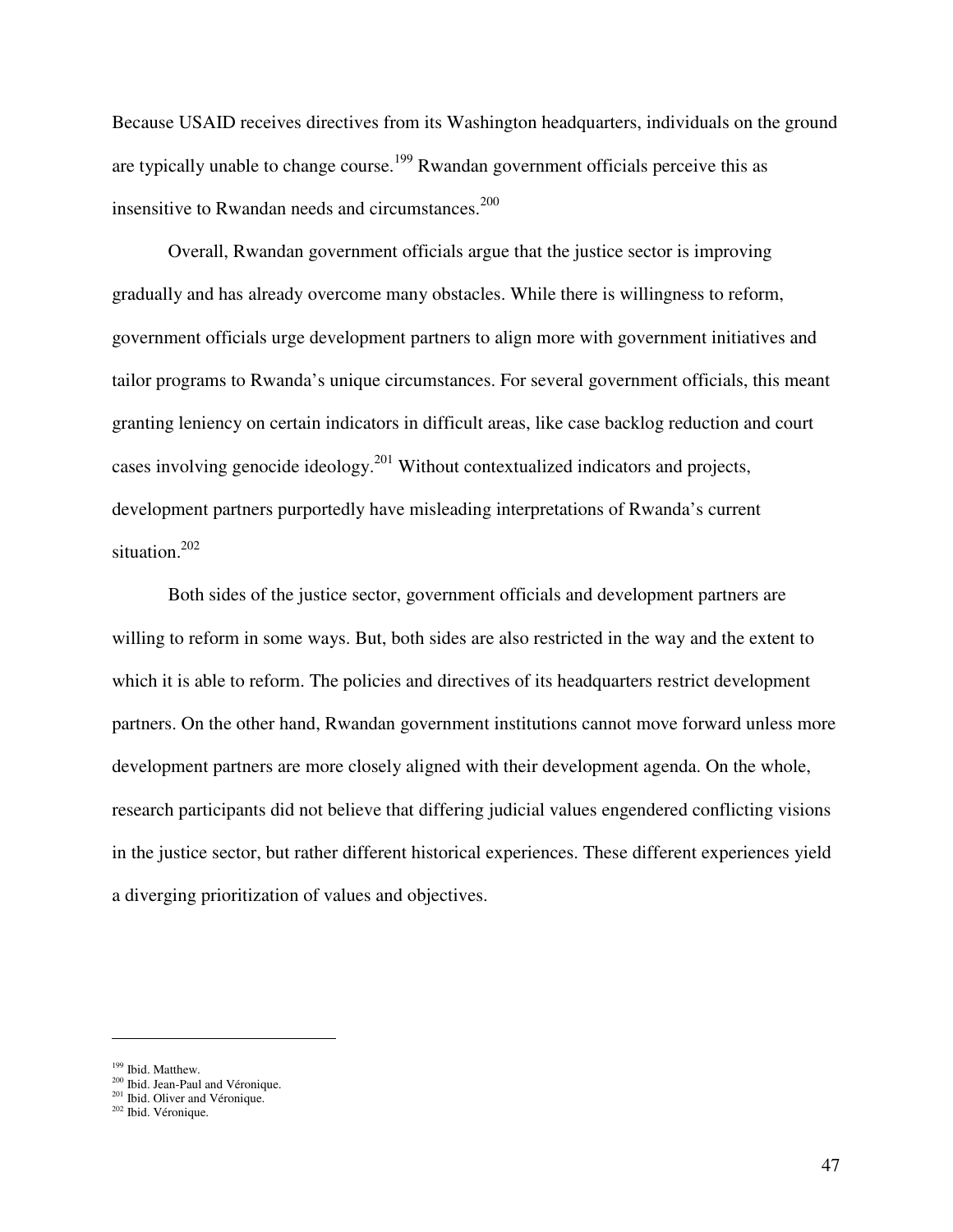Because USAID receives directives from its Washington headquarters, individuals on the ground are typically unable to change course.<sup>199</sup> Rwandan government officials perceive this as insensitive to Rwandan needs and circumstances. $200$ 

Overall, Rwandan government officials argue that the justice sector is improving gradually and has already overcome many obstacles. While there is willingness to reform, government officials urge development partners to align more with government initiatives and tailor programs to Rwanda's unique circumstances. For several government officials, this meant granting leniency on certain indicators in difficult areas, like case backlog reduction and court cases involving genocide ideology.<sup>201</sup> Without contextualized indicators and projects, development partners purportedly have misleading interpretations of Rwanda's current situation.<sup>202</sup>

Both sides of the justice sector, government officials and development partners are willing to reform in some ways. But, both sides are also restricted in the way and the extent to which it is able to reform. The policies and directives of its headquarters restrict development partners. On the other hand, Rwandan government institutions cannot move forward unless more development partners are more closely aligned with their development agenda. On the whole, research participants did not believe that differing judicial values engendered conflicting visions in the justice sector, but rather different historical experiences. These different experiences yield a diverging prioritization of values and objectives.

<sup>&</sup>lt;sup>199</sup> Ibid. Matthew.

<sup>&</sup>lt;sup>200</sup> Ibid. Jean-Paul and Véronique.

<sup>&</sup>lt;sup>201</sup> Ibid. Oliver and Véronique.

<sup>202</sup> Ibid. Véronique.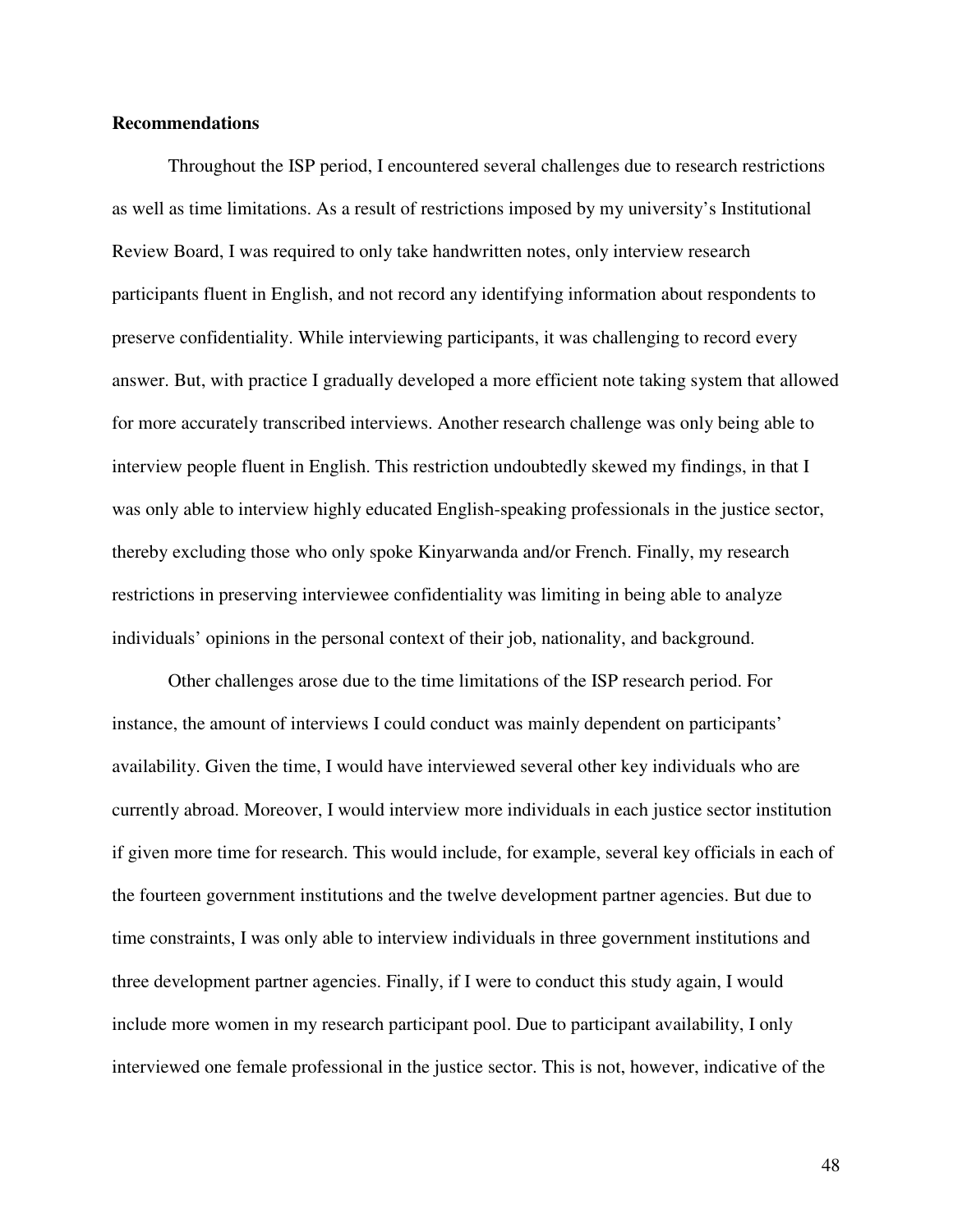#### **Recommendations**

 Throughout the ISP period, I encountered several challenges due to research restrictions as well as time limitations. As a result of restrictions imposed by my university's Institutional Review Board, I was required to only take handwritten notes, only interview research participants fluent in English, and not record any identifying information about respondents to preserve confidentiality. While interviewing participants, it was challenging to record every answer. But, with practice I gradually developed a more efficient note taking system that allowed for more accurately transcribed interviews. Another research challenge was only being able to interview people fluent in English. This restriction undoubtedly skewed my findings, in that I was only able to interview highly educated English-speaking professionals in the justice sector, thereby excluding those who only spoke Kinyarwanda and/or French. Finally, my research restrictions in preserving interviewee confidentiality was limiting in being able to analyze individuals' opinions in the personal context of their job, nationality, and background.

 Other challenges arose due to the time limitations of the ISP research period. For instance, the amount of interviews I could conduct was mainly dependent on participants' availability. Given the time, I would have interviewed several other key individuals who are currently abroad. Moreover, I would interview more individuals in each justice sector institution if given more time for research. This would include, for example, several key officials in each of the fourteen government institutions and the twelve development partner agencies. But due to time constraints, I was only able to interview individuals in three government institutions and three development partner agencies. Finally, if I were to conduct this study again, I would include more women in my research participant pool. Due to participant availability, I only interviewed one female professional in the justice sector. This is not, however, indicative of the

48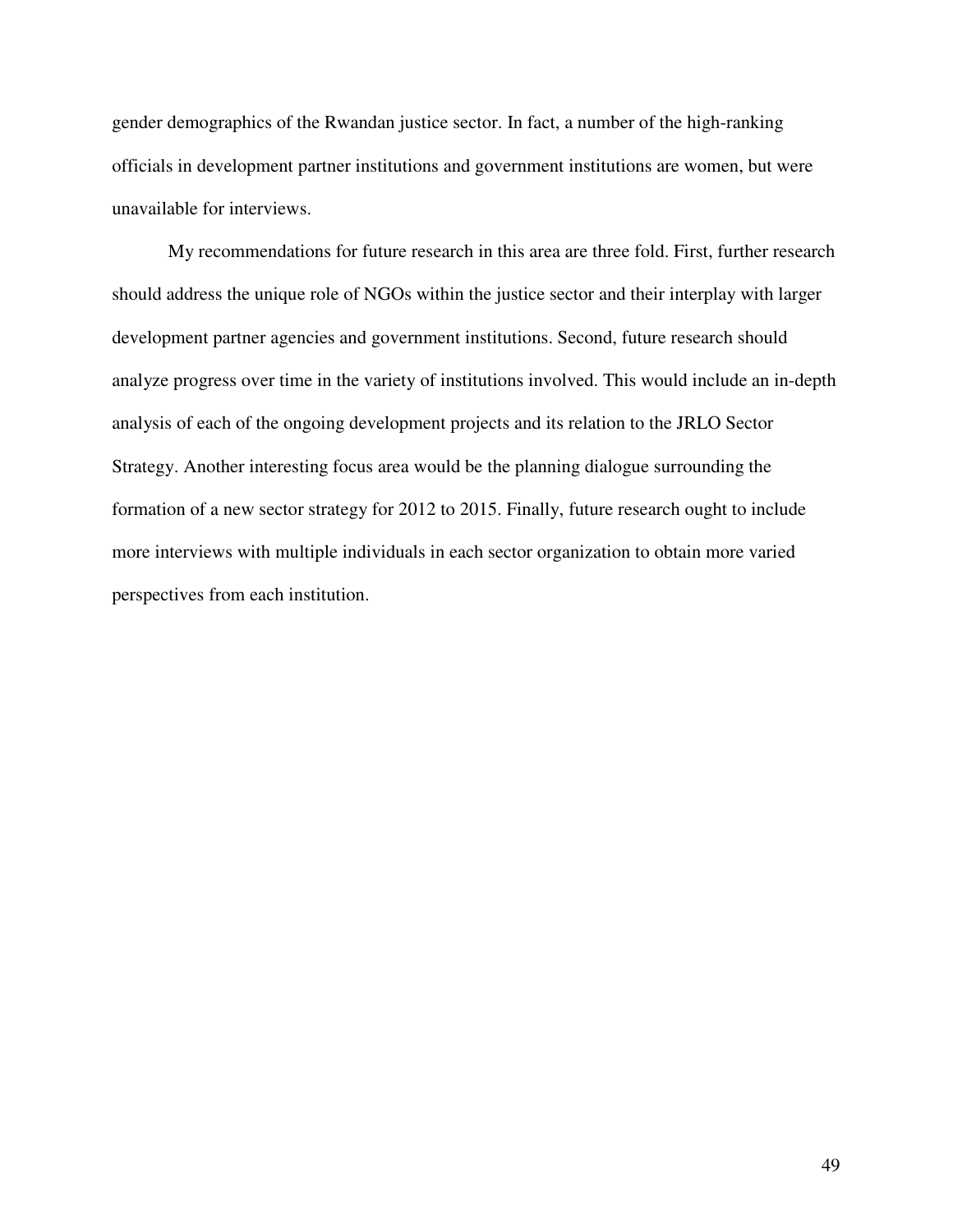gender demographics of the Rwandan justice sector. In fact, a number of the high-ranking officials in development partner institutions and government institutions are women, but were unavailable for interviews.

 My recommendations for future research in this area are three fold. First, further research should address the unique role of NGOs within the justice sector and their interplay with larger development partner agencies and government institutions. Second, future research should analyze progress over time in the variety of institutions involved. This would include an in-depth analysis of each of the ongoing development projects and its relation to the JRLO Sector Strategy. Another interesting focus area would be the planning dialogue surrounding the formation of a new sector strategy for 2012 to 2015. Finally, future research ought to include more interviews with multiple individuals in each sector organization to obtain more varied perspectives from each institution.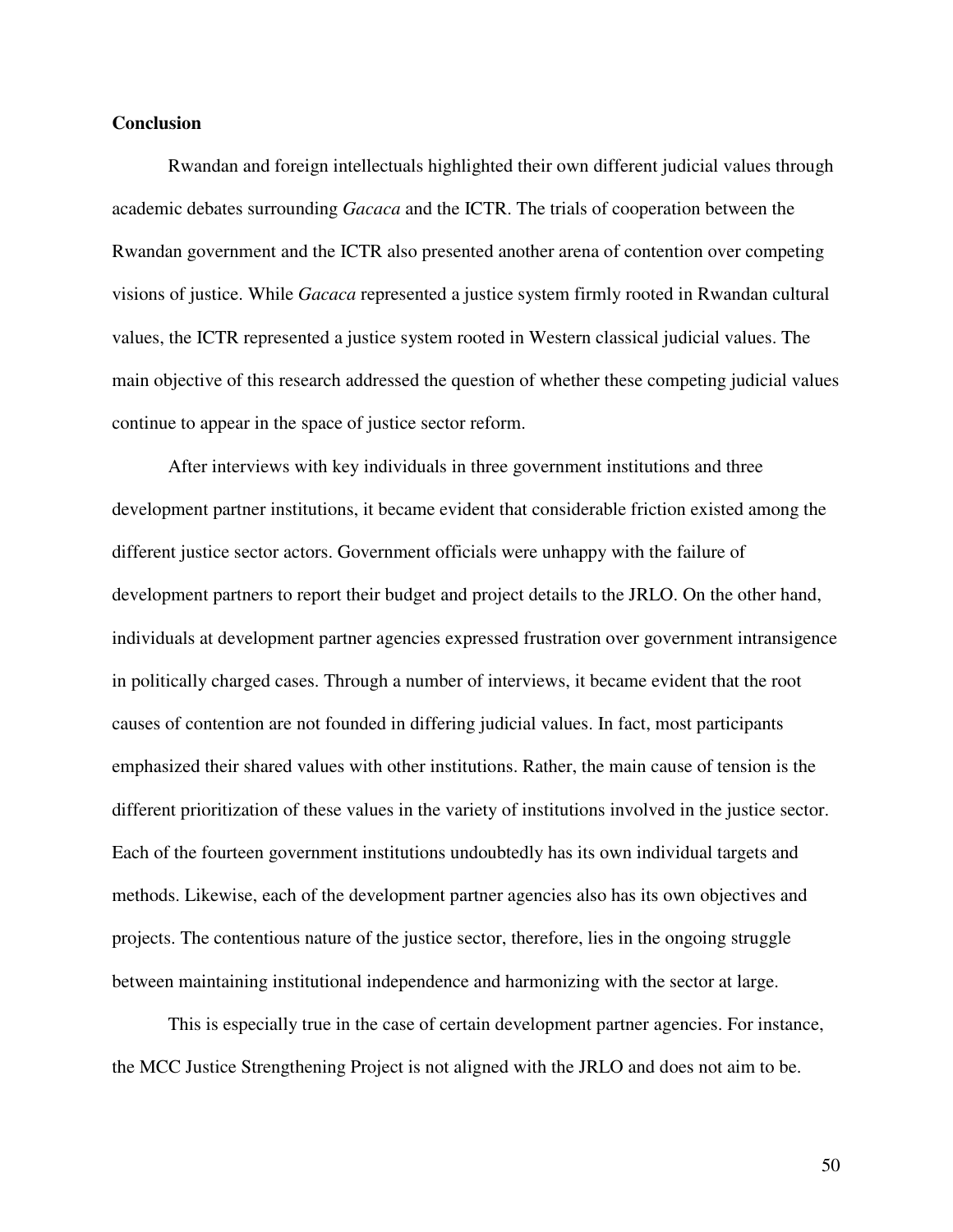#### **Conclusion**

 Rwandan and foreign intellectuals highlighted their own different judicial values through academic debates surrounding *Gacaca* and the ICTR. The trials of cooperation between the Rwandan government and the ICTR also presented another arena of contention over competing visions of justice. While *Gacaca* represented a justice system firmly rooted in Rwandan cultural values, the ICTR represented a justice system rooted in Western classical judicial values. The main objective of this research addressed the question of whether these competing judicial values continue to appear in the space of justice sector reform.

 After interviews with key individuals in three government institutions and three development partner institutions, it became evident that considerable friction existed among the different justice sector actors. Government officials were unhappy with the failure of development partners to report their budget and project details to the JRLO. On the other hand, individuals at development partner agencies expressed frustration over government intransigence in politically charged cases. Through a number of interviews, it became evident that the root causes of contention are not founded in differing judicial values. In fact, most participants emphasized their shared values with other institutions. Rather, the main cause of tension is the different prioritization of these values in the variety of institutions involved in the justice sector. Each of the fourteen government institutions undoubtedly has its own individual targets and methods. Likewise, each of the development partner agencies also has its own objectives and projects. The contentious nature of the justice sector, therefore, lies in the ongoing struggle between maintaining institutional independence and harmonizing with the sector at large.

 This is especially true in the case of certain development partner agencies. For instance, the MCC Justice Strengthening Project is not aligned with the JRLO and does not aim to be.

50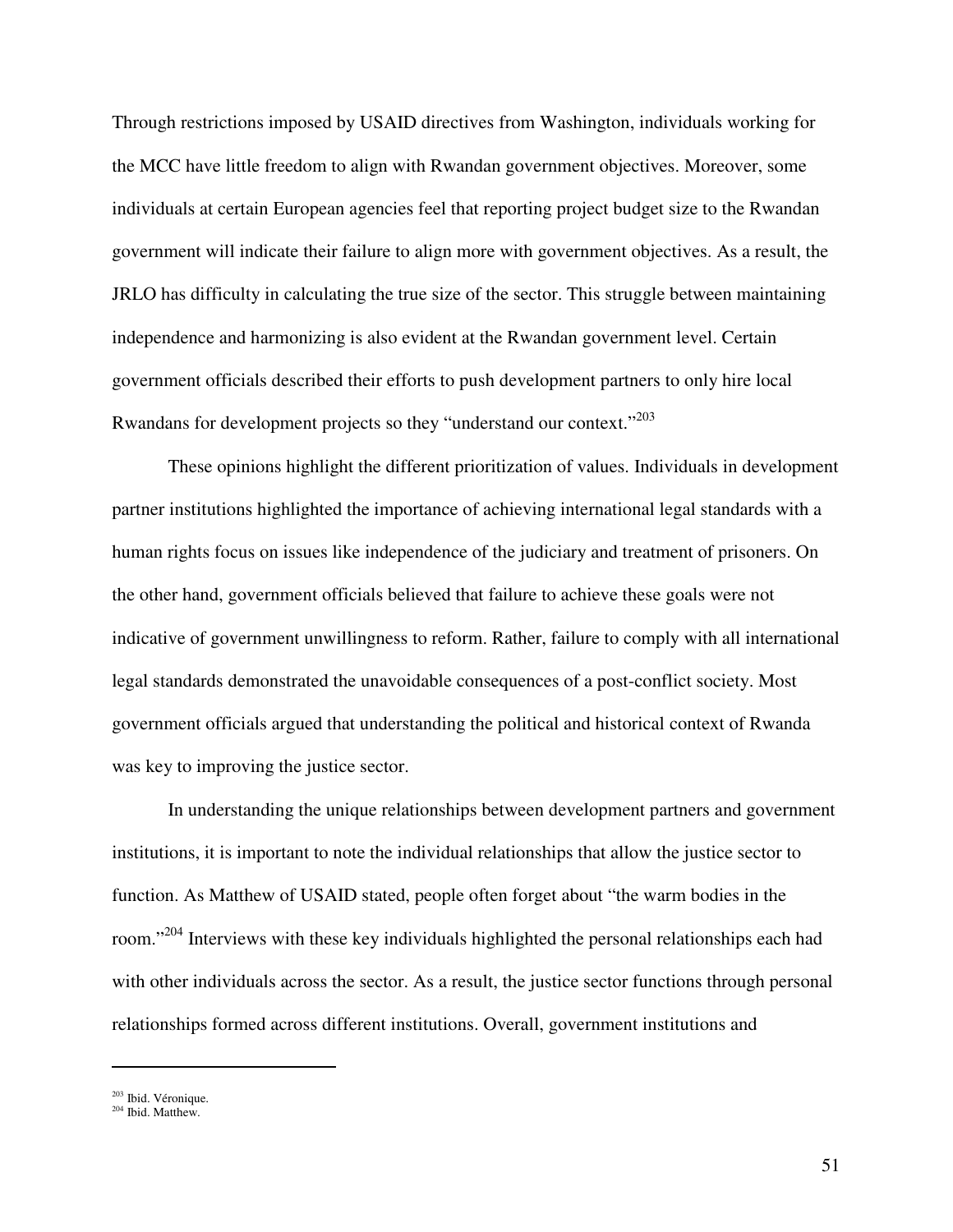Through restrictions imposed by USAID directives from Washington, individuals working for the MCC have little freedom to align with Rwandan government objectives. Moreover, some individuals at certain European agencies feel that reporting project budget size to the Rwandan government will indicate their failure to align more with government objectives. As a result, the JRLO has difficulty in calculating the true size of the sector. This struggle between maintaining independence and harmonizing is also evident at the Rwandan government level. Certain government officials described their efforts to push development partners to only hire local Rwandans for development projects so they "understand our context."<sup>203</sup>

These opinions highlight the different prioritization of values. Individuals in development partner institutions highlighted the importance of achieving international legal standards with a human rights focus on issues like independence of the judiciary and treatment of prisoners. On the other hand, government officials believed that failure to achieve these goals were not indicative of government unwillingness to reform. Rather, failure to comply with all international legal standards demonstrated the unavoidable consequences of a post-conflict society. Most government officials argued that understanding the political and historical context of Rwanda was key to improving the justice sector.

In understanding the unique relationships between development partners and government institutions, it is important to note the individual relationships that allow the justice sector to function. As Matthew of USAID stated, people often forget about "the warm bodies in the room."<sup>204</sup> Interviews with these key individuals highlighted the personal relationships each had with other individuals across the sector. As a result, the justice sector functions through personal relationships formed across different institutions. Overall, government institutions and

<sup>203</sup> Ibid. Véronique.

<sup>204</sup> Ibid. Matthew.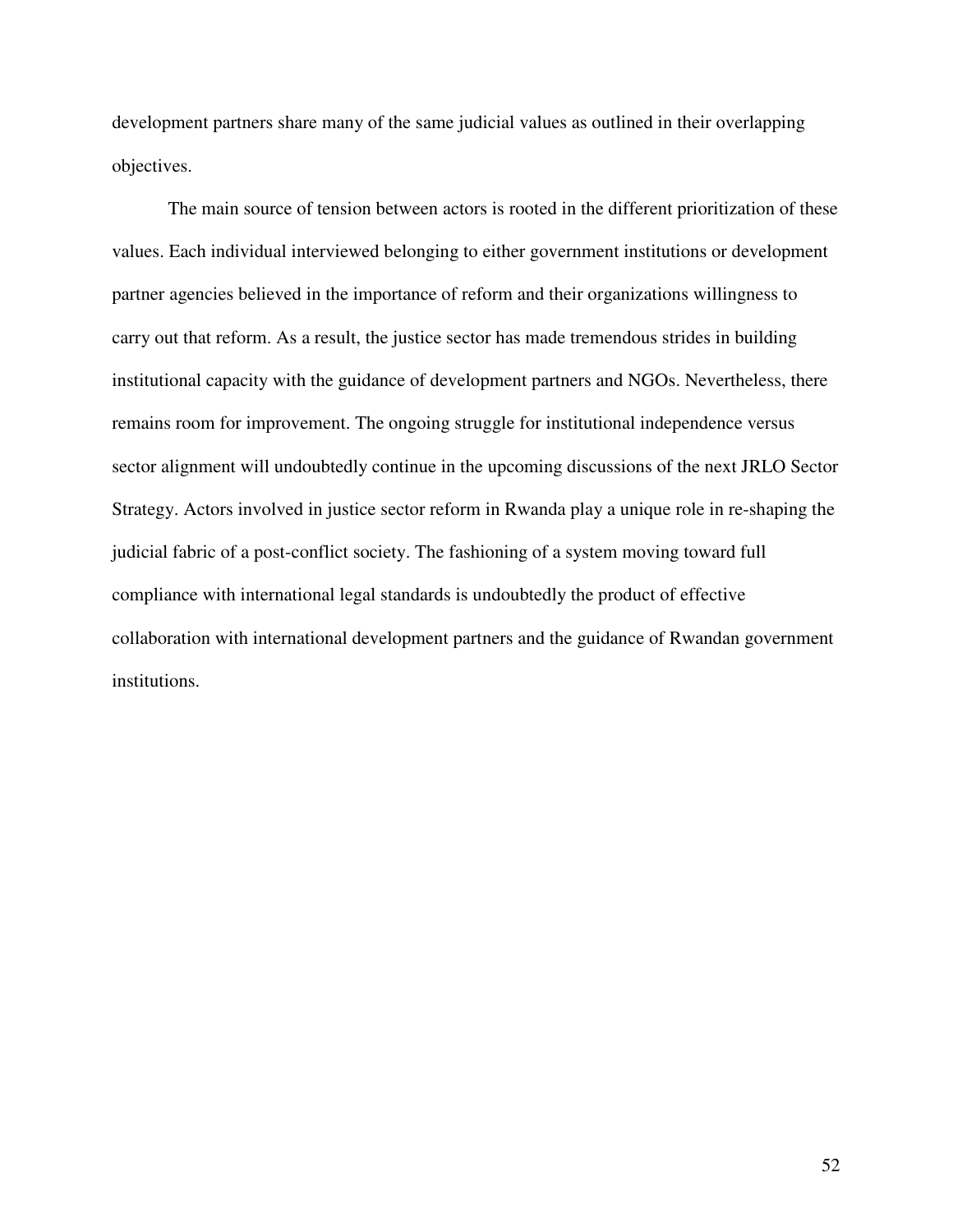development partners share many of the same judicial values as outlined in their overlapping objectives.

The main source of tension between actors is rooted in the different prioritization of these values. Each individual interviewed belonging to either government institutions or development partner agencies believed in the importance of reform and their organizations willingness to carry out that reform. As a result, the justice sector has made tremendous strides in building institutional capacity with the guidance of development partners and NGOs. Nevertheless, there remains room for improvement. The ongoing struggle for institutional independence versus sector alignment will undoubtedly continue in the upcoming discussions of the next JRLO Sector Strategy. Actors involved in justice sector reform in Rwanda play a unique role in re-shaping the judicial fabric of a post-conflict society. The fashioning of a system moving toward full compliance with international legal standards is undoubtedly the product of effective collaboration with international development partners and the guidance of Rwandan government institutions.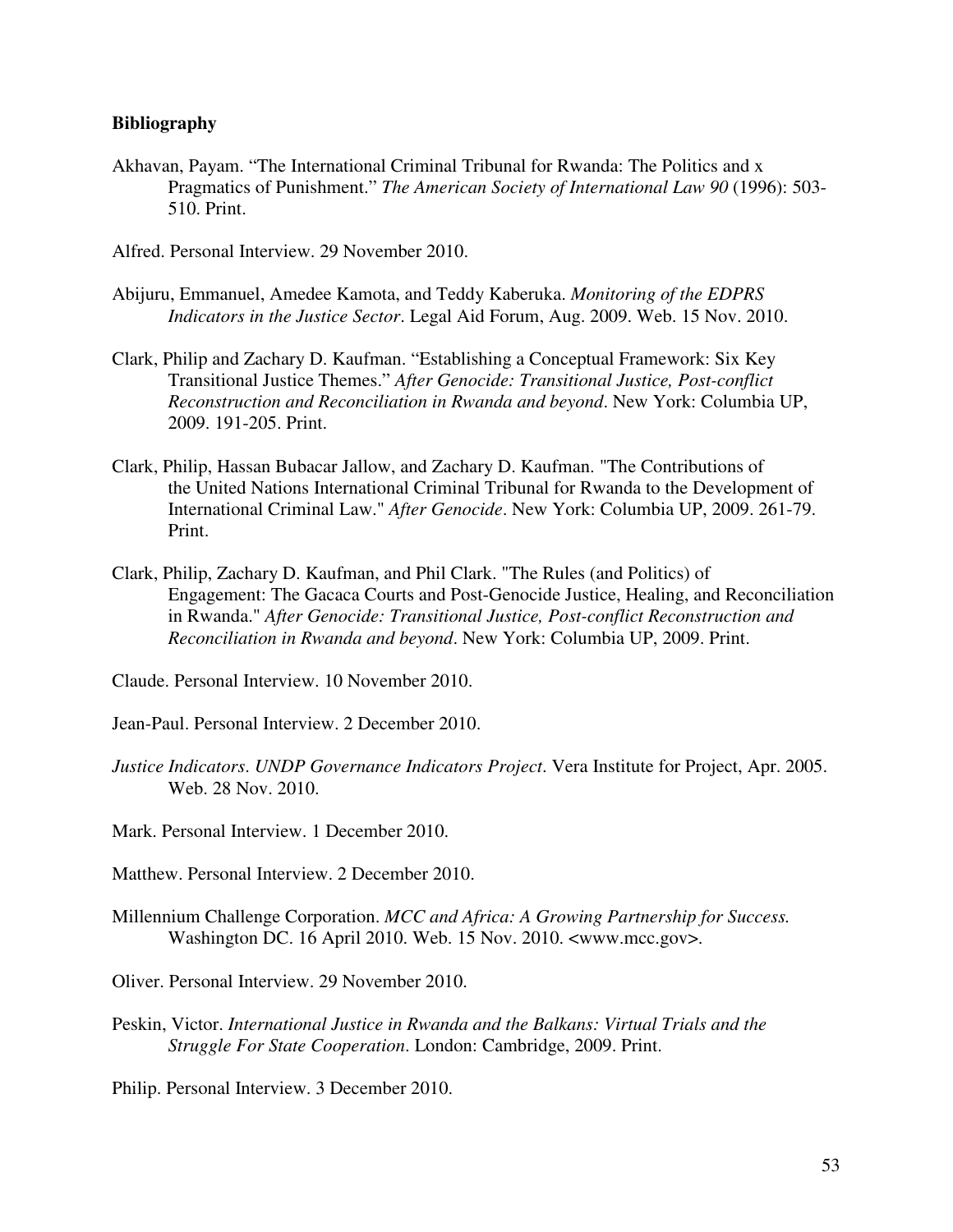#### **Bibliography**

Akhavan, Payam. "The International Criminal Tribunal for Rwanda: The Politics and x Pragmatics of Punishment." *The American Society of International Law 90* (1996): 503- 510. Print.

Alfred. Personal Interview. 29 November 2010.

- Abijuru, Emmanuel, Amedee Kamota, and Teddy Kaberuka. *Monitoring of the EDPRS Indicators in the Justice Sector*. Legal Aid Forum, Aug. 2009. Web. 15 Nov. 2010.
- Clark, Philip and Zachary D. Kaufman. "Establishing a Conceptual Framework: Six Key Transitional Justice Themes." *After Genocide: Transitional Justice, Post-conflict Reconstruction and Reconciliation in Rwanda and beyond*. New York: Columbia UP, 2009. 191-205. Print.
- Clark, Philip, Hassan Bubacar Jallow, and Zachary D. Kaufman. "The Contributions of the United Nations International Criminal Tribunal for Rwanda to the Development of International Criminal Law." *After Genocide*. New York: Columbia UP, 2009. 261-79. Print.
- Clark, Philip, Zachary D. Kaufman, and Phil Clark. "The Rules (and Politics) of Engagement: The Gacaca Courts and Post-Genocide Justice, Healing, and Reconciliation in Rwanda." *After Genocide: Transitional Justice, Post-conflict Reconstruction and Reconciliation in Rwanda and beyond*. New York: Columbia UP, 2009. Print.

Claude. Personal Interview. 10 November 2010.

Jean-Paul. Personal Interview. 2 December 2010.

*Justice Indicators*. *UNDP Governance Indicators Project*. Vera Institute for Project, Apr. 2005. Web. 28 Nov. 2010.

Mark. Personal Interview. 1 December 2010.

Matthew. Personal Interview. 2 December 2010.

Millennium Challenge Corporation. *MCC and Africa: A Growing Partnership for Success.*  Washington DC. 16 April 2010. Web. 15 Nov. 2010. <www.mcc.gov>.

Oliver. Personal Interview. 29 November 2010.

Peskin, Victor. *International Justice in Rwanda and the Balkans: Virtual Trials and the Struggle For State Cooperation*. London: Cambridge, 2009. Print.

Philip. Personal Interview. 3 December 2010.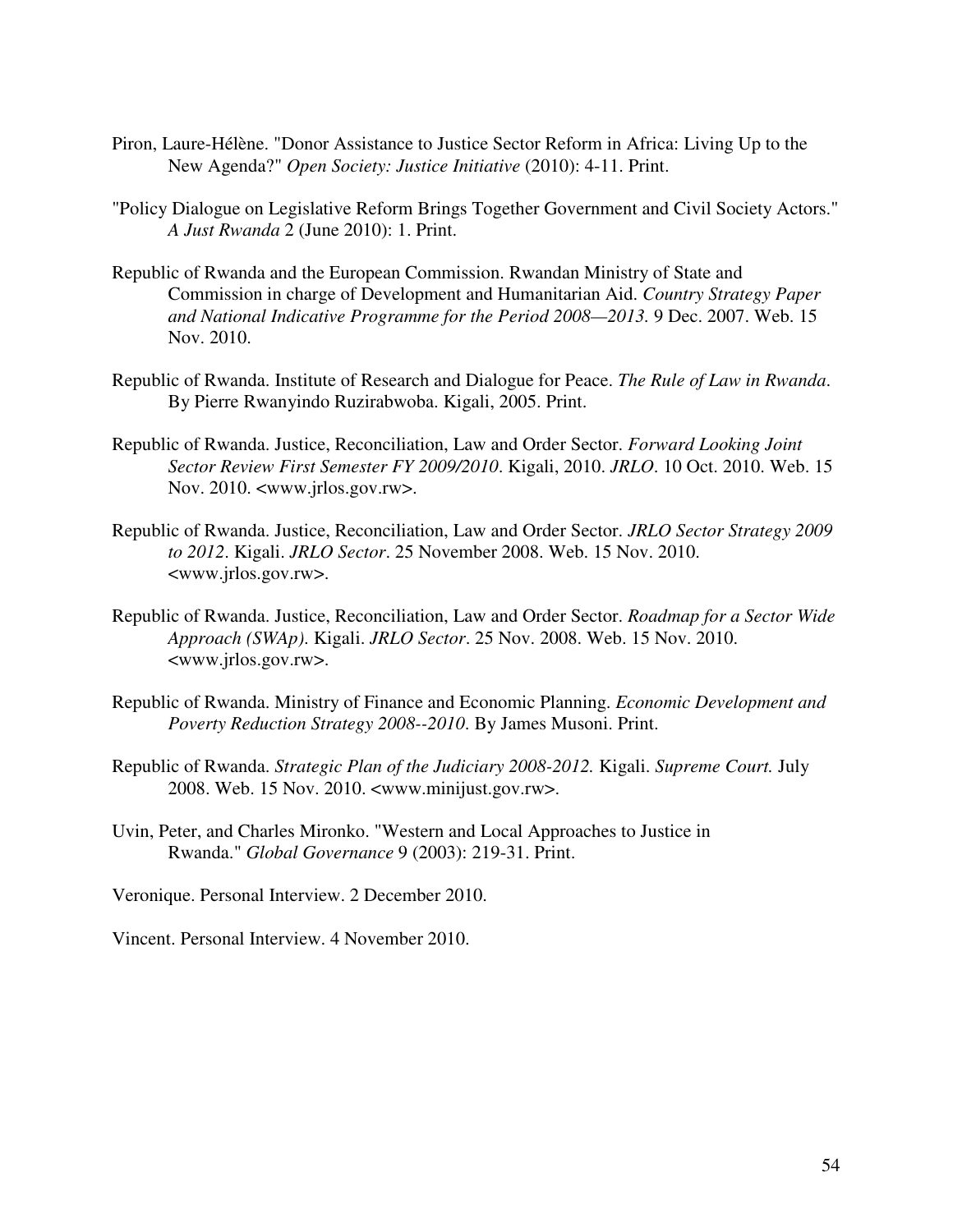- Piron, Laure-Hélène. "Donor Assistance to Justice Sector Reform in Africa: Living Up to the New Agenda?" *Open Society: Justice Initiative* (2010): 4-11. Print.
- "Policy Dialogue on Legislative Reform Brings Together Government and Civil Society Actors." *A Just Rwanda* 2 (June 2010): 1. Print.
- Republic of Rwanda and the European Commission. Rwandan Ministry of State and Commission in charge of Development and Humanitarian Aid. *Country Strategy Paper and National Indicative Programme for the Period 2008—2013.* 9 Dec. 2007. Web. 15 Nov. 2010.
- Republic of Rwanda. Institute of Research and Dialogue for Peace. *The Rule of Law in Rwanda*. By Pierre Rwanyindo Ruzirabwoba. Kigali, 2005. Print.
- Republic of Rwanda. Justice, Reconciliation, Law and Order Sector. *Forward Looking Joint Sector Review First Semester FY 2009/2010*. Kigali, 2010. *JRLO*. 10 Oct. 2010. Web. 15 Nov. 2010. <www.jrlos.gov.rw>.
- Republic of Rwanda. Justice, Reconciliation, Law and Order Sector. *JRLO Sector Strategy 2009 to 2012*. Kigali. *JRLO Sector*. 25 November 2008. Web. 15 Nov. 2010. <www.jrlos.gov.rw>.
- Republic of Rwanda. Justice, Reconciliation, Law and Order Sector. *Roadmap for a Sector Wide Approach (SWAp)*. Kigali. *JRLO Sector*. 25 Nov. 2008. Web. 15 Nov. 2010. <www.jrlos.gov.rw>.
- Republic of Rwanda. Ministry of Finance and Economic Planning. *Economic Development and Poverty Reduction Strategy 2008--2010*. By James Musoni. Print.
- Republic of Rwanda. *Strategic Plan of the Judiciary 2008-2012.* Kigali. *Supreme Court.* July 2008. Web. 15 Nov. 2010. <www.minijust.gov.rw>.
- Uvin, Peter, and Charles Mironko. "Western and Local Approaches to Justice in Rwanda." *Global Governance* 9 (2003): 219-31. Print.

Veronique. Personal Interview. 2 December 2010.

Vincent. Personal Interview. 4 November 2010.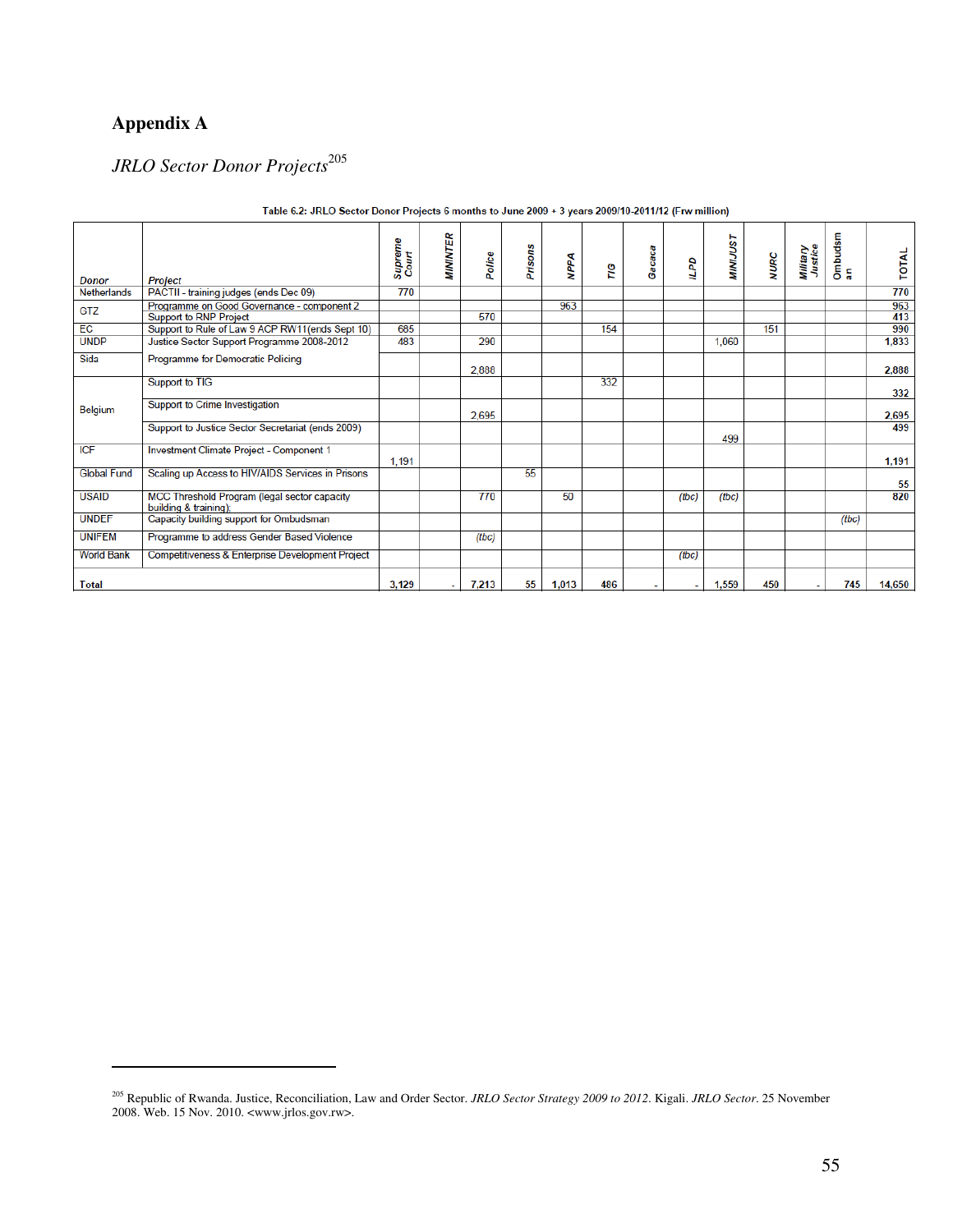## **Appendix A**

 $\overline{a}$ 

## *JRLO Sector Donor Projects*<sup>205</sup>

| <b>Donor</b>       | <b>Project</b>                                                        | Supreme<br>Court | <b>MININTER</b> | Police | Prisons | <b>NPPA</b> | ΓIG | Gacaca | 5     | <b>MINIJUST</b> | <b>NURC</b> | Military<br>Justice | Ombudsm<br>an | TOTAL  |
|--------------------|-----------------------------------------------------------------------|------------------|-----------------|--------|---------|-------------|-----|--------|-------|-----------------|-------------|---------------------|---------------|--------|
| <b>Netherlands</b> | PACTII - training judges (ends Dec 09)                                | 770              |                 |        |         |             |     |        |       |                 |             |                     |               | 770    |
| GTZ                | Programme on Good Governance - component 2                            |                  |                 |        |         | 963         |     |        |       |                 |             |                     |               | 963    |
|                    | <b>Support to RNP Project</b>                                         |                  |                 | 570    |         |             |     |        |       |                 |             |                     |               | 413    |
| EC                 | Support to Rule of Law 9 ACP RW11(ends Sept 10)                       | 685              |                 |        |         |             | 154 |        |       |                 | 151         |                     |               | 990    |
| <b>UNDP</b>        | Justice Sector Support Programme 2008-2012                            | 483              |                 | 290    |         |             |     |        |       | 1.060           |             |                     |               | 1,833  |
| Sida               | Programme for Democratic Policing                                     |                  |                 | 2,888  |         |             |     |        |       |                 |             |                     |               | 2,888  |
|                    | Support to TIG                                                        |                  |                 |        |         |             | 332 |        |       |                 |             |                     |               | 332    |
| Belgium            | Support to Crime Investigation                                        |                  |                 | 2.695  |         |             |     |        |       |                 |             |                     |               | 2,695  |
|                    | Support to Justice Sector Secretariat (ends 2009)                     |                  |                 |        |         |             |     |        |       | 499             |             |                     |               | 499    |
| <b>ICF</b>         | Investment Climate Project - Component 1                              | 1.191            |                 |        |         |             |     |        |       |                 |             |                     |               | 1,191  |
| <b>Global Fund</b> | Scaling up Access to HIV/AIDS Services in Prisons                     |                  |                 |        | 55      |             |     |        |       |                 |             |                     |               | 55     |
| <b>USAID</b>       | MCC Threshold Program (legal sector capacity<br>building & training); |                  |                 | 770    |         | 50          |     |        | (tbc) | (tbc)           |             |                     |               | 820    |
| <b>UNDEF</b>       | Capacity building support for Ombudsman                               |                  |                 |        |         |             |     |        |       |                 |             |                     | (tbc)         |        |
| <b>UNIFEM</b>      | Programme to address Gender Based Violence                            |                  |                 | (tbc)  |         |             |     |        |       |                 |             |                     |               |        |
| <b>World Bank</b>  | Competitiveness & Enterprise Development Project                      |                  |                 |        |         |             |     |        | (tbc) |                 |             |                     |               |        |
| <b>Total</b>       |                                                                       | 3.129            |                 | 7,213  | 55      | 1,013       | 486 |        | ÷.    | 1,559           | 450         | ۰                   | 745           | 14,650 |

#### Table 6.2: JRLO Sector Donor Projects 6 months to June 2009 + 3 years 2009/10-2011/12 (Frw million)

<sup>205</sup> Republic of Rwanda. Justice, Reconciliation, Law and Order Sector. *JRLO Sector Strategy 2009 to 2012*. Kigali. *JRLO Sector*. 25 November 2008. Web. 15 Nov. 2010. <www.jrlos.gov.rw>.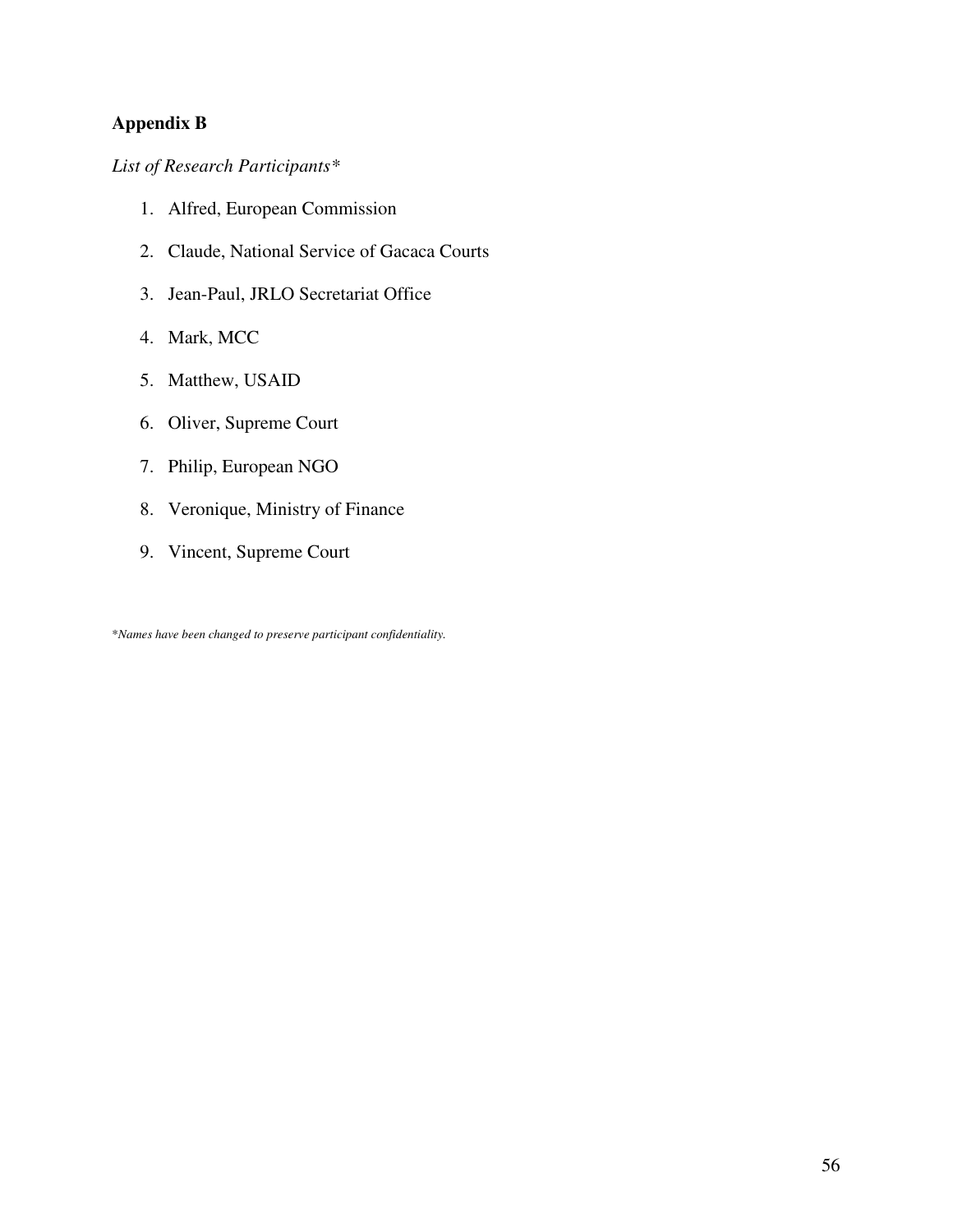## **Appendix B**

*List of Research Participants\** 

- 1. Alfred, European Commission
- 2. Claude, National Service of Gacaca Courts
- 3. Jean-Paul, JRLO Secretariat Office
- 4. Mark, MCC
- 5. Matthew, USAID
- 6. Oliver, Supreme Court
- 7. Philip, European NGO
- 8. Veronique, Ministry of Finance
- 9. Vincent, Supreme Court

\**Names have been changed to preserve participant confidentiality.*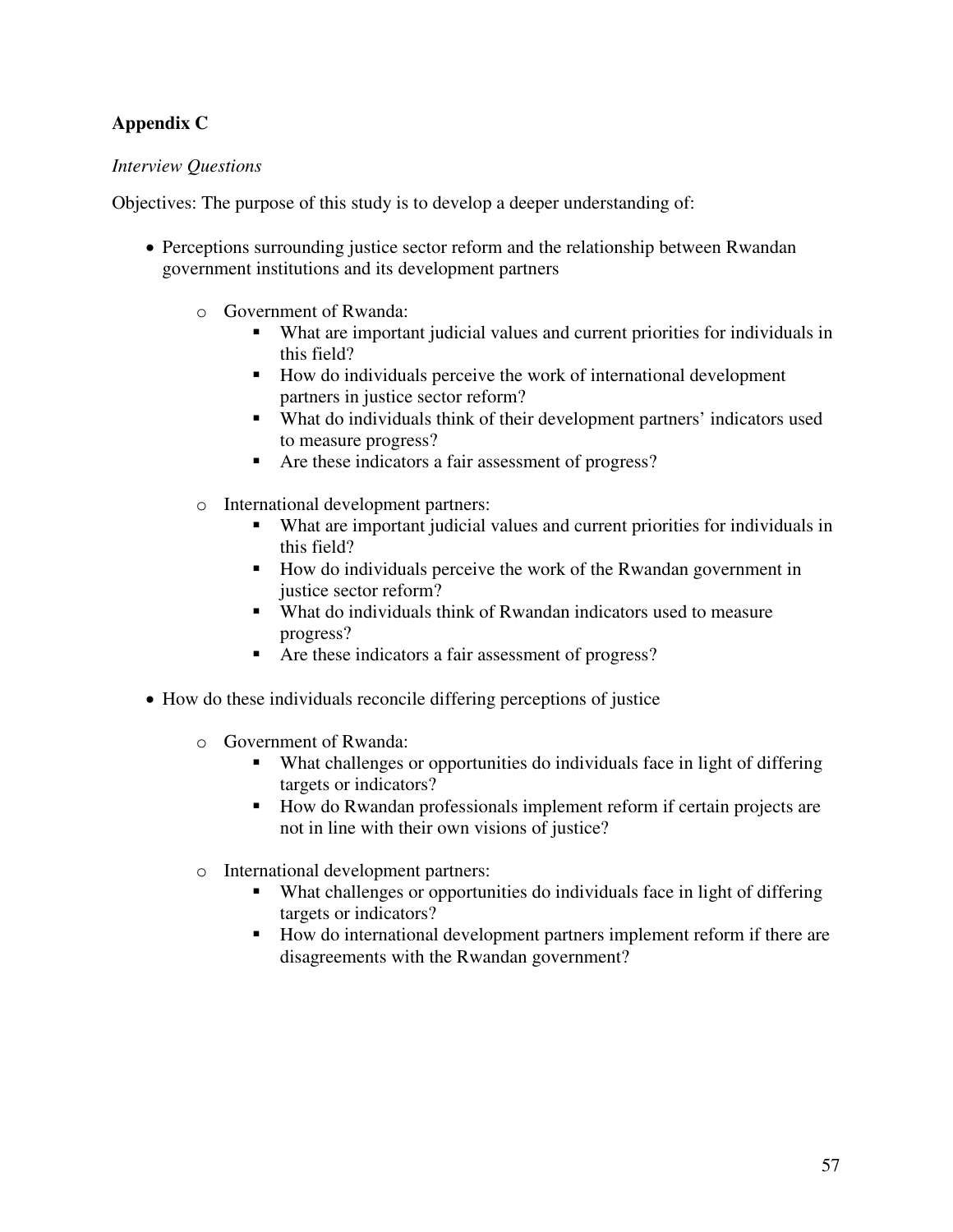### **Appendix C**

#### *Interview Questions*

Objectives: The purpose of this study is to develop a deeper understanding of:

- Perceptions surrounding justice sector reform and the relationship between Rwandan government institutions and its development partners
	- o Government of Rwanda:
		- What are important judicial values and current priorities for individuals in this field?
		- How do individuals perceive the work of international development partners in justice sector reform?
		- What do individuals think of their development partners' indicators used to measure progress?
		- Are these indicators a fair assessment of progress?
	- o International development partners:
		- What are important judicial values and current priorities for individuals in this field?
		- How do individuals perceive the work of the Rwandan government in justice sector reform?
		- What do individuals think of Rwandan indicators used to measure progress?
		- Are these indicators a fair assessment of progress?
- How do these individuals reconcile differing perceptions of justice
	- o Government of Rwanda:
		- What challenges or opportunities do individuals face in light of differing targets or indicators?
		- How do Rwandan professionals implement reform if certain projects are not in line with their own visions of justice?
	- o International development partners:
		- What challenges or opportunities do individuals face in light of differing targets or indicators?
		- How do international development partners implement reform if there are disagreements with the Rwandan government?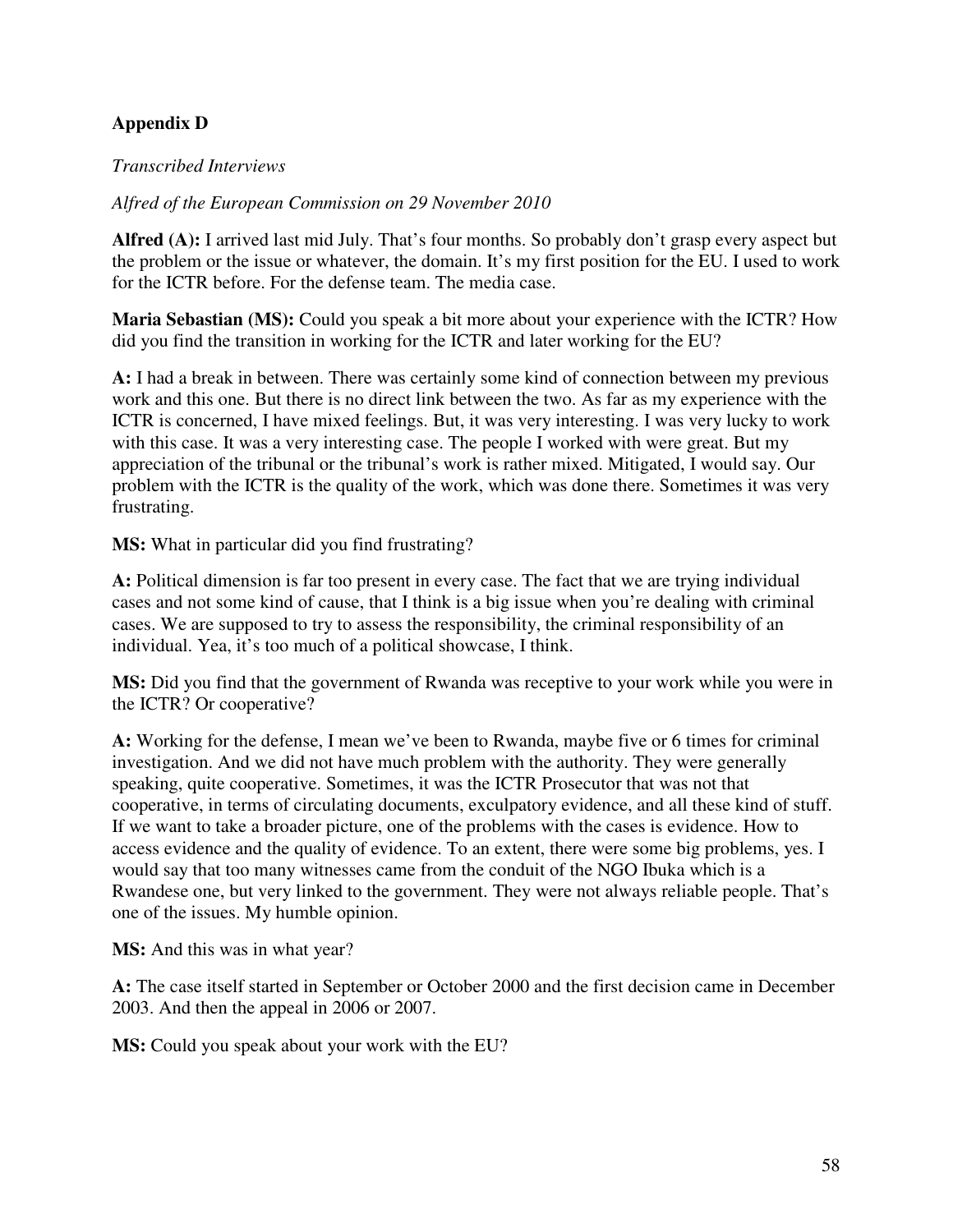### **Appendix D**

#### *Transcribed Interviews*

#### *Alfred of the European Commission on 29 November 2010*

**Alfred (A):** I arrived last mid July. That's four months. So probably don't grasp every aspect but the problem or the issue or whatever, the domain. It's my first position for the EU. I used to work for the ICTR before. For the defense team. The media case.

**Maria Sebastian (MS):** Could you speak a bit more about your experience with the ICTR? How did you find the transition in working for the ICTR and later working for the EU?

**A:** I had a break in between. There was certainly some kind of connection between my previous work and this one. But there is no direct link between the two. As far as my experience with the ICTR is concerned, I have mixed feelings. But, it was very interesting. I was very lucky to work with this case. It was a very interesting case. The people I worked with were great. But my appreciation of the tribunal or the tribunal's work is rather mixed. Mitigated, I would say. Our problem with the ICTR is the quality of the work, which was done there. Sometimes it was very frustrating.

**MS:** What in particular did you find frustrating?

**A:** Political dimension is far too present in every case. The fact that we are trying individual cases and not some kind of cause, that I think is a big issue when you're dealing with criminal cases. We are supposed to try to assess the responsibility, the criminal responsibility of an individual. Yea, it's too much of a political showcase, I think.

**MS:** Did you find that the government of Rwanda was receptive to your work while you were in the ICTR? Or cooperative?

**A:** Working for the defense, I mean we've been to Rwanda, maybe five or 6 times for criminal investigation. And we did not have much problem with the authority. They were generally speaking, quite cooperative. Sometimes, it was the ICTR Prosecutor that was not that cooperative, in terms of circulating documents, exculpatory evidence, and all these kind of stuff. If we want to take a broader picture, one of the problems with the cases is evidence. How to access evidence and the quality of evidence. To an extent, there were some big problems, yes. I would say that too many witnesses came from the conduit of the NGO Ibuka which is a Rwandese one, but very linked to the government. They were not always reliable people. That's one of the issues. My humble opinion.

**MS:** And this was in what year?

**A:** The case itself started in September or October 2000 and the first decision came in December 2003. And then the appeal in 2006 or 2007.

**MS:** Could you speak about your work with the EU?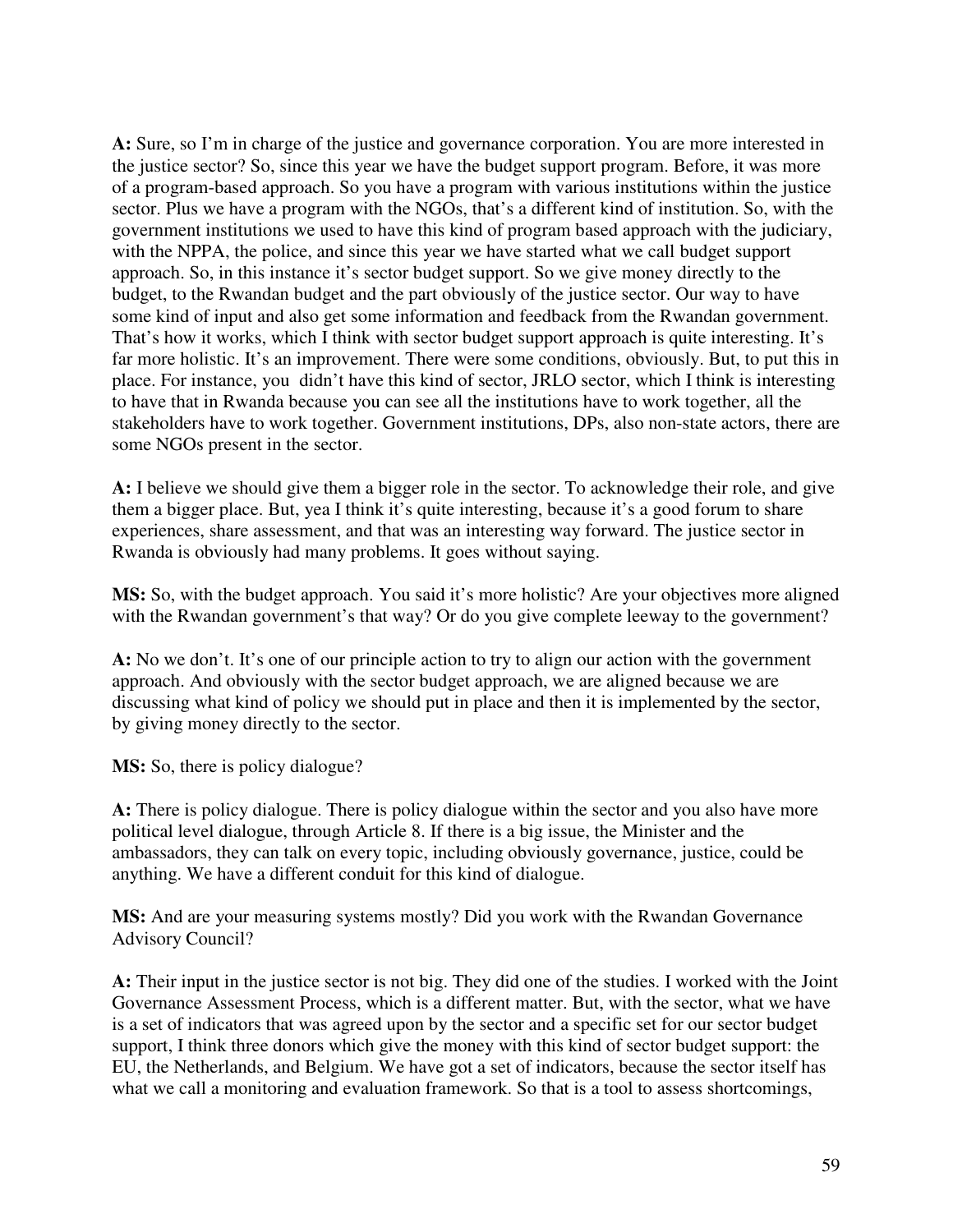**A:** Sure, so I'm in charge of the justice and governance corporation. You are more interested in the justice sector? So, since this year we have the budget support program. Before, it was more of a program-based approach. So you have a program with various institutions within the justice sector. Plus we have a program with the NGOs, that's a different kind of institution. So, with the government institutions we used to have this kind of program based approach with the judiciary, with the NPPA, the police, and since this year we have started what we call budget support approach. So, in this instance it's sector budget support. So we give money directly to the budget, to the Rwandan budget and the part obviously of the justice sector. Our way to have some kind of input and also get some information and feedback from the Rwandan government. That's how it works, which I think with sector budget support approach is quite interesting. It's far more holistic. It's an improvement. There were some conditions, obviously. But, to put this in place. For instance, you didn't have this kind of sector, JRLO sector, which I think is interesting to have that in Rwanda because you can see all the institutions have to work together, all the stakeholders have to work together. Government institutions, DPs, also non-state actors, there are some NGOs present in the sector.

**A:** I believe we should give them a bigger role in the sector. To acknowledge their role, and give them a bigger place. But, yea I think it's quite interesting, because it's a good forum to share experiences, share assessment, and that was an interesting way forward. The justice sector in Rwanda is obviously had many problems. It goes without saying.

**MS:** So, with the budget approach. You said it's more holistic? Are your objectives more aligned with the Rwandan government's that way? Or do you give complete leeway to the government?

**A:** No we don't. It's one of our principle action to try to align our action with the government approach. And obviously with the sector budget approach, we are aligned because we are discussing what kind of policy we should put in place and then it is implemented by the sector, by giving money directly to the sector.

**MS:** So, there is policy dialogue?

**A:** There is policy dialogue. There is policy dialogue within the sector and you also have more political level dialogue, through Article 8. If there is a big issue, the Minister and the ambassadors, they can talk on every topic, including obviously governance, justice, could be anything. We have a different conduit for this kind of dialogue.

**MS:** And are your measuring systems mostly? Did you work with the Rwandan Governance Advisory Council?

**A:** Their input in the justice sector is not big. They did one of the studies. I worked with the Joint Governance Assessment Process, which is a different matter. But, with the sector, what we have is a set of indicators that was agreed upon by the sector and a specific set for our sector budget support, I think three donors which give the money with this kind of sector budget support: the EU, the Netherlands, and Belgium. We have got a set of indicators, because the sector itself has what we call a monitoring and evaluation framework. So that is a tool to assess shortcomings,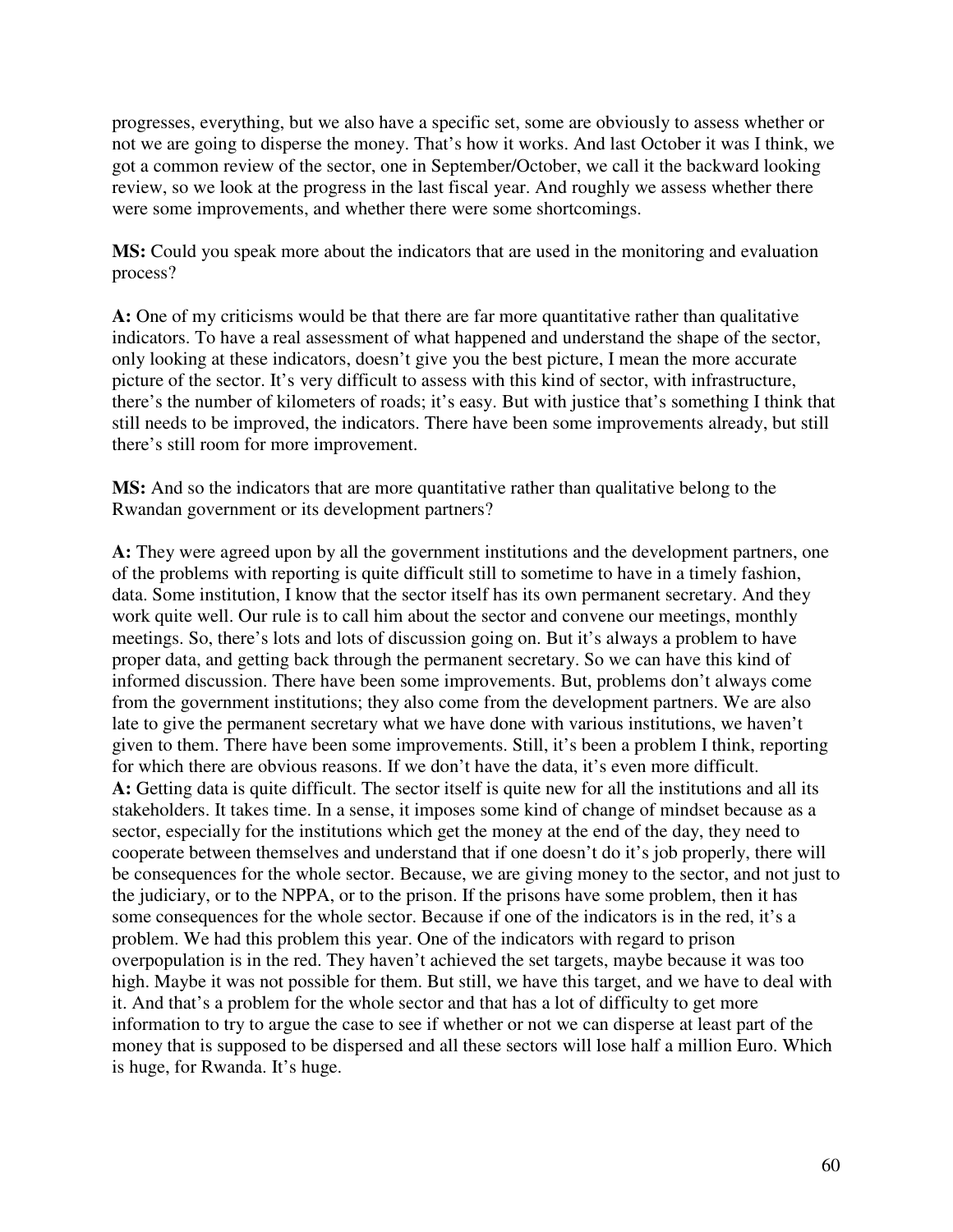progresses, everything, but we also have a specific set, some are obviously to assess whether or not we are going to disperse the money. That's how it works. And last October it was I think, we got a common review of the sector, one in September/October, we call it the backward looking review, so we look at the progress in the last fiscal year. And roughly we assess whether there were some improvements, and whether there were some shortcomings.

**MS:** Could you speak more about the indicators that are used in the monitoring and evaluation process?

**A:** One of my criticisms would be that there are far more quantitative rather than qualitative indicators. To have a real assessment of what happened and understand the shape of the sector, only looking at these indicators, doesn't give you the best picture, I mean the more accurate picture of the sector. It's very difficult to assess with this kind of sector, with infrastructure, there's the number of kilometers of roads; it's easy. But with justice that's something I think that still needs to be improved, the indicators. There have been some improvements already, but still there's still room for more improvement.

**MS:** And so the indicators that are more quantitative rather than qualitative belong to the Rwandan government or its development partners?

**A:** They were agreed upon by all the government institutions and the development partners, one of the problems with reporting is quite difficult still to sometime to have in a timely fashion, data. Some institution, I know that the sector itself has its own permanent secretary. And they work quite well. Our rule is to call him about the sector and convene our meetings, monthly meetings. So, there's lots and lots of discussion going on. But it's always a problem to have proper data, and getting back through the permanent secretary. So we can have this kind of informed discussion. There have been some improvements. But, problems don't always come from the government institutions; they also come from the development partners. We are also late to give the permanent secretary what we have done with various institutions, we haven't given to them. There have been some improvements. Still, it's been a problem I think, reporting for which there are obvious reasons. If we don't have the data, it's even more difficult. **A:** Getting data is quite difficult. The sector itself is quite new for all the institutions and all its stakeholders. It takes time. In a sense, it imposes some kind of change of mindset because as a sector, especially for the institutions which get the money at the end of the day, they need to cooperate between themselves and understand that if one doesn't do it's job properly, there will be consequences for the whole sector. Because, we are giving money to the sector, and not just to the judiciary, or to the NPPA, or to the prison. If the prisons have some problem, then it has some consequences for the whole sector. Because if one of the indicators is in the red, it's a problem. We had this problem this year. One of the indicators with regard to prison overpopulation is in the red. They haven't achieved the set targets, maybe because it was too high. Maybe it was not possible for them. But still, we have this target, and we have to deal with it. And that's a problem for the whole sector and that has a lot of difficulty to get more information to try to argue the case to see if whether or not we can disperse at least part of the money that is supposed to be dispersed and all these sectors will lose half a million Euro. Which is huge, for Rwanda. It's huge.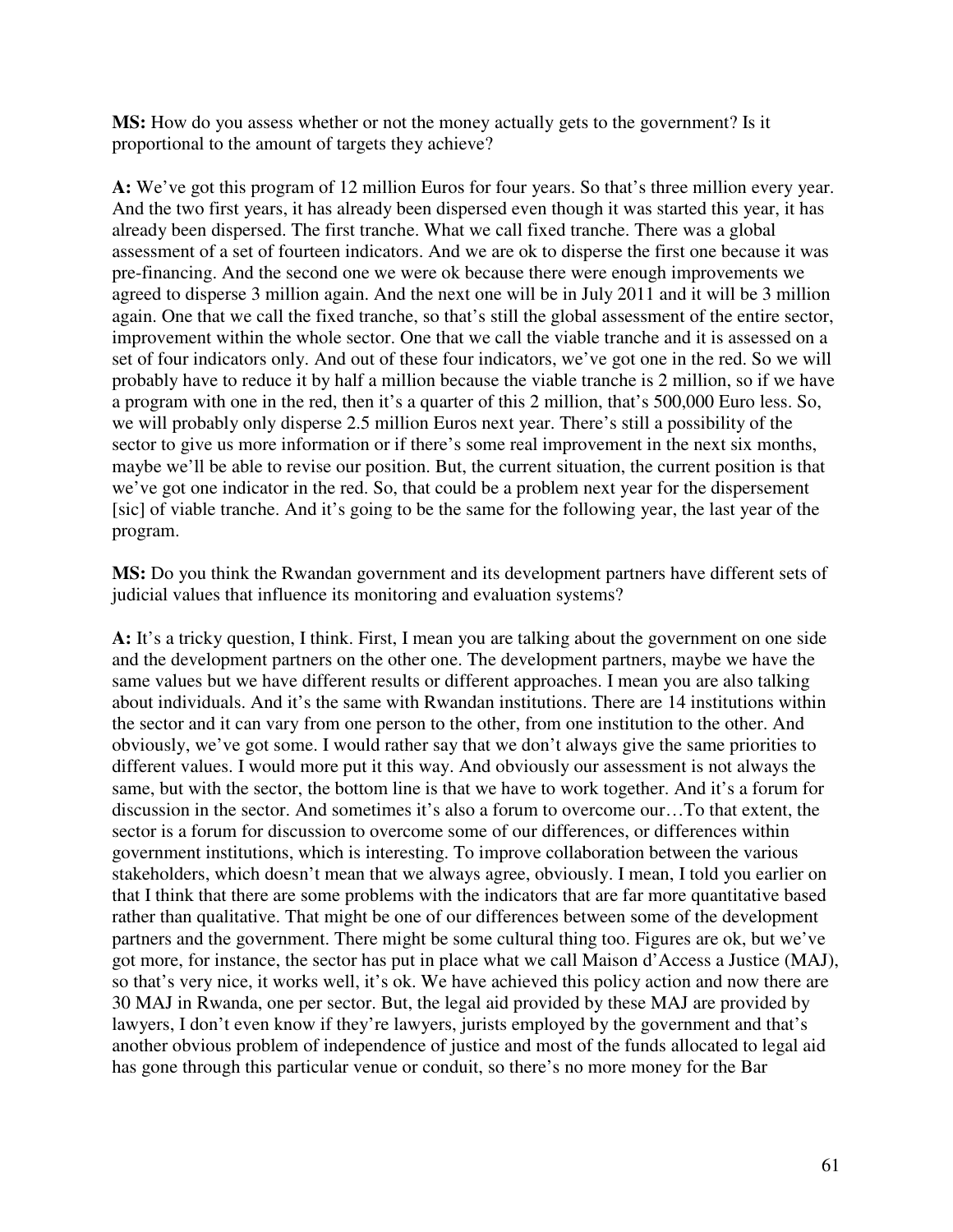**MS:** How do you assess whether or not the money actually gets to the government? Is it proportional to the amount of targets they achieve?

**A:** We've got this program of 12 million Euros for four years. So that's three million every year. And the two first years, it has already been dispersed even though it was started this year, it has already been dispersed. The first tranche. What we call fixed tranche. There was a global assessment of a set of fourteen indicators. And we are ok to disperse the first one because it was pre-financing. And the second one we were ok because there were enough improvements we agreed to disperse 3 million again. And the next one will be in July 2011 and it will be 3 million again. One that we call the fixed tranche, so that's still the global assessment of the entire sector, improvement within the whole sector. One that we call the viable tranche and it is assessed on a set of four indicators only. And out of these four indicators, we've got one in the red. So we will probably have to reduce it by half a million because the viable tranche is 2 million, so if we have a program with one in the red, then it's a quarter of this 2 million, that's 500,000 Euro less. So, we will probably only disperse 2.5 million Euros next year. There's still a possibility of the sector to give us more information or if there's some real improvement in the next six months, maybe we'll be able to revise our position. But, the current situation, the current position is that we've got one indicator in the red. So, that could be a problem next year for the dispersement [sic] of viable tranche. And it's going to be the same for the following year, the last year of the program.

**MS:** Do you think the Rwandan government and its development partners have different sets of judicial values that influence its monitoring and evaluation systems?

**A:** It's a tricky question, I think. First, I mean you are talking about the government on one side and the development partners on the other one. The development partners, maybe we have the same values but we have different results or different approaches. I mean you are also talking about individuals. And it's the same with Rwandan institutions. There are 14 institutions within the sector and it can vary from one person to the other, from one institution to the other. And obviously, we've got some. I would rather say that we don't always give the same priorities to different values. I would more put it this way. And obviously our assessment is not always the same, but with the sector, the bottom line is that we have to work together. And it's a forum for discussion in the sector. And sometimes it's also a forum to overcome our…To that extent, the sector is a forum for discussion to overcome some of our differences, or differences within government institutions, which is interesting. To improve collaboration between the various stakeholders, which doesn't mean that we always agree, obviously. I mean, I told you earlier on that I think that there are some problems with the indicators that are far more quantitative based rather than qualitative. That might be one of our differences between some of the development partners and the government. There might be some cultural thing too. Figures are ok, but we've got more, for instance, the sector has put in place what we call Maison d'Access a Justice (MAJ), so that's very nice, it works well, it's ok. We have achieved this policy action and now there are 30 MAJ in Rwanda, one per sector. But, the legal aid provided by these MAJ are provided by lawyers, I don't even know if they're lawyers, jurists employed by the government and that's another obvious problem of independence of justice and most of the funds allocated to legal aid has gone through this particular venue or conduit, so there's no more money for the Bar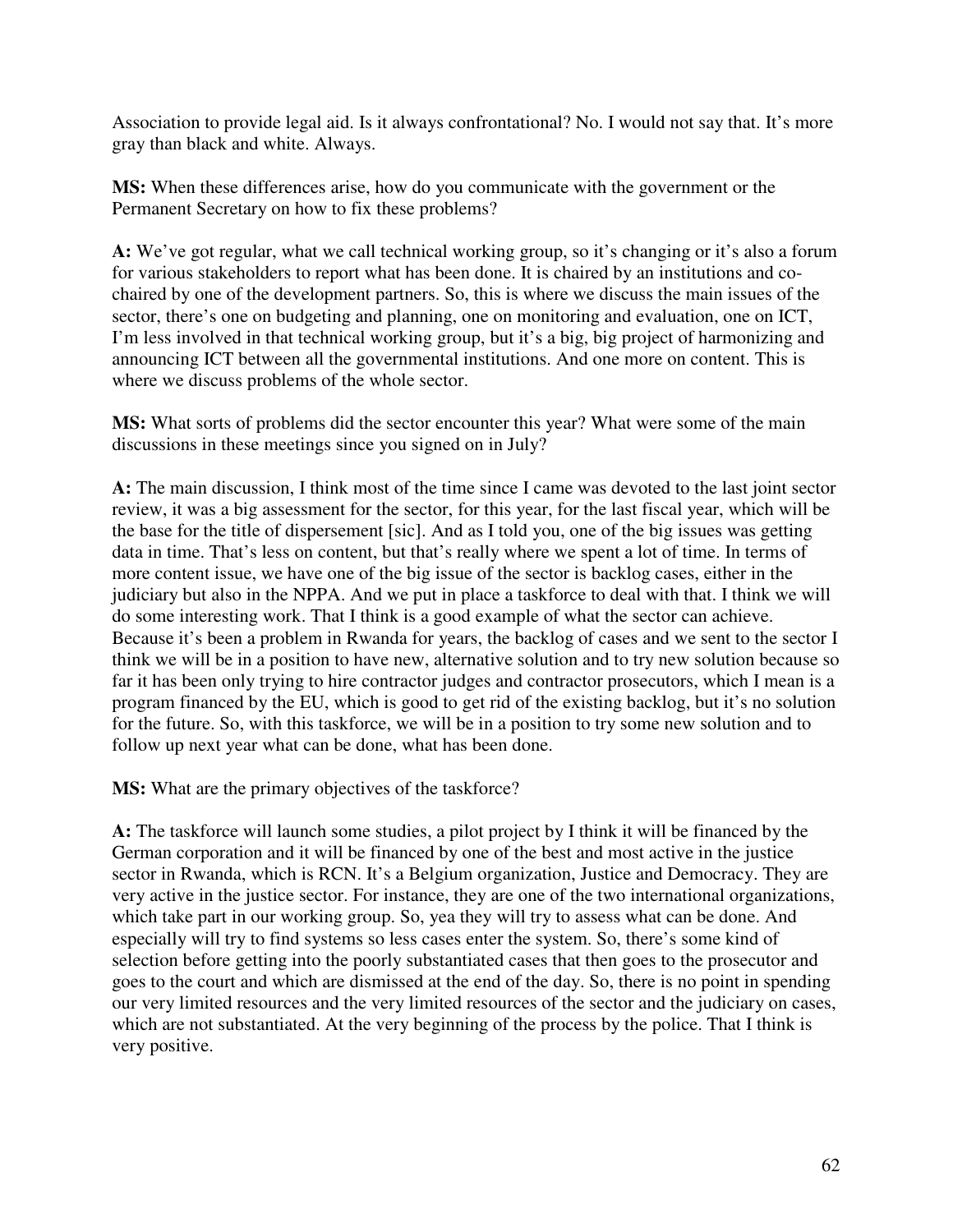Association to provide legal aid. Is it always confrontational? No. I would not say that. It's more gray than black and white. Always.

**MS:** When these differences arise, how do you communicate with the government or the Permanent Secretary on how to fix these problems?

**A:** We've got regular, what we call technical working group, so it's changing or it's also a forum for various stakeholders to report what has been done. It is chaired by an institutions and cochaired by one of the development partners. So, this is where we discuss the main issues of the sector, there's one on budgeting and planning, one on monitoring and evaluation, one on ICT, I'm less involved in that technical working group, but it's a big, big project of harmonizing and announcing ICT between all the governmental institutions. And one more on content. This is where we discuss problems of the whole sector.

**MS:** What sorts of problems did the sector encounter this year? What were some of the main discussions in these meetings since you signed on in July?

**A:** The main discussion, I think most of the time since I came was devoted to the last joint sector review, it was a big assessment for the sector, for this year, for the last fiscal year, which will be the base for the title of dispersement [sic]. And as I told you, one of the big issues was getting data in time. That's less on content, but that's really where we spent a lot of time. In terms of more content issue, we have one of the big issue of the sector is backlog cases, either in the judiciary but also in the NPPA. And we put in place a taskforce to deal with that. I think we will do some interesting work. That I think is a good example of what the sector can achieve. Because it's been a problem in Rwanda for years, the backlog of cases and we sent to the sector I think we will be in a position to have new, alternative solution and to try new solution because so far it has been only trying to hire contractor judges and contractor prosecutors, which I mean is a program financed by the EU, which is good to get rid of the existing backlog, but it's no solution for the future. So, with this taskforce, we will be in a position to try some new solution and to follow up next year what can be done, what has been done.

**MS:** What are the primary objectives of the taskforce?

**A:** The taskforce will launch some studies, a pilot project by I think it will be financed by the German corporation and it will be financed by one of the best and most active in the justice sector in Rwanda, which is RCN. It's a Belgium organization, Justice and Democracy. They are very active in the justice sector. For instance, they are one of the two international organizations, which take part in our working group. So, yea they will try to assess what can be done. And especially will try to find systems so less cases enter the system. So, there's some kind of selection before getting into the poorly substantiated cases that then goes to the prosecutor and goes to the court and which are dismissed at the end of the day. So, there is no point in spending our very limited resources and the very limited resources of the sector and the judiciary on cases, which are not substantiated. At the very beginning of the process by the police. That I think is very positive.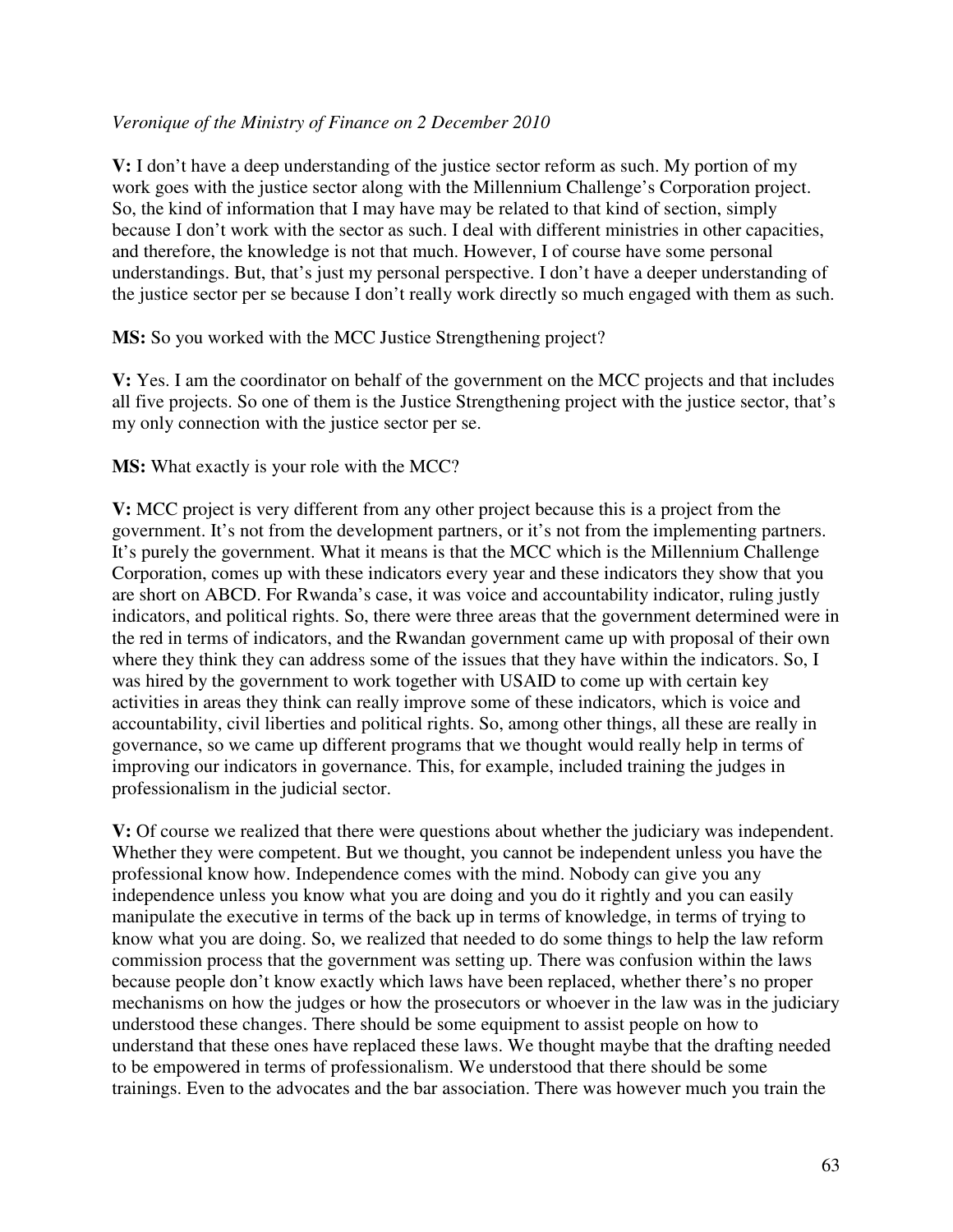#### *Veronique of the Ministry of Finance on 2 December 2010*

**V:** I don't have a deep understanding of the justice sector reform as such. My portion of my work goes with the justice sector along with the Millennium Challenge's Corporation project. So, the kind of information that I may have may be related to that kind of section, simply because I don't work with the sector as such. I deal with different ministries in other capacities, and therefore, the knowledge is not that much. However, I of course have some personal understandings. But, that's just my personal perspective. I don't have a deeper understanding of the justice sector per se because I don't really work directly so much engaged with them as such.

**MS:** So you worked with the MCC Justice Strengthening project?

**V:** Yes. I am the coordinator on behalf of the government on the MCC projects and that includes all five projects. So one of them is the Justice Strengthening project with the justice sector, that's my only connection with the justice sector per se.

#### **MS:** What exactly is your role with the MCC?

**V:** MCC project is very different from any other project because this is a project from the government. It's not from the development partners, or it's not from the implementing partners. It's purely the government. What it means is that the MCC which is the Millennium Challenge Corporation, comes up with these indicators every year and these indicators they show that you are short on ABCD. For Rwanda's case, it was voice and accountability indicator, ruling justly indicators, and political rights. So, there were three areas that the government determined were in the red in terms of indicators, and the Rwandan government came up with proposal of their own where they think they can address some of the issues that they have within the indicators. So, I was hired by the government to work together with USAID to come up with certain key activities in areas they think can really improve some of these indicators, which is voice and accountability, civil liberties and political rights. So, among other things, all these are really in governance, so we came up different programs that we thought would really help in terms of improving our indicators in governance. This, for example, included training the judges in professionalism in the judicial sector.

**V:** Of course we realized that there were questions about whether the judiciary was independent. Whether they were competent. But we thought, you cannot be independent unless you have the professional know how. Independence comes with the mind. Nobody can give you any independence unless you know what you are doing and you do it rightly and you can easily manipulate the executive in terms of the back up in terms of knowledge, in terms of trying to know what you are doing. So, we realized that needed to do some things to help the law reform commission process that the government was setting up. There was confusion within the laws because people don't know exactly which laws have been replaced, whether there's no proper mechanisms on how the judges or how the prosecutors or whoever in the law was in the judiciary understood these changes. There should be some equipment to assist people on how to understand that these ones have replaced these laws. We thought maybe that the drafting needed to be empowered in terms of professionalism. We understood that there should be some trainings. Even to the advocates and the bar association. There was however much you train the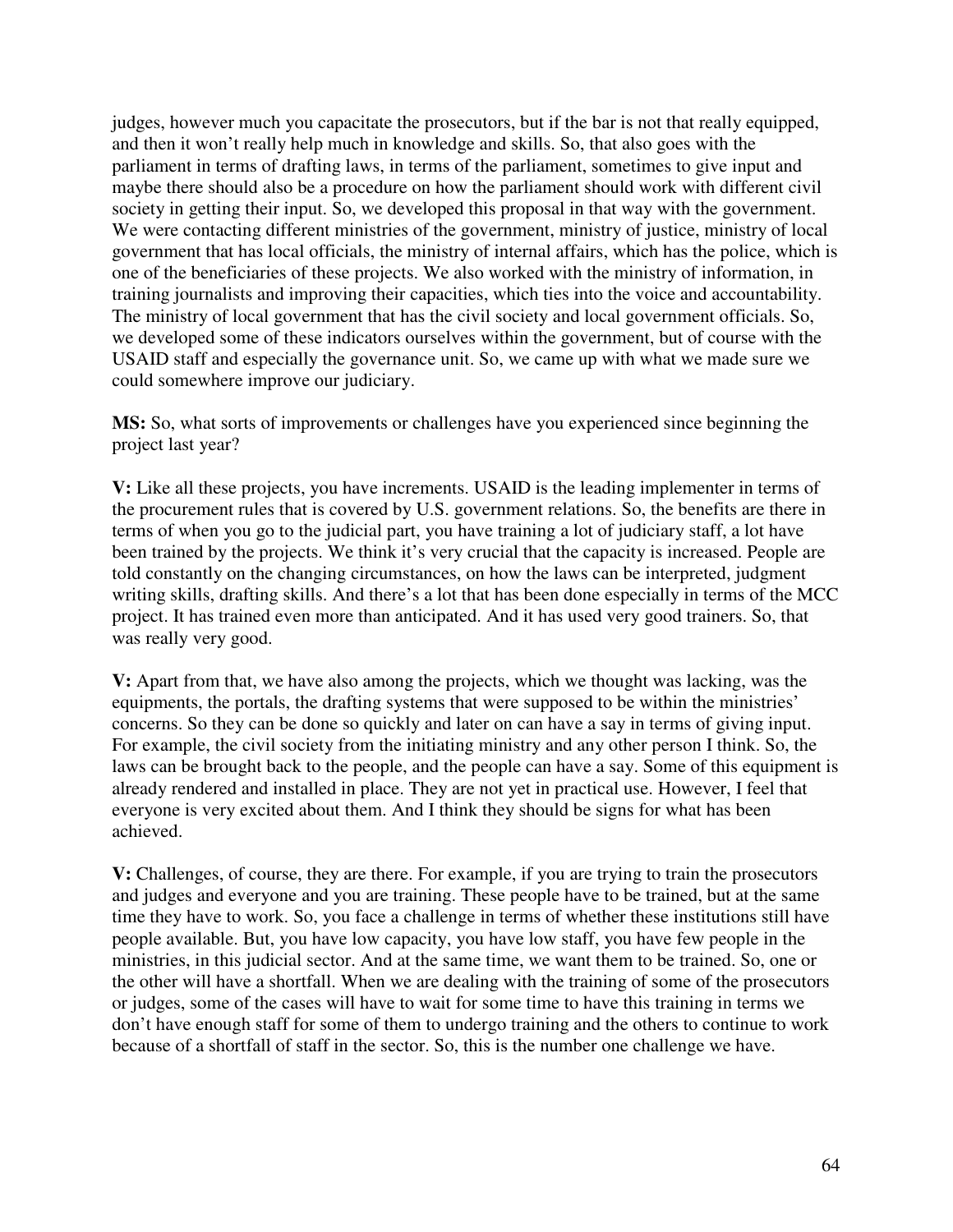judges, however much you capacitate the prosecutors, but if the bar is not that really equipped, and then it won't really help much in knowledge and skills. So, that also goes with the parliament in terms of drafting laws, in terms of the parliament, sometimes to give input and maybe there should also be a procedure on how the parliament should work with different civil society in getting their input. So, we developed this proposal in that way with the government. We were contacting different ministries of the government, ministry of justice, ministry of local government that has local officials, the ministry of internal affairs, which has the police, which is one of the beneficiaries of these projects. We also worked with the ministry of information, in training journalists and improving their capacities, which ties into the voice and accountability. The ministry of local government that has the civil society and local government officials. So, we developed some of these indicators ourselves within the government, but of course with the USAID staff and especially the governance unit. So, we came up with what we made sure we could somewhere improve our judiciary.

**MS:** So, what sorts of improvements or challenges have you experienced since beginning the project last year?

**V:** Like all these projects, you have increments. USAID is the leading implementer in terms of the procurement rules that is covered by U.S. government relations. So, the benefits are there in terms of when you go to the judicial part, you have training a lot of judiciary staff, a lot have been trained by the projects. We think it's very crucial that the capacity is increased. People are told constantly on the changing circumstances, on how the laws can be interpreted, judgment writing skills, drafting skills. And there's a lot that has been done especially in terms of the MCC project. It has trained even more than anticipated. And it has used very good trainers. So, that was really very good.

**V:** Apart from that, we have also among the projects, which we thought was lacking, was the equipments, the portals, the drafting systems that were supposed to be within the ministries' concerns. So they can be done so quickly and later on can have a say in terms of giving input. For example, the civil society from the initiating ministry and any other person I think. So, the laws can be brought back to the people, and the people can have a say. Some of this equipment is already rendered and installed in place. They are not yet in practical use. However, I feel that everyone is very excited about them. And I think they should be signs for what has been achieved.

**V:** Challenges, of course, they are there. For example, if you are trying to train the prosecutors and judges and everyone and you are training. These people have to be trained, but at the same time they have to work. So, you face a challenge in terms of whether these institutions still have people available. But, you have low capacity, you have low staff, you have few people in the ministries, in this judicial sector. And at the same time, we want them to be trained. So, one or the other will have a shortfall. When we are dealing with the training of some of the prosecutors or judges, some of the cases will have to wait for some time to have this training in terms we don't have enough staff for some of them to undergo training and the others to continue to work because of a shortfall of staff in the sector. So, this is the number one challenge we have.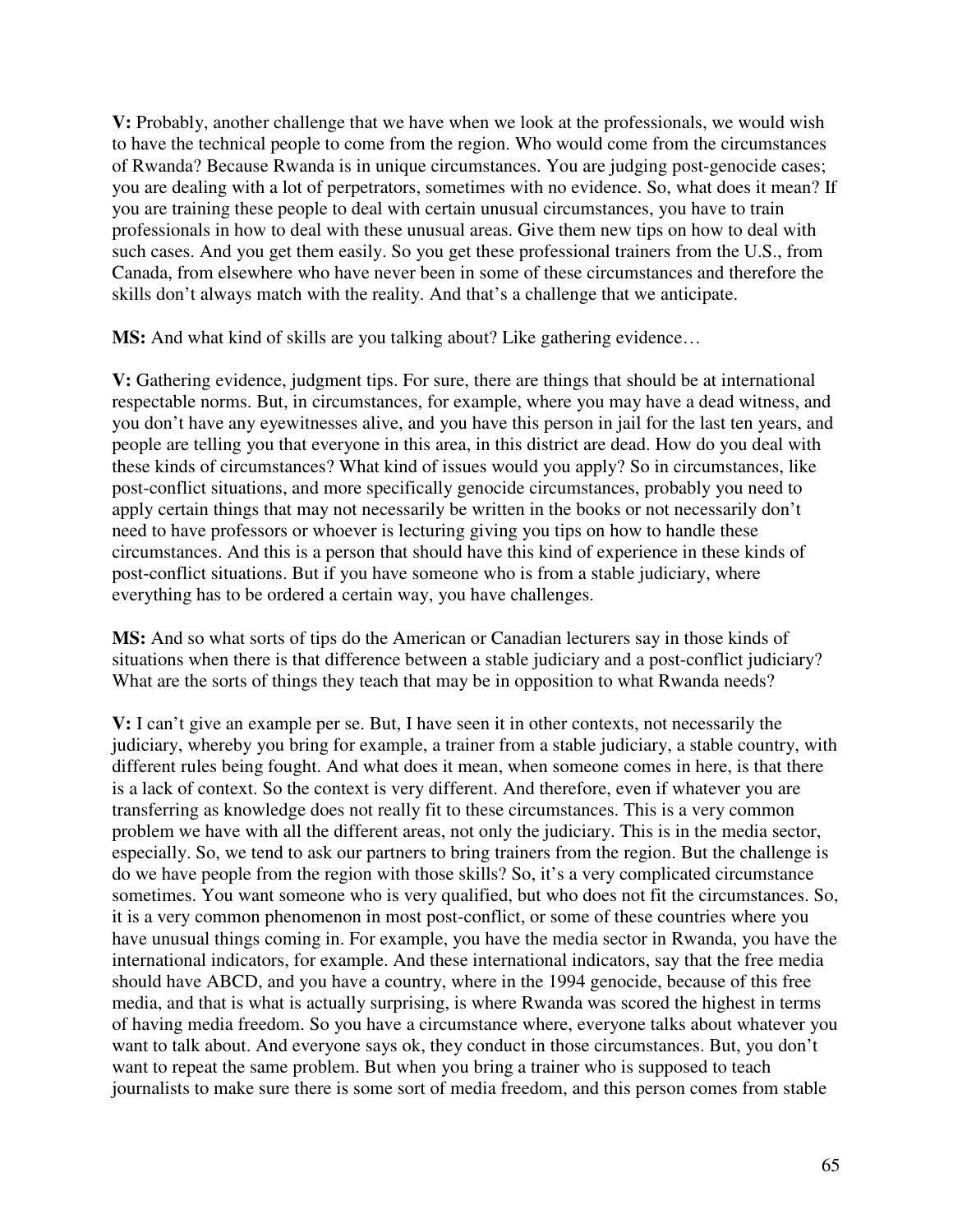**V:** Probably, another challenge that we have when we look at the professionals, we would wish to have the technical people to come from the region. Who would come from the circumstances of Rwanda? Because Rwanda is in unique circumstances. You are judging post-genocide cases; you are dealing with a lot of perpetrators, sometimes with no evidence. So, what does it mean? If you are training these people to deal with certain unusual circumstances, you have to train professionals in how to deal with these unusual areas. Give them new tips on how to deal with such cases. And you get them easily. So you get these professional trainers from the U.S., from Canada, from elsewhere who have never been in some of these circumstances and therefore the skills don't always match with the reality. And that's a challenge that we anticipate.

**MS:** And what kind of skills are you talking about? Like gathering evidence...

**V:** Gathering evidence, judgment tips. For sure, there are things that should be at international respectable norms. But, in circumstances, for example, where you may have a dead witness, and you don't have any eyewitnesses alive, and you have this person in jail for the last ten years, and people are telling you that everyone in this area, in this district are dead. How do you deal with these kinds of circumstances? What kind of issues would you apply? So in circumstances, like post-conflict situations, and more specifically genocide circumstances, probably you need to apply certain things that may not necessarily be written in the books or not necessarily don't need to have professors or whoever is lecturing giving you tips on how to handle these circumstances. And this is a person that should have this kind of experience in these kinds of post-conflict situations. But if you have someone who is from a stable judiciary, where everything has to be ordered a certain way, you have challenges.

**MS:** And so what sorts of tips do the American or Canadian lecturers say in those kinds of situations when there is that difference between a stable judiciary and a post-conflict judiciary? What are the sorts of things they teach that may be in opposition to what Rwanda needs?

**V:** I can't give an example per se. But, I have seen it in other contexts, not necessarily the judiciary, whereby you bring for example, a trainer from a stable judiciary, a stable country, with different rules being fought. And what does it mean, when someone comes in here, is that there is a lack of context. So the context is very different. And therefore, even if whatever you are transferring as knowledge does not really fit to these circumstances. This is a very common problem we have with all the different areas, not only the judiciary. This is in the media sector, especially. So, we tend to ask our partners to bring trainers from the region. But the challenge is do we have people from the region with those skills? So, it's a very complicated circumstance sometimes. You want someone who is very qualified, but who does not fit the circumstances. So, it is a very common phenomenon in most post-conflict, or some of these countries where you have unusual things coming in. For example, you have the media sector in Rwanda, you have the international indicators, for example. And these international indicators, say that the free media should have ABCD, and you have a country, where in the 1994 genocide, because of this free media, and that is what is actually surprising, is where Rwanda was scored the highest in terms of having media freedom. So you have a circumstance where, everyone talks about whatever you want to talk about. And everyone says ok, they conduct in those circumstances. But, you don't want to repeat the same problem. But when you bring a trainer who is supposed to teach journalists to make sure there is some sort of media freedom, and this person comes from stable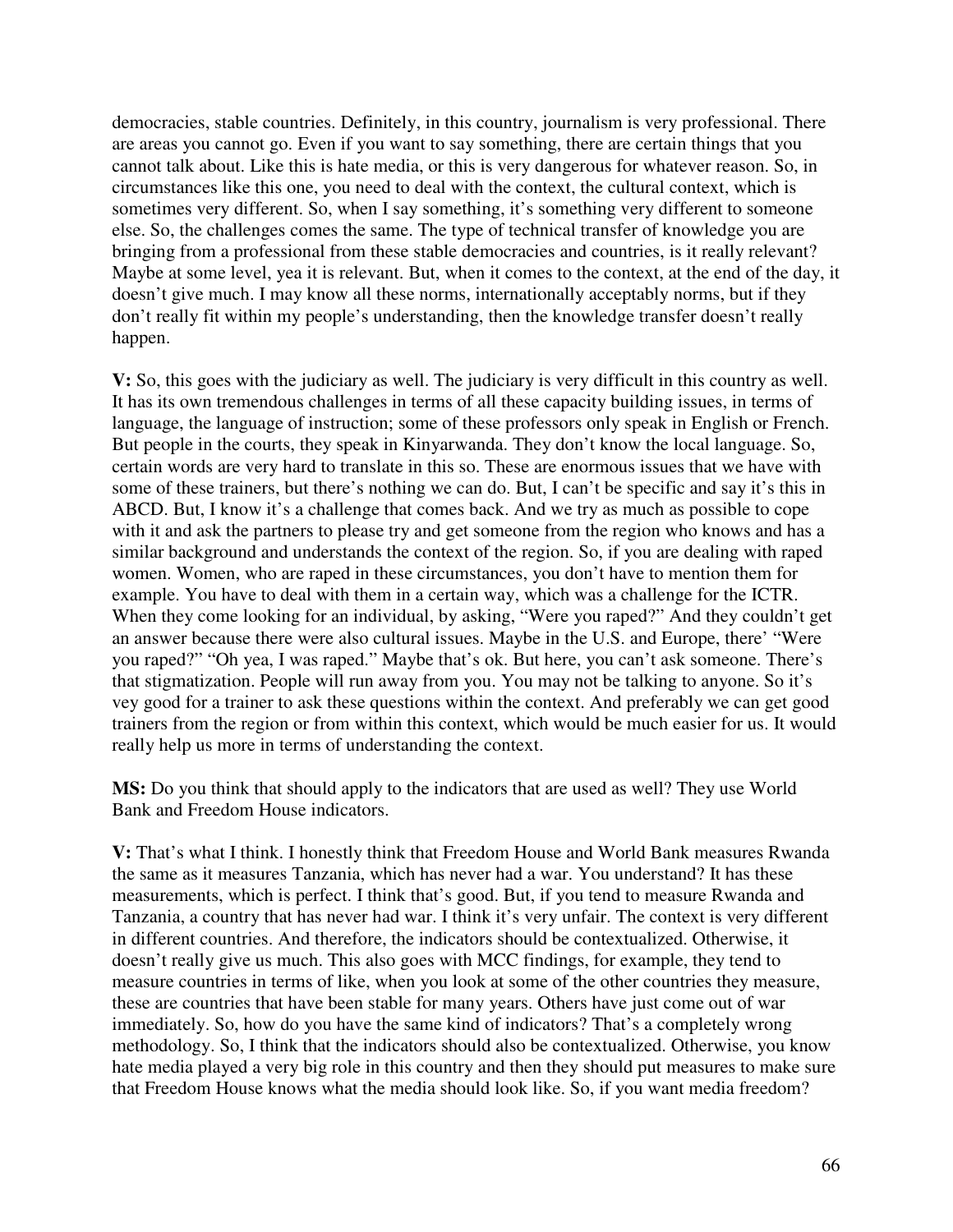democracies, stable countries. Definitely, in this country, journalism is very professional. There are areas you cannot go. Even if you want to say something, there are certain things that you cannot talk about. Like this is hate media, or this is very dangerous for whatever reason. So, in circumstances like this one, you need to deal with the context, the cultural context, which is sometimes very different. So, when I say something, it's something very different to someone else. So, the challenges comes the same. The type of technical transfer of knowledge you are bringing from a professional from these stable democracies and countries, is it really relevant? Maybe at some level, yea it is relevant. But, when it comes to the context, at the end of the day, it doesn't give much. I may know all these norms, internationally acceptably norms, but if they don't really fit within my people's understanding, then the knowledge transfer doesn't really happen.

**V:** So, this goes with the judiciary as well. The judiciary is very difficult in this country as well. It has its own tremendous challenges in terms of all these capacity building issues, in terms of language, the language of instruction; some of these professors only speak in English or French. But people in the courts, they speak in Kinyarwanda. They don't know the local language. So, certain words are very hard to translate in this so. These are enormous issues that we have with some of these trainers, but there's nothing we can do. But, I can't be specific and say it's this in ABCD. But, I know it's a challenge that comes back. And we try as much as possible to cope with it and ask the partners to please try and get someone from the region who knows and has a similar background and understands the context of the region. So, if you are dealing with raped women. Women, who are raped in these circumstances, you don't have to mention them for example. You have to deal with them in a certain way, which was a challenge for the ICTR. When they come looking for an individual, by asking, "Were you raped?" And they couldn't get an answer because there were also cultural issues. Maybe in the U.S. and Europe, there' "Were you raped?" "Oh yea, I was raped." Maybe that's ok. But here, you can't ask someone. There's that stigmatization. People will run away from you. You may not be talking to anyone. So it's vey good for a trainer to ask these questions within the context. And preferably we can get good trainers from the region or from within this context, which would be much easier for us. It would really help us more in terms of understanding the context.

**MS:** Do you think that should apply to the indicators that are used as well? They use World Bank and Freedom House indicators.

**V:** That's what I think. I honestly think that Freedom House and World Bank measures Rwanda the same as it measures Tanzania, which has never had a war. You understand? It has these measurements, which is perfect. I think that's good. But, if you tend to measure Rwanda and Tanzania, a country that has never had war. I think it's very unfair. The context is very different in different countries. And therefore, the indicators should be contextualized. Otherwise, it doesn't really give us much. This also goes with MCC findings, for example, they tend to measure countries in terms of like, when you look at some of the other countries they measure, these are countries that have been stable for many years. Others have just come out of war immediately. So, how do you have the same kind of indicators? That's a completely wrong methodology. So, I think that the indicators should also be contextualized. Otherwise, you know hate media played a very big role in this country and then they should put measures to make sure that Freedom House knows what the media should look like. So, if you want media freedom?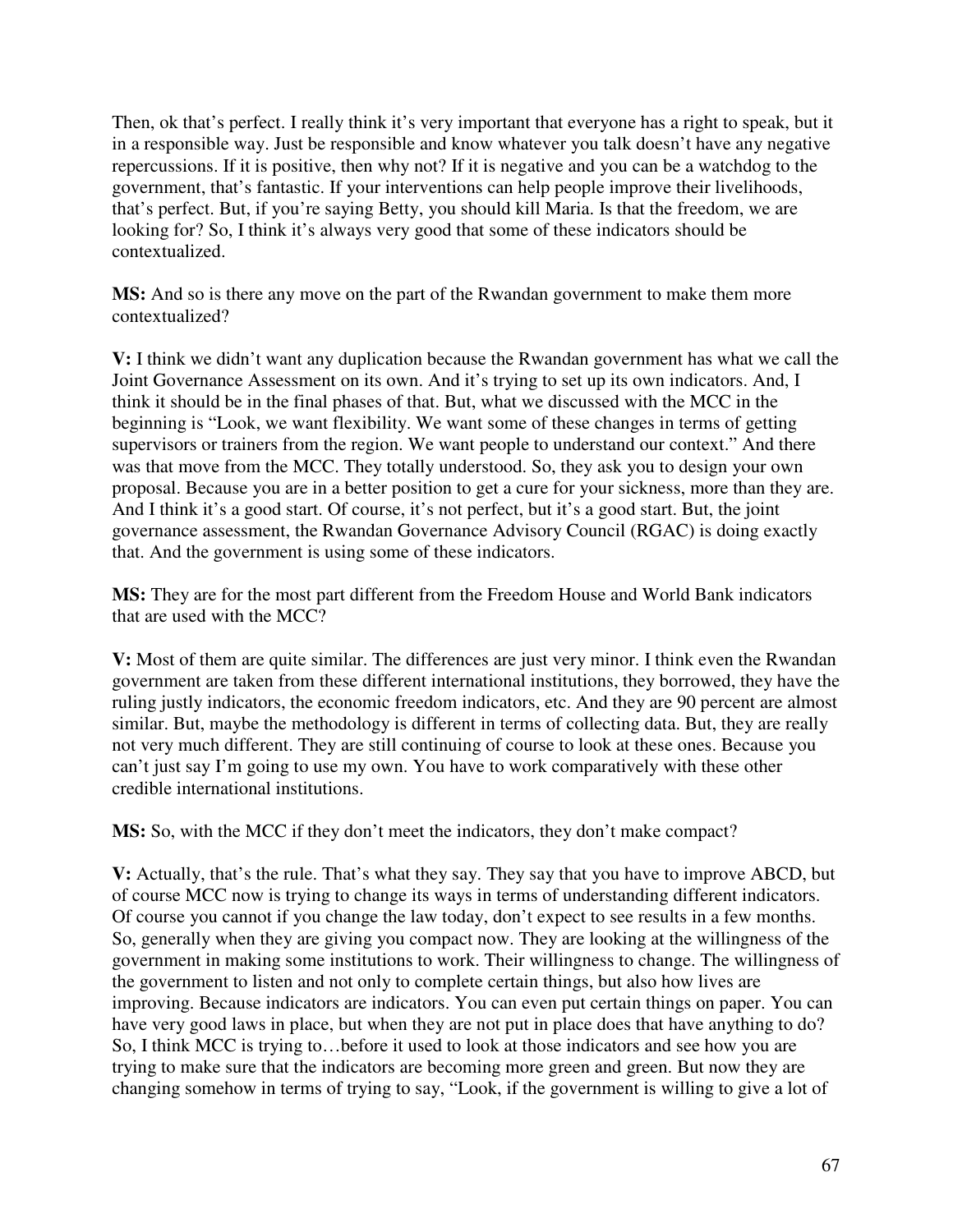Then, ok that's perfect. I really think it's very important that everyone has a right to speak, but it in a responsible way. Just be responsible and know whatever you talk doesn't have any negative repercussions. If it is positive, then why not? If it is negative and you can be a watchdog to the government, that's fantastic. If your interventions can help people improve their livelihoods, that's perfect. But, if you're saying Betty, you should kill Maria. Is that the freedom, we are looking for? So, I think it's always very good that some of these indicators should be contextualized.

**MS:** And so is there any move on the part of the Rwandan government to make them more contextualized?

**V:** I think we didn't want any duplication because the Rwandan government has what we call the Joint Governance Assessment on its own. And it's trying to set up its own indicators. And, I think it should be in the final phases of that. But, what we discussed with the MCC in the beginning is "Look, we want flexibility. We want some of these changes in terms of getting supervisors or trainers from the region. We want people to understand our context." And there was that move from the MCC. They totally understood. So, they ask you to design your own proposal. Because you are in a better position to get a cure for your sickness, more than they are. And I think it's a good start. Of course, it's not perfect, but it's a good start. But, the joint governance assessment, the Rwandan Governance Advisory Council (RGAC) is doing exactly that. And the government is using some of these indicators.

**MS:** They are for the most part different from the Freedom House and World Bank indicators that are used with the MCC?

**V:** Most of them are quite similar. The differences are just very minor. I think even the Rwandan government are taken from these different international institutions, they borrowed, they have the ruling justly indicators, the economic freedom indicators, etc. And they are 90 percent are almost similar. But, maybe the methodology is different in terms of collecting data. But, they are really not very much different. They are still continuing of course to look at these ones. Because you can't just say I'm going to use my own. You have to work comparatively with these other credible international institutions.

**MS:** So, with the MCC if they don't meet the indicators, they don't make compact?

**V:** Actually, that's the rule. That's what they say. They say that you have to improve ABCD, but of course MCC now is trying to change its ways in terms of understanding different indicators. Of course you cannot if you change the law today, don't expect to see results in a few months. So, generally when they are giving you compact now. They are looking at the willingness of the government in making some institutions to work. Their willingness to change. The willingness of the government to listen and not only to complete certain things, but also how lives are improving. Because indicators are indicators. You can even put certain things on paper. You can have very good laws in place, but when they are not put in place does that have anything to do? So, I think MCC is trying to…before it used to look at those indicators and see how you are trying to make sure that the indicators are becoming more green and green. But now they are changing somehow in terms of trying to say, "Look, if the government is willing to give a lot of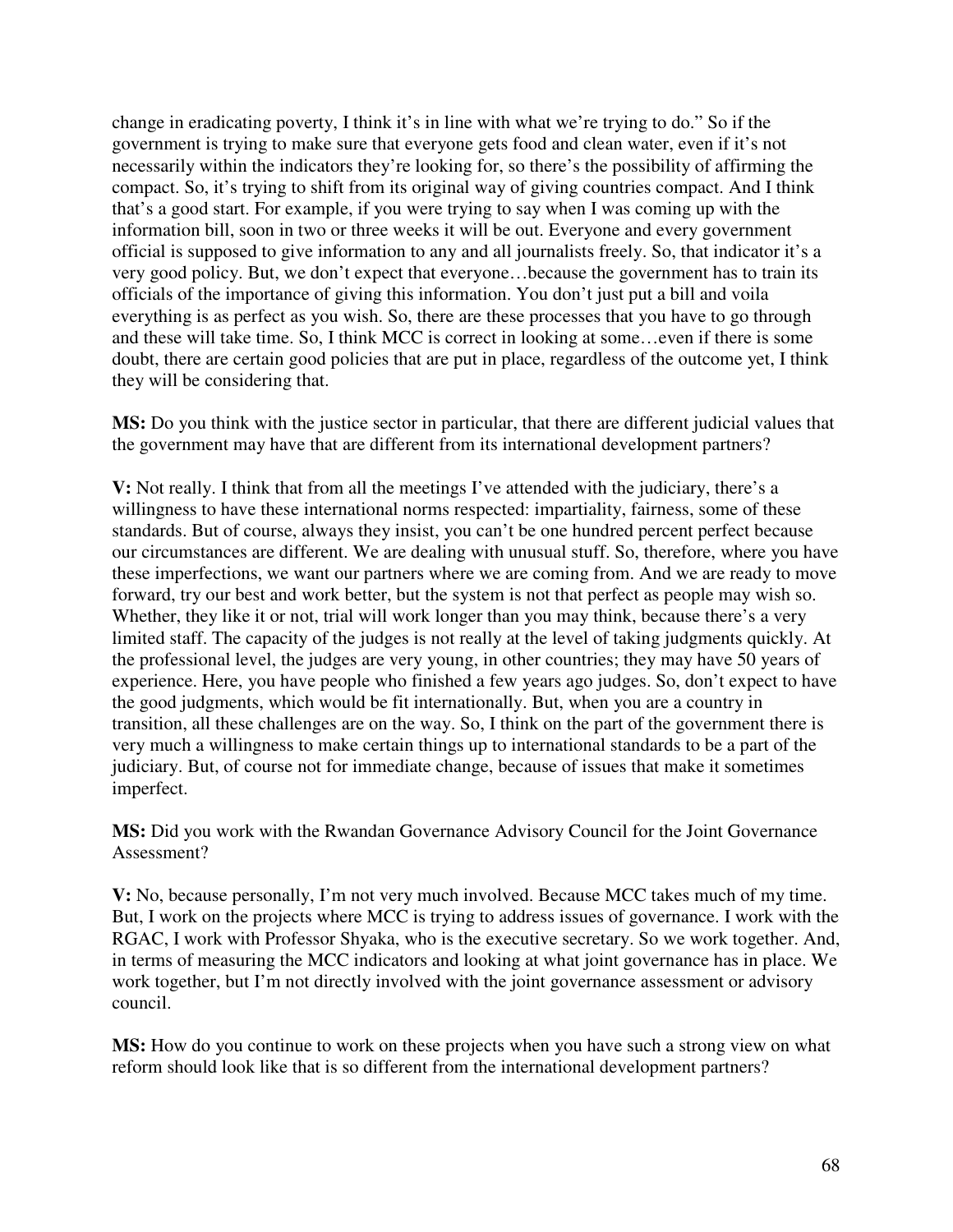change in eradicating poverty, I think it's in line with what we're trying to do." So if the government is trying to make sure that everyone gets food and clean water, even if it's not necessarily within the indicators they're looking for, so there's the possibility of affirming the compact. So, it's trying to shift from its original way of giving countries compact. And I think that's a good start. For example, if you were trying to say when I was coming up with the information bill, soon in two or three weeks it will be out. Everyone and every government official is supposed to give information to any and all journalists freely. So, that indicator it's a very good policy. But, we don't expect that everyone…because the government has to train its officials of the importance of giving this information. You don't just put a bill and voila everything is as perfect as you wish. So, there are these processes that you have to go through and these will take time. So, I think MCC is correct in looking at some…even if there is some doubt, there are certain good policies that are put in place, regardless of the outcome yet, I think they will be considering that.

**MS:** Do you think with the justice sector in particular, that there are different judicial values that the government may have that are different from its international development partners?

**V:** Not really. I think that from all the meetings I've attended with the judiciary, there's a willingness to have these international norms respected: impartiality, fairness, some of these standards. But of course, always they insist, you can't be one hundred percent perfect because our circumstances are different. We are dealing with unusual stuff. So, therefore, where you have these imperfections, we want our partners where we are coming from. And we are ready to move forward, try our best and work better, but the system is not that perfect as people may wish so. Whether, they like it or not, trial will work longer than you may think, because there's a very limited staff. The capacity of the judges is not really at the level of taking judgments quickly. At the professional level, the judges are very young, in other countries; they may have 50 years of experience. Here, you have people who finished a few years ago judges. So, don't expect to have the good judgments, which would be fit internationally. But, when you are a country in transition, all these challenges are on the way. So, I think on the part of the government there is very much a willingness to make certain things up to international standards to be a part of the judiciary. But, of course not for immediate change, because of issues that make it sometimes imperfect.

**MS:** Did you work with the Rwandan Governance Advisory Council for the Joint Governance Assessment?

**V:** No, because personally, I'm not very much involved. Because MCC takes much of my time. But, I work on the projects where MCC is trying to address issues of governance. I work with the RGAC, I work with Professor Shyaka, who is the executive secretary. So we work together. And, in terms of measuring the MCC indicators and looking at what joint governance has in place. We work together, but I'm not directly involved with the joint governance assessment or advisory council.

**MS:** How do you continue to work on these projects when you have such a strong view on what reform should look like that is so different from the international development partners?